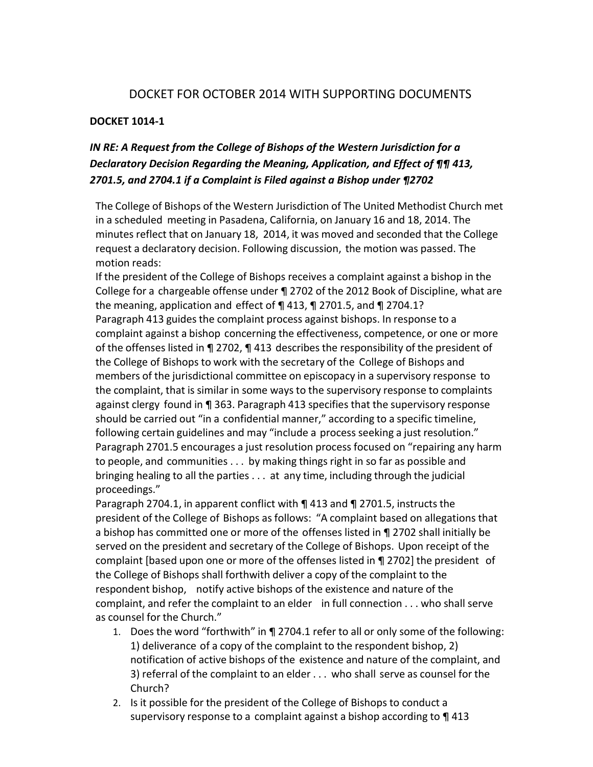## DOCKET FOR OCTOBER 2014 WITH SUPPORTING DOCUMENTS

## **DOCKET 1014-1**

# *IN RE: A Request from the College of Bishops of the Western Jurisdiction for a Declaratory Decision Regarding the Meaning, Application, and Effect of ¶¶ 413, 2701.5, and 2704.1 if a Complaint is Filed against a Bishop under ¶2702*

The College of Bishops of the Western Jurisdiction of The United Methodist Church met in a scheduled meeting in Pasadena, California, on January 16 and 18, 2014. The minutes reflect that on January 18, 2014, it was moved and seconded that the College request a declaratory decision. Following discussion, the motion was passed. The motion reads:

If the president of the College of Bishops receives a complaint against a bishop in the College for a chargeable offense under ¶ 2702 of the 2012 Book of Discipline, what are the meaning, application and effect of ¶ 413, ¶ 2701.5, and ¶ 2704.1? Paragraph 413 guides the complaint process against bishops. In response to a complaint against a bishop concerning the effectiveness, competence, or one or more of the offenses listed in ¶ 2702, ¶ 413 describesthe responsibility of the president of the College of Bishops to work with the secretary of the College of Bishops and members of the jurisdictional committee on episcopacy in a supervisory response to the complaint, that is similar in some ways to the supervisory response to complaints against clergy found in ¶ 363. Paragraph 413 specifies that the supervisory response should be carried out "in a confidential manner," according to a specific timeline, following certain guidelines and may "include a process seeking a just resolution." Paragraph 2701.5 encourages a just resolution process focused on "repairing any harm to people, and communities . . . by making things right in so far as possible and bringing healing to all the parties . . . at any time, including through the judicial proceedings."

Paragraph 2704.1, in apparent conflict with  $\P$  413 and  $\P$  2701.5, instructs the president of the College of Bishops as follows: "A complaint based on allegations that a bishop has committed one or more of the offenses listed in ¶ 2702 shall initially be served on the president and secretary of the College of Bishops. Upon receipt of the complaint [based upon one or more of the offenses listed in ¶ 2702] the president of the College of Bishops shall forthwith deliver a copy of the complaint to the respondent bishop, notify active bishops of the existence and nature of the complaint, and refer the complaint to an elder in full connection . . . who shall serve as counsel for the Church."

- 1. Does the word "forthwith" in ¶ 2704.1 refer to all or only some of the following: 1) deliverance of a copy of the complaint to the respondent bishop, 2) notification of active bishops of the existence and nature of the complaint, and 3) referral of the complaint to an elder . . . who shall serve as counsel for the Church?
- 2. Is it possible for the president of the College of Bishops to conduct a supervisory response to a complaint against a bishop according to ¶ 413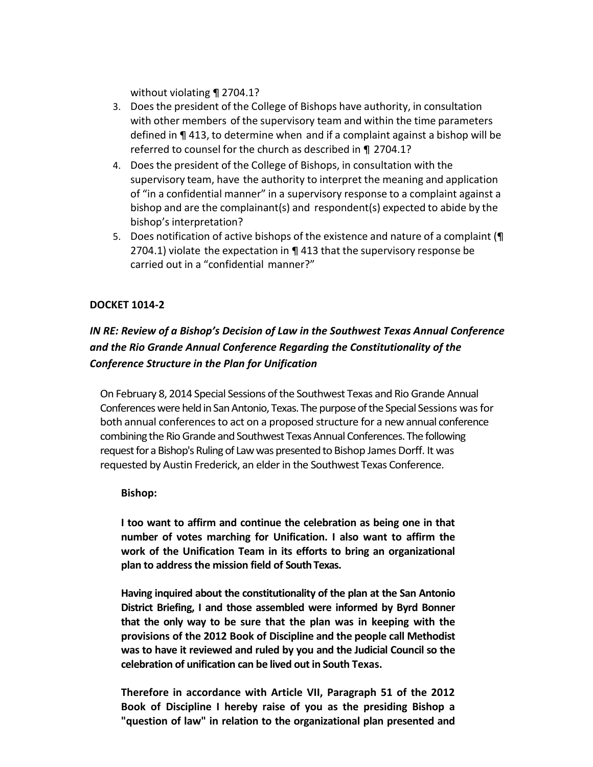without violating ¶ 2704.1?

- 3. Doesthe president of the College of Bishops have authority, in consultation with other members of the supervisory team and within the time parameters defined in ¶ 413, to determine when and if a complaint against a bishop will be referred to counsel for the church as described in ¶ 2704.1?
- 4. Doesthe president of the College of Bishops, in consultation with the supervisory team, have the authority to interpret the meaning and application of "in a confidential manner" in a supervisory response to a complaint against a bishop and are the complainant(s) and respondent(s) expected to abide by the bishop's interpretation?
- 5. Does notification of active bishops of the existence and nature of a complaint (¶ 2704.1) violate the expectation in ¶ 413 that the supervisory response be carried out in a "confidential manner?"

### **DOCKET 1014-2**

# *IN RE: Review of a Bishop's Decision of Law in the Southwest Texas Annual Conference and the Rio Grande Annual Conference Regarding the Constitutionality of the Conference Structure in the Plan for Unification*

On February 8, 2014 Special Sessions of the Southwest Texas and Rio Grande Annual Conferences were held in San Antonio, Texas. The purpose of the Special Sessions was for both annual conferences to act on a proposed structure for a new annual conference combining the Rio Grande and Southwest Texas Annual Conferences. The following request for a Bishop's Ruling of Law was presented to Bishop James Dorff. It was requested by Austin Frederick, an elder in the Southwest Texas Conference.

#### **Bishop:**

**I too want to affirm and continue the celebration as being one in that number of votes marching for Unification. I also want to affirm the work of the Unification Team in its efforts to bring an organizational plan to address the mission field of South Texas.**

**Having inquired about the constitutionality of the plan at the San Antonio District Briefing, I and those assembled were informed by Byrd Bonner that the only way to be sure that the plan was in keeping with the provisions of the 2012 Book of Discipline and the people call Methodist was to have it reviewed and ruled by you and the Judicial Council so the celebration of unification can be lived out in South Texas.**

**Therefore in accordance with Article VII, Paragraph 51 of the 2012 Book of Discipline I hereby raise of you as the presiding Bishop a "question of law" in relation to the organizational plan presented and**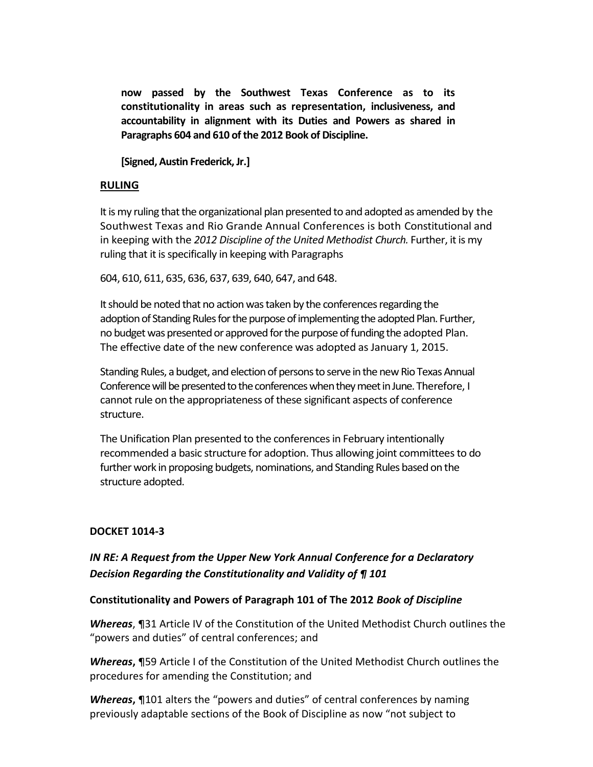**now passed by the Southwest Texas Conference as to its constitutionality in areas such as representation, inclusiveness, and accountability in alignment with its Duties and Powers as shared in Paragraphs 604 and 610 of the 2012 Book of Discipline.**

**[Signed, Austin Frederick, Jr.]**

### **RULING**

It is my ruling that the organizational plan presented to and adopted as amended by the Southwest Texas and Rio Grande Annual Conferences is both Constitutional and in keeping with the 2012 Discipline of the United Methodist Church. Further, it is my ruling that it is specifically in keeping with Paragraphs

604, 610, 611, 635, 636, 637, 639, 640, 647, and 648.

It should be noted that no action was taken by the conferences regarding the adoption of Standing Rules for the purpose of implementing the adopted Plan. Further, no budget was presented or approved for the purpose of funding the adopted Plan. The effective date of the new conference was adopted as January 1, 2015.

Standing Rules, a budget, and election of persons to serve in the new Rio Texas Annual Conference will be presented to the conferences when they meet in June. Therefore, I cannot rule on the appropriateness of these significant aspects of conference structure.

The Unification Plan presented to the conferences in February intentionally recommended a basic structure for adoption. Thus allowing joint committees to do further work in proposing budgets, nominations, and Standing Rules based on the structure adopted.

### **DOCKET 1014-3**

## *IN RE: A Request from the Upper New York Annual Conference for a Declaratory Decision Regarding the Constitutionality and Validity of ¶ 101*

#### **Constitutionality and Powers of Paragraph 101 of The 2012** *Book of Discipline*

*Whereas*, ¶31 Article IV of the Constitution of the United Methodist Church outlines the "powers and duties" of central conferences; and

*Whereas***,** ¶59 Article I of the Constitution of the United Methodist Church outlines the procedures for amending the Constitution; and

*Whereas***,** ¶101 alters the "powers and duties" of central conferences by naming previously adaptable sections of the Book of Discipline as now "not subject to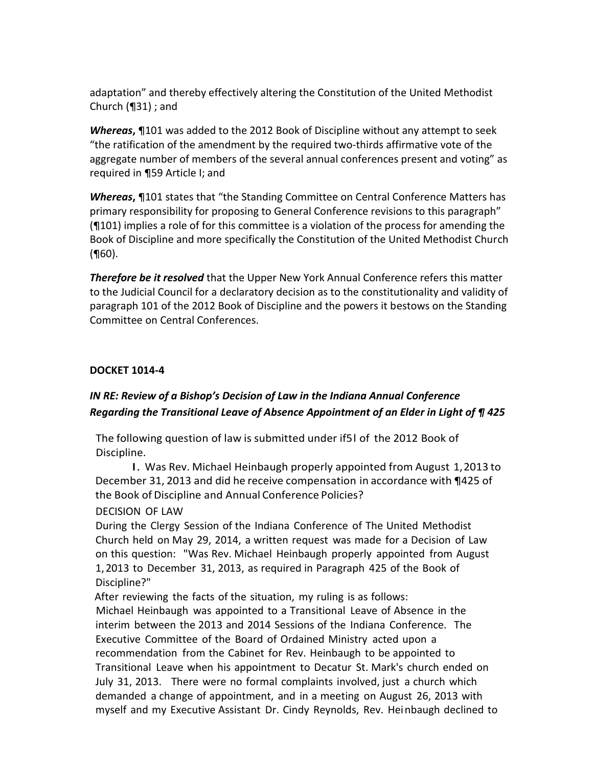adaptation" and thereby effectively altering the Constitution of the United Methodist Church (¶31) ; and

*Whereas***,** ¶101 was added to the 2012 Book of Discipline without any attempt to seek "the ratification of the amendment by the required two-thirds affirmative vote of the aggregate number of members of the several annual conferences present and voting" as required in ¶59 Article I; and

*Whereas***,** ¶101 states that "the Standing Committee on Central Conference Matters has primary responsibility for proposing to General Conference revisions to this paragraph" (¶101) implies a role of for this committee is a violation of the process for amending the Book of Discipline and more specifically the Constitution of the United Methodist Church (¶60).

*Therefore be it resolved* that the Upper New York Annual Conference refers this matter to the Judicial Council for a declaratory decision as to the constitutionality and validity of paragraph 101 of the 2012 Book of Discipline and the powers it bestows on the Standing Committee on Central Conferences.

### **DOCKET 1014-4**

# *IN RE: Review of a Bishop's Decision of Law in the Indiana Annual Conference Regarding the Transitional Leave of Absence Appointment of an Elder in Light of ¶ 425*

The following question of law is submitted under if5l of the 2012 Book of Discipline.

I. Was Rev. Michael Heinbaugh properly appointed from August 1,2013 to December 31, 2013 and did he receive compensation in accordance with ¶425 of the Book of Discipline and Annual Conference Policies?

### DECISION OF LAW

During the Clergy Session of the Indiana Conference of The United Methodist Church held on May 29, 2014, a written request was made for a Decision of Law on this question: "Was Rev. Michael Heinbaugh properly appointed from August 1,2013 to December 31, 2013, as required in Paragraph 425 of the Book of Discipline?"

After reviewing the facts of the situation, my ruling is as follows: Michael Heinbaugh was appointed to a Transitional Leave of Absence in the interim between the 2013 and 2014 Sessions of the Indiana Conference. The Executive Committee of the Board of Ordained Ministry acted upon a recommendation from the Cabinet for Rev. Heinbaugh to be appointed to Transitional Leave when his appointment to Decatur St. Mark's church ended on July 31, 2013. There were no formal complaints involved, just a church which demanded a change of appointment, and in a meeting on August 26, 2013 with myself and my Executive Assistant Dr. Cindy Reynolds, Rev. Heinbaugh declined to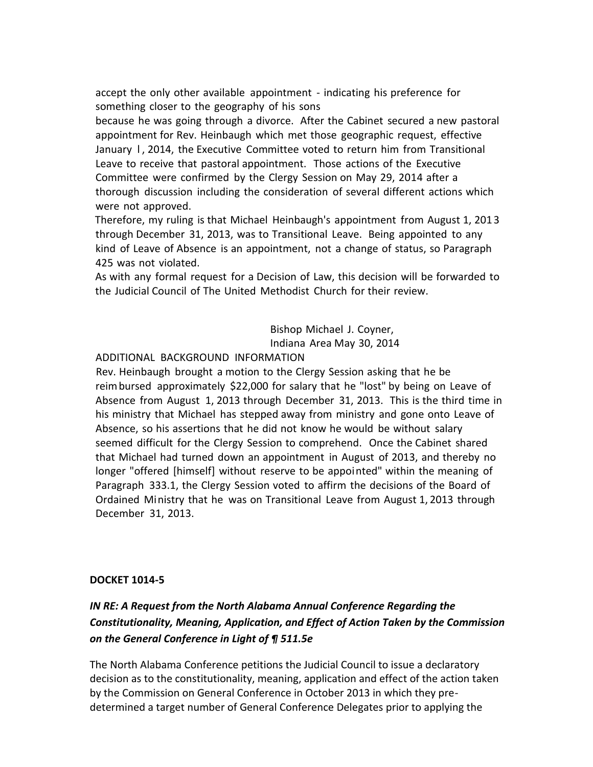accept the only other available appointment - indicating his preference for something closer to the geography of his sons

because he was going through a divorce. After the Cabinet secured a new pastoral appointment for Rev. Heinbaugh which met those geographic request, effective January 1, 2014, the Executive Committee voted to return him from Transitional Leave to receive that pastoral appointment. Those actions of the Executive Committee were confirmed by the Clergy Session on May 29, 2014 after a thorough discussion including the consideration of several different actions which were not approved.

Therefore, my ruling is that Michael Heinbaugh's appointment from August 1, 2013 through December 31, 2013, was to Transitional Leave. Being appointed to any kind of Leave of Absence is an appointment, not a change of status, so Paragraph 425 was not violated.

As with any formal request for a Decision of Law, this decision will be forwarded to the Judicial Council of The United Methodist Church for their review.

> Bishop Michael J. Coyner, Indiana Area May 30, 2014

### ADDITIONAL BACKGROUND INFORMATION

Rev. Heinbaugh brought a motion to the Clergy Session asking that he be reimbursed approximately \$22,000 for salary that he "lost" by being on Leave of Absence from August 1, 2013 through December 31, 2013. This is the third time in his ministry that Michael has stepped away from ministry and gone onto Leave of Absence, so his assertions that he did not know he would be without salary seemed difficult for the Clergy Session to comprehend. Once the Cabinet shared that Michael had turned down an appointment in August of 2013, and thereby no longer "offered [himself] without reserve to be appointed" within the meaning of Paragraph 333.1, the Clergy Session voted to affirm the decisions of the Board of Ordained Ministry that he was on Transitional Leave from August 1, 2013 through December 31, 2013.

### **DOCKET 1014-5**

# *IN RE: A Request from the North Alabama Annual Conference Regarding the Constitutionality, Meaning, Application, and Effect of Action Taken by the Commission on the General Conference in Light of ¶ 511.5e*

The North Alabama Conference petitions the Judicial Council to issue a declaratory decision as to the constitutionality, meaning, application and effect of the action taken by the Commission on General Conference in October 2013 in which they predetermined a target number of General Conference Delegates prior to applying the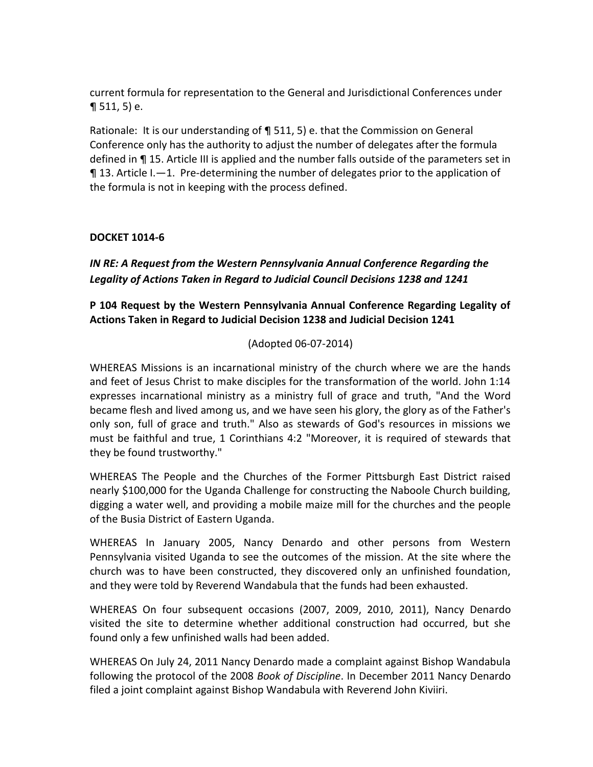current formula for representation to the General and Jurisdictional Conferences under  $\P$  511, 5) e.

Rationale: It is our understanding of ¶ 511, 5) e. that the Commission on General Conference only has the authority to adjust the number of delegates after the formula defined in ¶ 15. Article III is applied and the number falls outside of the parameters set in  $\P$  13. Article I.—1. Pre-determining the number of delegates prior to the application of the formula is not in keeping with the process defined.

## **DOCKET 1014-6**

*IN RE: A Request from the Western Pennsylvania Annual Conference Regarding the Legality of Actions Taken in Regard to Judicial Council Decisions 1238 and 1241*

**P 104 Request by the Western Pennsylvania Annual Conference Regarding Legality of Actions Taken in Regard to Judicial Decision 1238 and Judicial Decision 1241**

### (Adopted 06-07-2014)

WHEREAS Missions is an incarnational ministry of the church where we are the hands and feet of Jesus Christ to make disciples for the transformation of the world. John 1:14 expresses incarnational ministry as a ministry full of grace and truth, "And the Word became flesh and lived among us, and we have seen his glory, the glory as of the Father's only son, full of grace and truth." Also as stewards of God's resources in missions we must be faithful and true, 1 Corinthians 4:2 "Moreover, it is required of stewards that they be found trustworthy."

WHEREAS The People and the Churches of the Former Pittsburgh East District raised nearly \$100,000 for the Uganda Challenge for constructing the Naboole Church building, digging a water well, and providing a mobile maize mill for the churches and the people of the Busia District of Eastern Uganda.

WHEREAS In January 2005, Nancy Denardo and other persons from Western Pennsylvania visited Uganda to see the outcomes of the mission. At the site where the church was to have been constructed, they discovered only an unfinished foundation, and they were told by Reverend Wandabula that the funds had been exhausted.

WHEREAS On four subsequent occasions (2007, 2009, 2010, 2011), Nancy Denardo visited the site to determine whether additional construction had occurred, but she found only a few unfinished walls had been added.

WHEREAS On July 24, 2011 Nancy Denardo made a complaint against Bishop Wandabula following the protocol of the 2008 *Book of Discipline*. In December 2011 Nancy Denardo filed a joint complaint against Bishop Wandabula with Reverend John Kiviiri.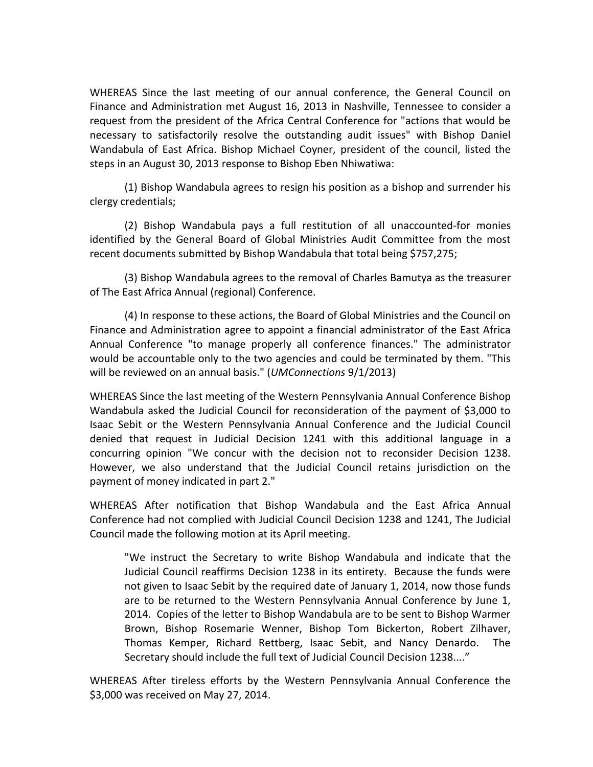WHEREAS Since the last meeting of our annual conference, the General Council on Finance and Administration met August 16, 2013 in Nashville, Tennessee to consider a request from the president of the Africa Central Conference for "actions that would be necessary to satisfactorily resolve the outstanding audit issues" with Bishop Daniel Wandabula of East Africa. Bishop Michael Coyner, president of the council, listed the steps in an August 30, 2013 response to Bishop Eben Nhiwatiwa:

(1) Bishop Wandabula agrees to resign his position as a bishop and surrender his clergy credentials;

(2) Bishop Wandabula pays a full restitution of all unaccounted-for monies identified by the General Board of Global Ministries Audit Committee from the most recent documents submitted by Bishop Wandabula that total being \$757,275;

(3) Bishop Wandabula agrees to the removal of Charles Bamutya as the treasurer of The East Africa Annual (regional) Conference.

(4) In response to these actions, the Board of Global Ministries and the Council on Finance and Administration agree to appoint a financial administrator of the East Africa Annual Conference "to manage properly all conference finances." The administrator would be accountable only to the two agencies and could be terminated by them. "This will be reviewed on an annual basis." (*UMConnections* 9/1/2013)

WHEREAS Since the last meeting of the Western Pennsylvania Annual Conference Bishop Wandabula asked the Judicial Council for reconsideration of the payment of \$3,000 to Isaac Sebit or the Western Pennsylvania Annual Conference and the Judicial Council denied that request in Judicial Decision 1241 with this additional language in a concurring opinion "We concur with the decision not to reconsider Decision 1238. However, we also understand that the Judicial Council retains jurisdiction on the payment of money indicated in part 2."

WHEREAS After notification that Bishop Wandabula and the East Africa Annual Conference had not complied with Judicial Council Decision 1238 and 1241, The Judicial Council made the following motion at its April meeting.

"We instruct the Secretary to write Bishop Wandabula and indicate that the Judicial Council reaffirms Decision 1238 in its entirety. Because the funds were not given to Isaac Sebit by the required date of January 1, 2014, now those funds are to be returned to the Western Pennsylvania Annual Conference by June 1, 2014. Copies of the letter to Bishop Wandabula are to be sent to Bishop Warmer Brown, Bishop Rosemarie Wenner, Bishop Tom Bickerton, Robert Zilhaver, Thomas Kemper, Richard Rettberg, Isaac Sebit, and Nancy Denardo. The Secretary should include the full text of Judicial Council Decision 1238...."

WHEREAS After tireless efforts by the Western Pennsylvania Annual Conference the \$3,000 was received on May 27, 2014.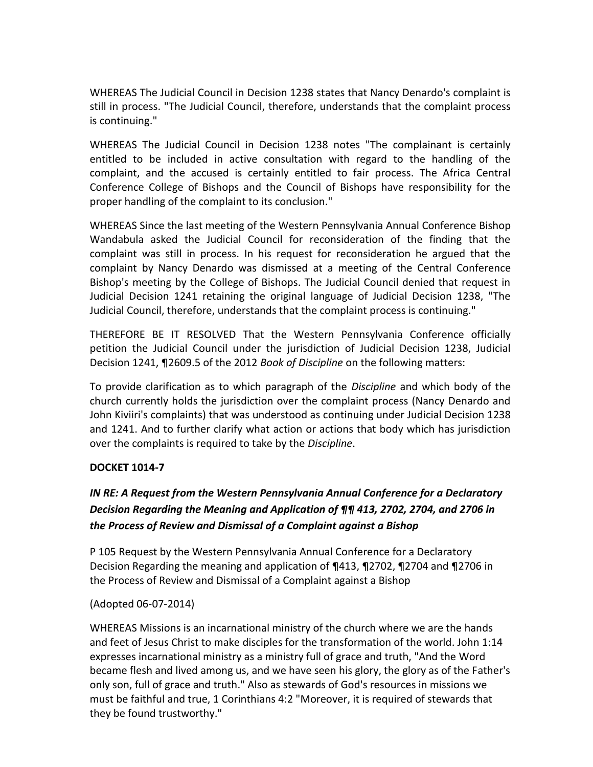WHEREAS The Judicial Council in Decision 1238 states that Nancy Denardo's complaint is still in process. "The Judicial Council, therefore, understands that the complaint process is continuing."

WHEREAS The Judicial Council in Decision 1238 notes "The complainant is certainly entitled to be included in active consultation with regard to the handling of the complaint, and the accused is certainly entitled to fair process. The Africa Central Conference College of Bishops and the Council of Bishops have responsibility for the proper handling of the complaint to its conclusion."

WHEREAS Since the last meeting of the Western Pennsylvania Annual Conference Bishop Wandabula asked the Judicial Council for reconsideration of the finding that the complaint was still in process. In his request for reconsideration he argued that the complaint by Nancy Denardo was dismissed at a meeting of the Central Conference Bishop's meeting by the College of Bishops. The Judicial Council denied that request in Judicial Decision 1241 retaining the original language of Judicial Decision 1238, "The Judicial Council, therefore, understands that the complaint process is continuing."

THEREFORE BE IT RESOLVED That the Western Pennsylvania Conference officially petition the Judicial Council under the jurisdiction of Judicial Decision 1238, Judicial Decision 1241, ¶2609.5 of the 2012 *Book of Discipline* on the following matters:

To provide clarification as to which paragraph of the *Discipline* and which body of the church currently holds the jurisdiction over the complaint process (Nancy Denardo and John Kiviiri's complaints) that was understood as continuing under Judicial Decision 1238 and 1241. And to further clarify what action or actions that body which has jurisdiction over the complaints is required to take by the *Discipline*.

### **DOCKET 1014-7**

# *IN RE: A Request from the Western Pennsylvania Annual Conference for a Declaratory Decision Regarding the Meaning and Application of ¶¶ 413, 2702, 2704, and 2706 in the Process of Review and Dismissal of a Complaint against a Bishop*

P 105 Request by the Western Pennsylvania Annual Conference for a Declaratory Decision Regarding the meaning and application of ¶413, ¶2702, ¶2704 and ¶2706 in the Process of Review and Dismissal of a Complaint against a Bishop

## (Adopted 06-07-2014)

WHEREAS Missions is an incarnational ministry of the church where we are the hands and feet of Jesus Christ to make disciples for the transformation of the world. John 1:14 expresses incarnational ministry as a ministry full of grace and truth, "And the Word became flesh and lived among us, and we have seen his glory, the glory as of the Father's only son, full of grace and truth." Also as stewards of God's resources in missions we must be faithful and true, 1 Corinthians 4:2 "Moreover, it is required of stewards that they be found trustworthy."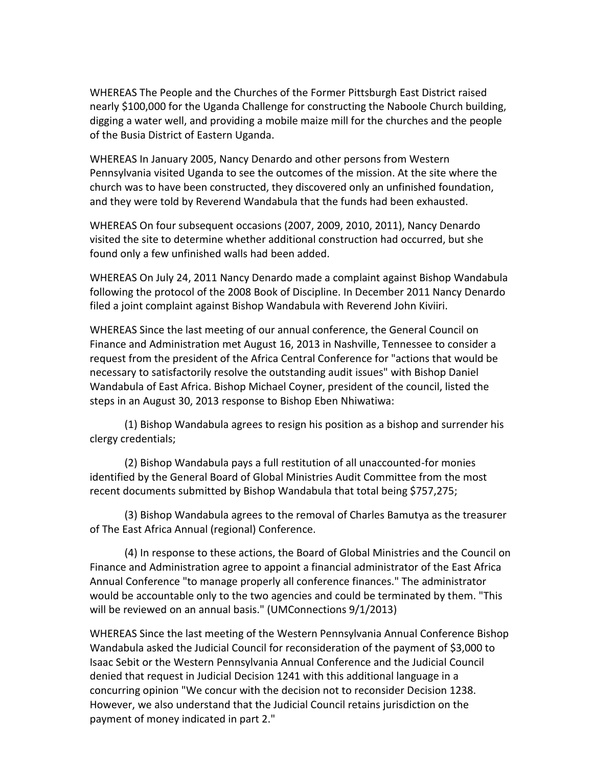WHEREAS The People and the Churches of the Former Pittsburgh East District raised nearly \$100,000 for the Uganda Challenge for constructing the Naboole Church building, digging a water well, and providing a mobile maize mill for the churches and the people of the Busia District of Eastern Uganda.

WHEREAS In January 2005, Nancy Denardo and other persons from Western Pennsylvania visited Uganda to see the outcomes of the mission. At the site where the church was to have been constructed, they discovered only an unfinished foundation, and they were told by Reverend Wandabula that the funds had been exhausted.

WHEREAS On four subsequent occasions (2007, 2009, 2010, 2011), Nancy Denardo visited the site to determine whether additional construction had occurred, but she found only a few unfinished walls had been added.

WHEREAS On July 24, 2011 Nancy Denardo made a complaint against Bishop Wandabula following the protocol of the 2008 Book of Discipline. In December 2011 Nancy Denardo filed a joint complaint against Bishop Wandabula with Reverend John Kiviiri.

WHEREAS Since the last meeting of our annual conference, the General Council on Finance and Administration met August 16, 2013 in Nashville, Tennessee to consider a request from the president of the Africa Central Conference for "actions that would be necessary to satisfactorily resolve the outstanding audit issues" with Bishop Daniel Wandabula of East Africa. Bishop Michael Coyner, president of the council, listed the steps in an August 30, 2013 response to Bishop Eben Nhiwatiwa:

(1) Bishop Wandabula agrees to resign his position as a bishop and surrender his clergy credentials;

(2) Bishop Wandabula pays a full restitution of all unaccounted-for monies identified by the General Board of Global Ministries Audit Committee from the most recent documents submitted by Bishop Wandabula that total being \$757,275;

(3) Bishop Wandabula agrees to the removal of Charles Bamutya as the treasurer of The East Africa Annual (regional) Conference.

(4) In response to these actions, the Board of Global Ministries and the Council on Finance and Administration agree to appoint a financial administrator of the East Africa Annual Conference "to manage properly all conference finances." The administrator would be accountable only to the two agencies and could be terminated by them. "This will be reviewed on an annual basis." (UMConnections 9/1/2013)

WHEREAS Since the last meeting of the Western Pennsylvania Annual Conference Bishop Wandabula asked the Judicial Council for reconsideration of the payment of \$3,000 to Isaac Sebit or the Western Pennsylvania Annual Conference and the Judicial Council denied that request in Judicial Decision 1241 with this additional language in a concurring opinion "We concur with the decision not to reconsider Decision 1238. However, we also understand that the Judicial Council retains jurisdiction on the payment of money indicated in part 2."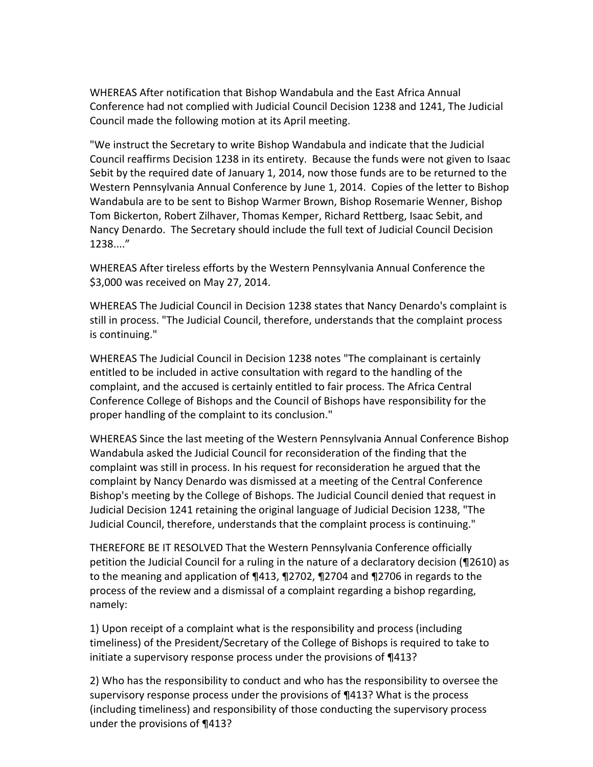WHEREAS After notification that Bishop Wandabula and the East Africa Annual Conference had not complied with Judicial Council Decision 1238 and 1241, The Judicial Council made the following motion at its April meeting.

"We instruct the Secretary to write Bishop Wandabula and indicate that the Judicial Council reaffirms Decision 1238 in its entirety. Because the funds were not given to Isaac Sebit by the required date of January 1, 2014, now those funds are to be returned to the Western Pennsylvania Annual Conference by June 1, 2014. Copies of the letter to Bishop Wandabula are to be sent to Bishop Warmer Brown, Bishop Rosemarie Wenner, Bishop Tom Bickerton, Robert Zilhaver, Thomas Kemper, Richard Rettberg, Isaac Sebit, and Nancy Denardo. The Secretary should include the full text of Judicial Council Decision 1238...."

WHEREAS After tireless efforts by the Western Pennsylvania Annual Conference the \$3,000 was received on May 27, 2014.

WHEREAS The Judicial Council in Decision 1238 states that Nancy Denardo's complaint is still in process. "The Judicial Council, therefore, understands that the complaint process is continuing."

WHEREAS The Judicial Council in Decision 1238 notes "The complainant is certainly entitled to be included in active consultation with regard to the handling of the complaint, and the accused is certainly entitled to fair process. The Africa Central Conference College of Bishops and the Council of Bishops have responsibility for the proper handling of the complaint to its conclusion."

WHEREAS Since the last meeting of the Western Pennsylvania Annual Conference Bishop Wandabula asked the Judicial Council for reconsideration of the finding that the complaint was still in process. In his request for reconsideration he argued that the complaint by Nancy Denardo was dismissed at a meeting of the Central Conference Bishop's meeting by the College of Bishops. The Judicial Council denied that request in Judicial Decision 1241 retaining the original language of Judicial Decision 1238, "The Judicial Council, therefore, understands that the complaint process is continuing."

THEREFORE BE IT RESOLVED That the Western Pennsylvania Conference officially petition the Judicial Council for a ruling in the nature of a declaratory decision (¶2610) as to the meaning and application of ¶413, ¶2702, ¶2704 and ¶2706 in regards to the process of the review and a dismissal of a complaint regarding a bishop regarding, namely:

1) Upon receipt of a complaint what is the responsibility and process (including timeliness) of the President/Secretary of the College of Bishops is required to take to initiate a supervisory response process under the provisions of ¶413?

2) Who has the responsibility to conduct and who has the responsibility to oversee the supervisory response process under the provisions of ¶413? What is the process (including timeliness) and responsibility of those conducting the supervisory process under the provisions of ¶413?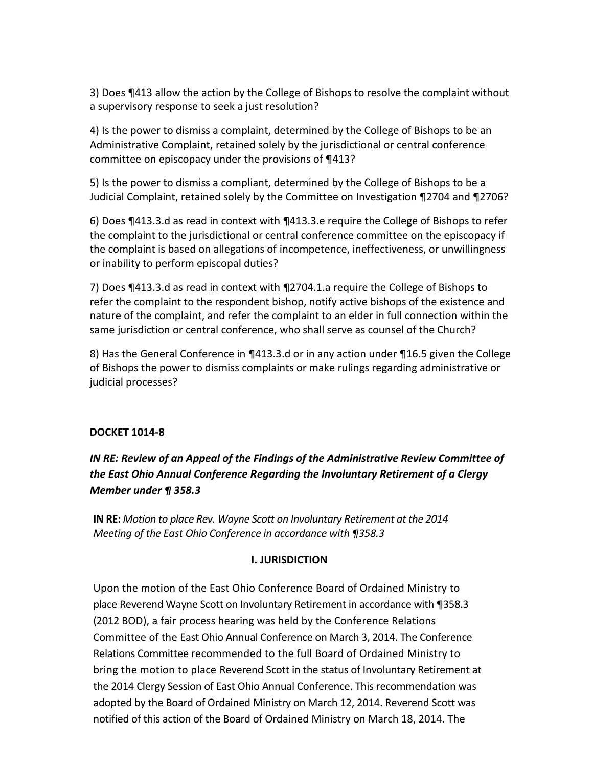3) Does ¶413 allow the action by the College of Bishops to resolve the complaint without a supervisory response to seek a just resolution?

4) Is the power to dismiss a complaint, determined by the College of Bishops to be an Administrative Complaint, retained solely by the jurisdictional or central conference committee on episcopacy under the provisions of ¶413?

5) Is the power to dismiss a compliant, determined by the College of Bishops to be a Judicial Complaint, retained solely by the Committee on Investigation ¶2704 and ¶2706?

6) Does ¶413.3.d as read in context with ¶413.3.e require the College of Bishops to refer the complaint to the jurisdictional or central conference committee on the episcopacy if the complaint is based on allegations of incompetence, ineffectiveness, or unwillingness or inability to perform episcopal duties?

7) Does ¶413.3.d as read in context with ¶2704.1.a require the College of Bishops to refer the complaint to the respondent bishop, notify active bishops of the existence and nature of the complaint, and refer the complaint to an elder in full connection within the same jurisdiction or central conference, who shall serve as counsel of the Church?

8) Has the General Conference in ¶413.3.d or in any action under ¶16.5 given the College of Bishops the power to dismiss complaints or make rulings regarding administrative or judicial processes?

### **DOCKET 1014-8**

*IN RE: Review of an Appeal of the Findings of the Administrative Review Committee of the East Ohio Annual Conference Regarding the Involuntary Retirement of a Clergy Member under ¶ 358.3*

**IN RE:** *Motion to place Rev. Wayne Scott on Involuntary Retirement at the 2014 Meeting of the East Ohio Conference in accordance with ¶358.3*

### **I. JURISDICTION**

Upon the motion of the East Ohio Conference Board of Ordained Ministry to place Reverend Wayne Scott on Involuntary Retirement in accordance with ¶358.3 (2012 BOD), a fair process hearing was held by the Conference Relations Committee of the East Ohio Annual Conference on March 3, 2014. The Conference Relations Committee recommended to the full Board of Ordained Ministry to bring the motion to place Reverend Scott in the status of Involuntary Retirement at the 2014 Clergy Session of East Ohio Annual Conference. This recommendation was adopted by the Board of Ordained Ministry on March 12, 2014. Reverend Scott was notified of this action of the Board of Ordained Ministry on March 18, 2014. The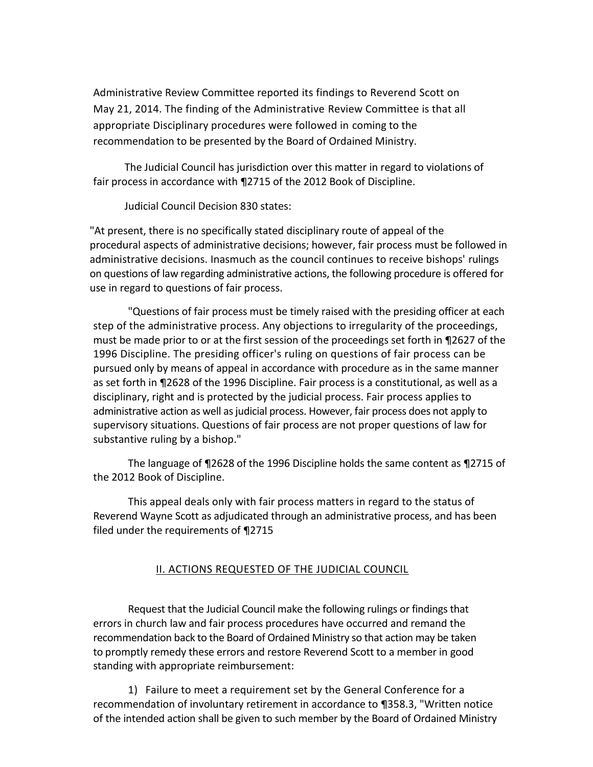Administrative Review Committee reported its findings to Reverend Scott on May 21, 2014. The finding of the Administrative Review Committee is that all appropriate Disciplinary procedures were followed in coming to the recommendation to be presented by the Board of Ordained Ministry.

The Judicial Council has jurisdiction over this matter in regard to violations of fair process in accordance with ¶2715 of the 2012 Book of Discipline.

Judicial Council Decision 830 states:

"At present, there is no specifically stated disciplinary route of appeal of the procedural aspects of administrative decisions; however, fair process must be followed in administrative decisions. Inasmuch as the council continues to receive bishops' rulings on questions of law regarding administrative actions, the following procedure is offered for use in regard to questions of fair process.

"Questions of fair process must be timely raised with the presiding officer at each step of the administrative process. Any objections to irregularity of the proceedings, must be made prior to or at the first session of the proceedings set forth in ¶2627 of the 1996 Discipline. The presiding officer's ruling on questions of fair process can be pursued only by means of appeal in accordance with procedure as in the same manner as set forth in ¶2628 of the 1996 Discipline. Fair process is a constitutional, as well as a disciplinary, right and is protected by the judicial process. Fair process applies to administrative action as well as judicial process. However, fair process does not apply to supervisory situations. Questions of fair process are not proper questions of law for substantive ruling by a bishop."

The language of ¶2628 of the 1996 Discipline holds the same content as ¶2715 of the 2012 Book of Discipline.

This appeal deals only with fair process matters in regard to the status of Reverend Wayne Scott as adjudicated through an administrative process, and has been filed under the requirements of ¶2715

## II. ACTIONS REQUESTED OF THE JUDICIAL COUNCIL

Request that the Judicial Council make the following rulings or findings that errors in church law and fair process procedures have occurred and remand the recommendation back to the Board of Ordained Ministry so that action may be taken to promptly remedy these errors and restore Reverend Scott to a member in good standing with appropriate reimbursement:

1) Failure to meet a requirement set by the General Conference for a recommendation of involuntary retirement in accordance to ¶358.3, "Written notice of the intended action shall be given to such member by the Board of Ordained Ministry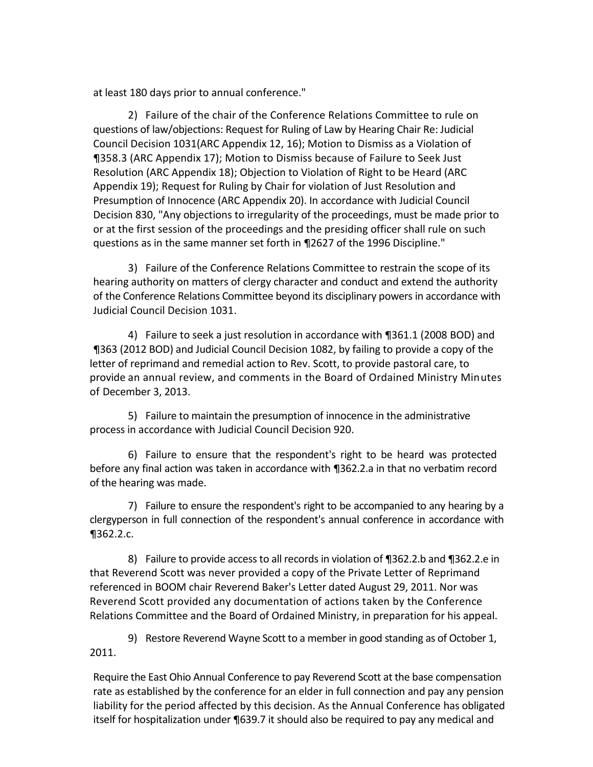at least 180 days prior to annual conference."

2) Failure of the chair of the Conference Relations Committee to rule on questions of law/objections: Request for Ruling of Law by Hearing Chair Re: Judicial Council Decision 1031(ARC Appendix 12, 16); Motion to Dismiss as a Violation of ¶358.3 (ARC Appendix 17); Motion to Dismiss because of Failure to Seek Just Resolution (ARC Appendix 18); Objection to Violation of Right to be Heard (ARC Appendix 19); Request for Ruling by Chair for violation of Just Resolution and Presumption of Innocence (ARC Appendix 20). In accordance with Judicial Council Decision 830, "Any objections to irregularity of the proceedings, must be made prior to or at the first session of the proceedings and the presiding officer shall rule on such questions as in the same manner set forth in ¶2627 of the 1996 Discipline."

3) Failure of the Conference Relations Committee to restrain the scope of its hearing authority on matters of clergy character and conduct and extend the authority of the Conference Relations Committee beyond its disciplinary powers in accordance with Judicial Council Decision 1031.

4) Failure to seek a just resolution in accordance with ¶361.1 (2008 BOD) and ¶363 (2012 BOD) and Judicial Council Decision 1082, by failing to provide a copy of the letter of reprimand and remedial action to Rev. Scott, to provide pastoral care, to provide an annual review, and comments in the Board of Ordained Ministry Minutes of December 3, 2013.

5) Failure to maintain the presumption of innocence in the administrative process in accordance with Judicial Council Decision 920.

6) Failure to ensure that the respondent's right to be heard was protected before any final action was taken in accordance with ¶362.2.a in that no verbatim record of the hearing was made.

7) Failure to ensure the respondent's right to be accompanied to any hearing by a clergyperson in full connection of the respondent's annual conference in accordance with ¶362.2.c.

8) Failure to provide access to all records in violation of ¶362.2.b and ¶362.2.e in that Reverend Scott was never provided a copy of the Private Letter of Reprimand referenced in BOOM chair Reverend Baker's Letter dated August 29, 2011. Nor was Reverend Scott provided any documentation of actions taken by the Conference Relations Committee and the Board of Ordained Ministry, in preparation for his appeal.

9) Restore Reverend Wayne Scott to a member in good standing as of October 1, 2011.

Require the East Ohio Annual Conference to pay Reverend Scott at the base compensation rate as established by the conference for an elder in full connection and pay any pension liability for the period affected by this decision. As the Annual Conference has obligated itself for hospitalization under ¶639.7 it should also be required to pay any medical and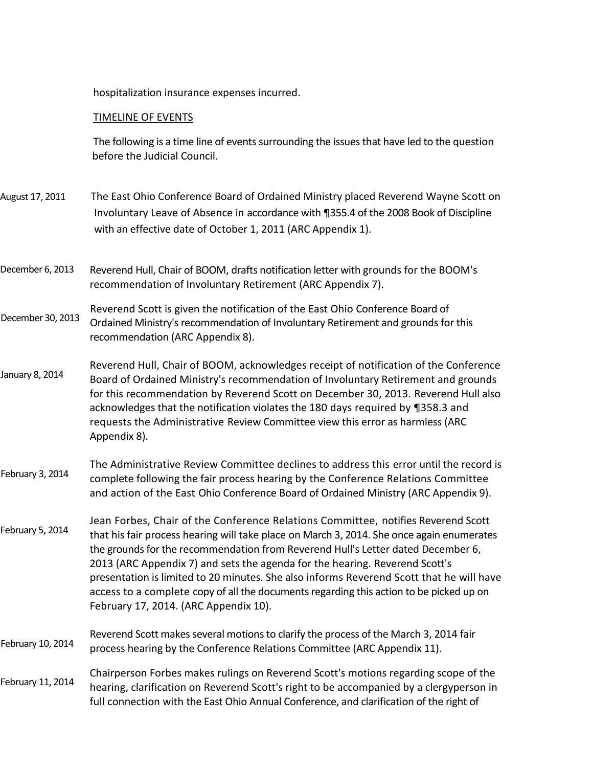hospitalization insurance expenses incurred.

### TIMELINE OF EVENTS

The following is a time line of events surrounding the issues that have led to the question be before the Judicial Council.

- August 17, 2011 The East Ohio Conference Board of Ordained Ministry placed Reverend Wayne Scott on Involuntary Leave of Absence in accordance with ¶355.4 of the 2008 Book of Discipline with an effective date of October 1, 2011 (ARC Appendix 1).
- Reverend Hull, Chair of BOOM, drafts notification letter with grounds for the BOOM's recommendation of Involuntary Retirement (ARC Appendix 7). December 6, 2013
- Reverend Scott is given the notification of the East Ohio Conference Board of Ordained Ministry's recommendation of Involuntary Retirement and grounds for this recommendation (ARC Appendix 8). December 30, 2013
- Reverend Hull, Chair of BOOM, acknowledges receipt of notification of the Conference Board of Ordained Ministry's recommendation of Involuntary Retirement and grounds for this recommendation by Reverend Scott on December 30, 2013. Reverend Hull also acknowledges that the notification violates the 180 days required by ¶358.3 and requests the Administrative Review Committee view this error as harmless (ARC Appendix 8). January 8, 2014
- The Administrative Review Committee declines to address this error until the record is complete following the fair process hearing by the Conference Relations Committee and action of the East Ohio Conference Board of Ordained Ministry (ARC Appendix 9). February 3, 2014
- Jean Forbes, Chair of the Conference Relations Committee, notifies Reverend Scott that his fair process hearing will take place on March 3, 2014. She once again enumerates the grounds for the recommendation from Reverend Hull's Letter dated December 6, 2013 (ARC Appendix 7) and sets the agenda for the hearing. Reverend Scott's presentation is limited to 20 minutes. She also informs Reverend Scott that he will have access to a complete copy of all the documents regarding this action to be picked up on February 17, 2014. (ARC Appendix 10). February 5, 2014
- Reverend Scott makes several motions to clarify the process of the March 3, 2014 fair process hearing by the Conference Relations Committee (ARC Appendix 11). February 10, 2014
- Chairperson Forbes makes rulings on Reverend Scott's motions regarding scope of the hearing, clarification on Reverend Scott's right to be accompanied by a clergyperson in full connection with the East Ohio Annual Conference, and clarification of the right of February 11, 2014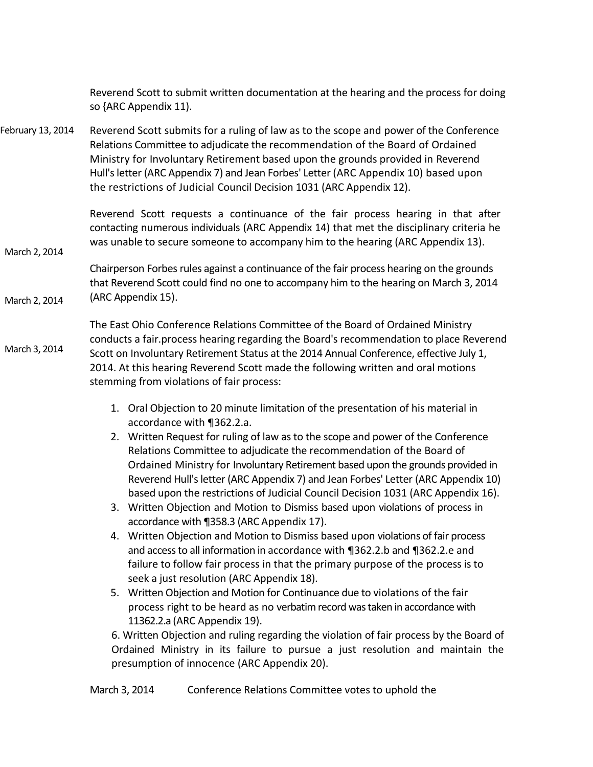Reverend Scott to submit written documentation at the hearing and the process for doing so {ARC Appendix 11).

Reverend Scott submits for a ruling of law as to the scope and power of the Conference Relations Committee to adjudicate the recommendation of the Board of Ordained Ministry for Involuntary Retirement based upon the grounds provided in Reverend Hull's letter (ARC Appendix 7) and Jean Forbes' Letter (ARC Appendix 10) based upon the restrictions of Judicial Council Decision 1031 (ARC Appendix 12). February 13, 2014

March 2, 2014

Reverend Scott requests a continuance of the fair process hearing in that after contacting numerous individuals (ARC Appendix 14) that met the disciplinary criteria he was unable to secure someone to accompany him to the hearing (ARC Appendix 13).

Chairperson Forbes rules against a continuance of the fair process hearing on the grounds that Reverend Scott could find no one to accompany him to the hearing on March 3, 2014 (ARC Appendix 15). March 2, 2014

The East Ohio Conference Relations Committee of the Board of Ordained Ministry conducts a fair.process hearing regarding the Board's recommendation to place Reverend Scott on Involuntary Retirement Status at the 2014 Annual Conference, effective July 1, 2014. At this hearing Reverend Scott made the following written and oral motions stemming from violations of fair process: March 3, 2014

- 1. Oral Objection to 20 minute limitation of the presentation of his material in accordance with ¶362.2.a.
- 2. Written Request for ruling of law as to the scope and power of the Conference Relations Committee to adjudicate the recommendation of the Board of Ordained Ministry for Involuntary Retirement based upon the grounds provided in Reverend Hull's letter (ARC Appendix 7) and Jean Forbes' Letter (ARC Appendix 10) based upon the restrictions of Judicial Council Decision 1031 (ARC Appendix 16).
- 3. Written Objection and Motion to Dismiss based upon violations of process in accordance with ¶358.3 (ARC Appendix 17).
- 4. Written Objection and Motion to Dismiss based upon violations of fair process and access to all information in accordance with ¶362.2.b and ¶362.2.e and failure to follow fair process in that the primary purpose of the process is to seek a just resolution (ARC Appendix 18).
- 5. Written Objection and Motion for Continuance due to violations of the fair process right to be heard as no verbatim record was taken in accordance with 11362.2.a (ARC Appendix 19).

6. Written Objection and ruling regarding the violation of fair process by the Board of Ordained Ministry in its failure to pursue a just resolution and maintain the presumption of innocence (ARC Appendix 20).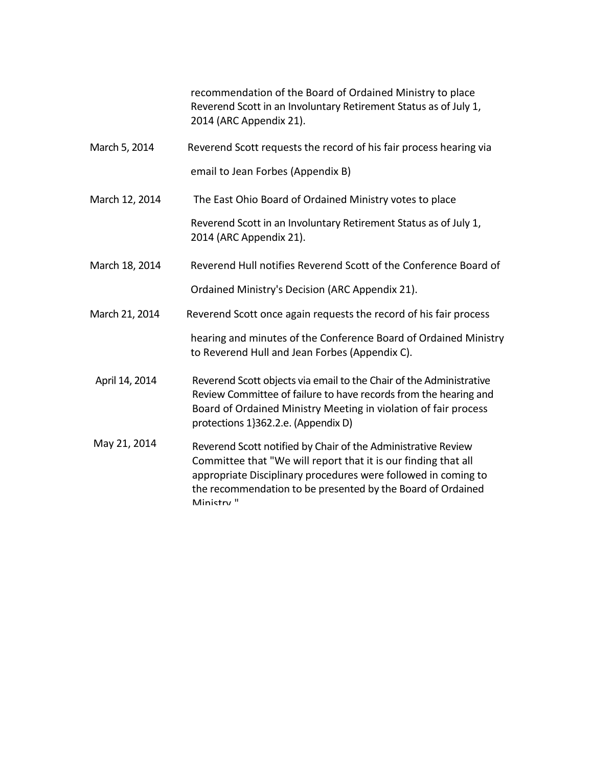recommendation of the Board of Ordained Ministry to place Reverend Scott in an Involuntary Retirement Status as of July 1, 2014 (ARC Appendix 21).

March 5, 2014 Reverend Scott requests the record of his fair process hearing via

email to Jean Forbes (Appendix B)

March 12, 2014 The East Ohio Board of Ordained Ministry votes to place

Reverend Scott in an Involuntary Retirement Status as of July 1, 2014 (ARC Appendix 21).

March 18, 2014 Reverend Hull notifies Reverend Scott of the Conference Board of

Ordained Ministry's Decision (ARC Appendix 21).

March 21, 2014 Reverend Scott once again requests the record of his fair process

hearing and minutes of the Conference Board of Ordained Ministry to Reverend Hull and Jean Forbes (Appendix C).

- April 14, 2014 Reverend Scott objects via email to the Chair of the Administrative Review Committee of failure to have records from the hearing and Board of Ordained Ministry Meeting in violation of fair process protections 1}362.2.e. (Appendix D)
- May 21, 2014 Reverend Scott notified by Chair of the Administrative Review Committee that "We will report that it is our finding that all appropriate Disciplinary procedures were followed in coming to the recommendation to be presented by the Board of Ordained Ministry<sup>"</sup>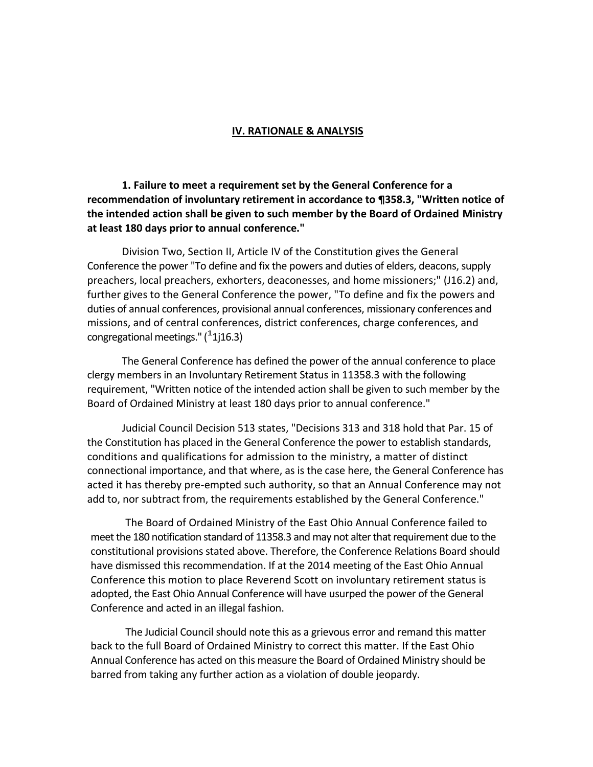#### **IV. RATIONALE & ANALYSIS**

**1. Failure to meet a requirement set by the General Conference for a recommendation of involuntary retirement in accordance to ¶358.3, "Written notice of the intended action shall be given to such member by the Board of Ordained Ministry at least 180 days prior to annual conference."**

Division Two, Section II, Article IV of the Constitution gives the General Conference the power "To define and fix the powers and duties of elders, deacons, supply preachers, local preachers, exhorters, deaconesses, and home missioners;" (J16.2) and, further gives to the General Conference the power, "To define and fix the powers and duties of annual conferences, provisional annual conferences, missionary conferences and missions, and of central conferences, district conferences, charge conferences, and  $\overline{\text{congregation}}$  congregational meetings." ( $^4$ 1j16.3)

The General Conference has defined the power of the annual conference to place clergy members in an Involuntary Retirement Status in 11358.3 with the following requirement, "Written notice of the intended action shall be given to such member by the Board of Ordained Ministry at least 180 days prior to annual conference."

Judicial Council Decision 513 states, "Decisions 313 and 318 hold that Par. 15 of the Constitution has placed in the General Conference the power to establish standards, conditions and qualifications for admission to the ministry, a matter of distinct connectional importance, and that where, as is the case here, the General Conference has acted it has thereby pre-empted such authority, so that an Annual Conference may not add to, nor subtract from, the requirements established by the General Conference."

The Board of Ordained Ministry of the East Ohio Annual Conference failed to meet the 180 notification standard of 11358.3 and may not alter that requirement due to the constitutional provisions stated above. Therefore, the Conference Relations Board should have dismissed this recommendation. If at the 2014 meeting of the East Ohio Annual Conference this motion to place Reverend Scott on involuntary retirement status is adopted, the East Ohio Annual Conference will have usurped the power of the General Conference and acted in an illegal fashion.

The Judicial Council should note this as a grievous error and remand this matter back to the full Board of Ordained Ministry to correct this matter. If the East Ohio Annual Conference has acted on this measure the Board of Ordained Ministry should be barred from taking any further action as a violation of double jeopardy.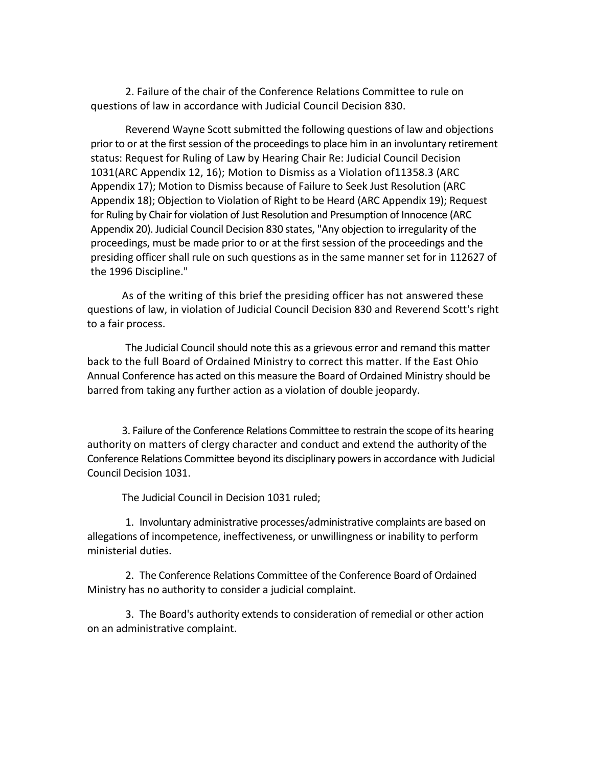2. Failure of the chair of the Conference Relations Committee to rule on questions of law in accordance with Judicial Council Decision 830.

Reverend Wayne Scott submitted the following questions of law and objections prior to or at the first session of the proceedings to place him in an involuntary retirement status: Request for Ruling of Law by Hearing Chair Re: Judicial Council Decision 1031(ARC Appendix 12, 16); Motion to Dismiss as a Violation of11358.3 (ARC Appendix 17); Motion to Dismiss because of Failure to Seek Just Resolution (ARC Appendix 18); Objection to Violation of Right to be Heard (ARC Appendix 19); Request for Ruling by Chair for violation of Just Resolution and Presumption of Innocence (ARC Appendix 20). Judicial Council Decision 830 states, "Any objection to irregularity of the proceedings, must be made prior to or at the first session of the proceedings and the presiding officer shall rule on such questions as in the same manner set for in 112627 of the 1996 Discipline."

As of the writing of this brief the presiding officer has not answered these questions of law, in violation of Judicial Council Decision 830 and Reverend Scott's right to a fair process.

The Judicial Council should note this as a grievous error and remand this matter back to the full Board of Ordained Ministry to correct this matter. If the East Ohio Annual Conference has acted on this measure the Board of Ordained Ministry should be barred from taking any further action as a violation of double jeopardy.

3. Failure of the Conference Relations Committee to restrain the scope of its hearing authority on matters of clergy character and conduct and extend the authority of the Conference Relations Committee beyond its disciplinary powers in accordance with Judicial Council Decision 1031.

The Judicial Council in Decision 1031 ruled;

1. Involuntary administrative processes/administrative complaints are based on allegations of incompetence, ineffectiveness, or unwillingness or inability to perform ministerial duties.

2. The Conference Relations Committee of the Conference Board of Ordained Ministry has no authority to consider a judicial complaint.

3. The Board's authority extends to consideration of remedial or other action on an administrative complaint.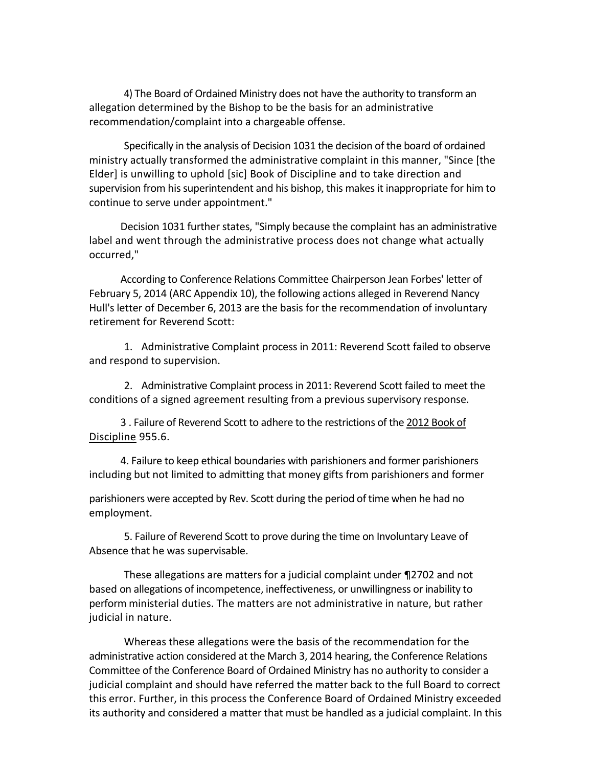4) The Board of Ordained Ministry does not have the authority to transform an allegation determined by the Bishop to be the basis for an administrative recommendation/complaint into a chargeable offense.

Specifically in the analysis of Decision 1031 the decision of the board of ordained ministry actually transformed the administrative complaint in this manner, "Since [the Elder] is unwilling to uphold [sic] Book of Discipline and to take direction and supervision from his superintendent and his bishop, this makes it inappropriate for him to continue to serve under appointment."

Decision 1031 further states, "Simply because the complaint has an administrative label and went through the administrative process does not change what actually occurred,"

According to Conference Relations Committee Chairperson Jean Forbes' letter of February 5, 2014 (ARC Appendix 10), the following actions alleged in Reverend Nancy Hull's letter of December 6, 2013 are the basis for the recommendation of involuntary retirement for Reverend Scott:

1. Administrative Complaint process in 2011: Reverend Scott failed to observe and respond to supervision.

2. Administrative Complaint process in 2011: Reverend Scott failed to meet the conditions of a signed agreement resulting from a previous supervisory response.

3 . Failure of Reverend Scott to adhere to the restrictions of the 2012 Book of Discipline 955.6.

4. Failure to keep ethical boundaries with parishioners and former parishioners including but not limited to admitting that money gifts from parishioners and former

parishioners were accepted by Rev. Scott during the period of time when he had no employment.

5. Failure of Reverend Scott to prove during the time on Involuntary Leave of Absence that he was supervisable.

These allegations are matters for a judicial complaint under ¶2702 and not based on allegations of incompetence, ineffectiveness, or unwillingness or inability to perform ministerial duties. The matters are not administrative in nature, but rather judicial in nature.

Whereas these allegations were the basis of the recommendation for the administrative action considered at the March 3, 2014 hearing, the Conference Relations Committee of the Conference Board of Ordained Ministry has no authority to consider a judicial complaint and should have referred the matter back to the full Board to correct this error. Further, in this process the Conference Board of Ordained Ministry exceeded its authority and considered a matter that must be handled as a judicial complaint. In this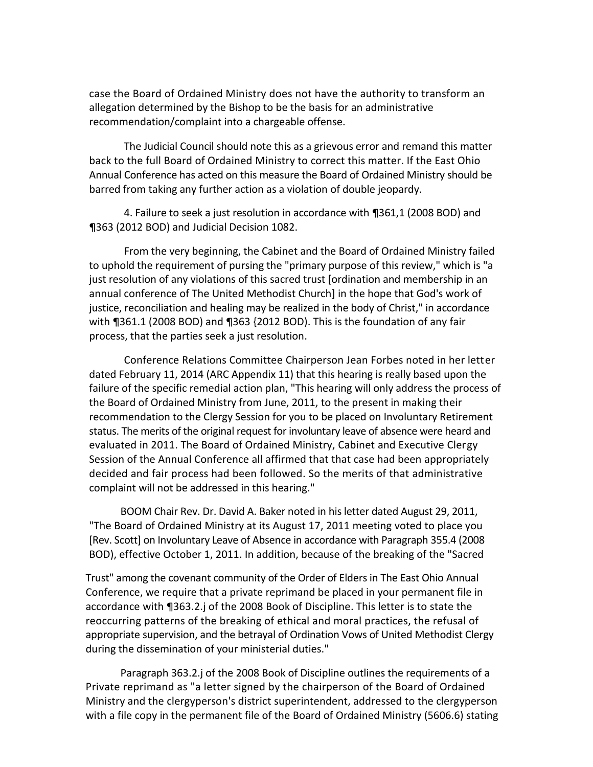case the Board of Ordained Ministry does not have the authority to transform an allegation determined by the Bishop to be the basis for an administrative recommendation/complaint into a chargeable offense.

The Judicial Council should note this as a grievous error and remand this matter back to the full Board of Ordained Ministry to correct this matter. If the East Ohio Annual Conference has acted on this measure the Board of Ordained Ministry should be barred from taking any further action as a violation of double jeopardy.

4. Failure to seek a just resolution in accordance with ¶361,1 (2008 BOD) and ¶363 (2012 BOD) and Judicial Decision 1082.

From the very beginning, the Cabinet and the Board of Ordained Ministry failed to uphold the requirement of pursing the "primary purpose of this review," which is "a just resolution of any violations of this sacred trust [ordination and membership in an annual conference of The United Methodist Church] in the hope that God's work of justice, reconciliation and healing may be realized in the body of Christ," in accordance with ¶361.1 (2008 BOD) and ¶363 {2012 BOD). This is the foundation of any fair process, that the parties seek a just resolution.

Conference Relations Committee Chairperson Jean Forbes noted in her letter dated February 11, 2014 (ARC Appendix 11) that this hearing is really based upon the failure of the specific remedial action plan, "This hearing will only address the process of the Board of Ordained Ministry from June, 2011, to the present in making their recommendation to the Clergy Session for you to be placed on Involuntary Retirement status. The merits of the original request for involuntary leave of absence were heard and evaluated in 2011. The Board of Ordained Ministry, Cabinet and Executive Clergy Session of the Annual Conference all affirmed that that case had been appropriately decided and fair process had been followed. So the merits of that administrative complaint will not be addressed in this hearing."

BOOM Chair Rev. Dr. David A. Baker noted in his letter dated August 29, 2011, "The Board of Ordained Ministry at its August 17, 2011 meeting voted to place you [Rev. Scott] on Involuntary Leave of Absence in accordance with Paragraph 355.4 (2008 BOD), effective October 1, 2011. In addition, because of the breaking of the "Sacred

Trust" among the covenant community of the Order of Elders in The East Ohio Annual Conference, we require that a private reprimand be placed in your permanent file in accordance with ¶363.2.j of the 2008 Book of Discipline. This letter is to state the reoccurring patterns of the breaking of ethical and moral practices, the refusal of appropriate supervision, and the betrayal of Ordination Vows of United Methodist Clergy during the dissemination of your ministerial duties."

Paragraph 363.2.j of the 2008 Book of Discipline outlines the requirements of a Private reprimand as "a letter signed by the chairperson of the Board of Ordained Ministry and the clergyperson's district superintendent, addressed to the clergyperson with a file copy in the permanent file of the Board of Ordained Ministry (5606.6) stating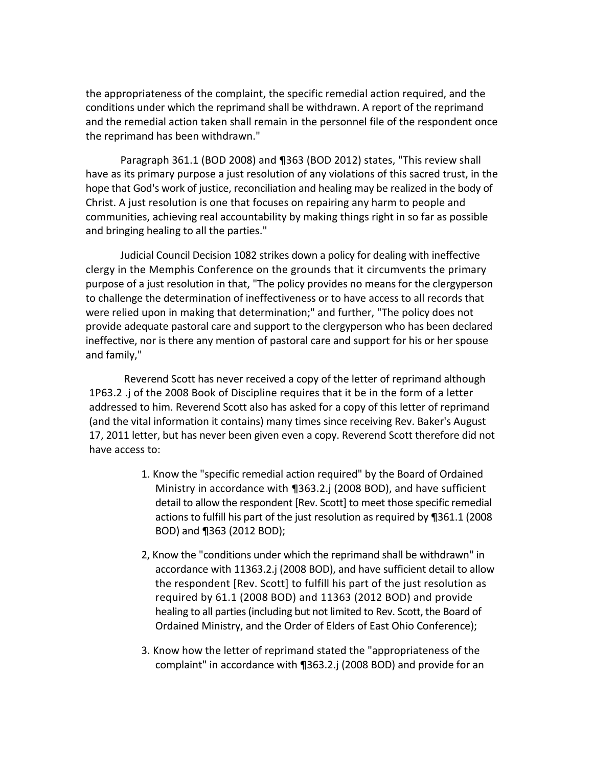the appropriateness of the complaint, the specific remedial action required, and the conditions under which the reprimand shall be withdrawn. A report of the reprimand and the remedial action taken shall remain in the personnel file of the respondent once the reprimand has been withdrawn."

Paragraph 361.1 (BOD 2008) and ¶363 (BOD 2012) states, "This review shall have as its primary purpose a just resolution of any violations of this sacred trust, in the hope that God's work of justice, reconciliation and healing may be realized in the body of Christ. A just resolution is one that focuses on repairing any harm to people and communities, achieving real accountability by making things right in so far as possible and bringing healing to all the parties."

Judicial Council Decision 1082 strikes down a policy for dealing with ineffective clergy in the Memphis Conference on the grounds that it circumvents the primary purpose of a just resolution in that, "The policy provides no means for the clergyperson to challenge the determination of ineffectiveness or to have access to all records that were relied upon in making that determination;" and further, "The policy does not provide adequate pastoral care and support to the clergyperson who has been declared ineffective, nor is there any mention of pastoral care and support for his or her spouse and family,"

Reverend Scott has never received a copy of the letter of reprimand although 1P63.2 .j of the 2008 Book of Discipline requires that it be in the form of a letter addressed to him. Reverend Scott also has asked for a copy of this letter of reprimand (and the vital information it contains) many times since receiving Rev. Baker's August 17, 2011 letter, but has never been given even a copy. Reverend Scott therefore did not have access to:

- 1. Know the "specific remedial action required" by the Board of Ordained Ministry in accordance with ¶363.2.j (2008 BOD), and have sufficient detail to allow the respondent [Rev. Scott] to meet those specific remedial actions to fulfill his part of the just resolution as required by ¶361.1 (2008 BOD) and ¶363 (2012 BOD);
- 2, Know the "conditions under which the reprimand shall be withdrawn" in accordance with 11363.2.j (2008 BOD), and have sufficient detail to allow the respondent [Rev. Scott] to fulfill his part of the just resolution as required by 61.1 (2008 BOD) and 11363 (2012 BOD) and provide healing to all parties (including but not limited to Rev. Scott, the Board of Ordained Ministry, and the Order of Elders of East Ohio Conference);
- 3. Know how the letter of reprimand stated the "appropriateness of the complaint" in accordance with ¶363.2.j (2008 BOD) and provide for an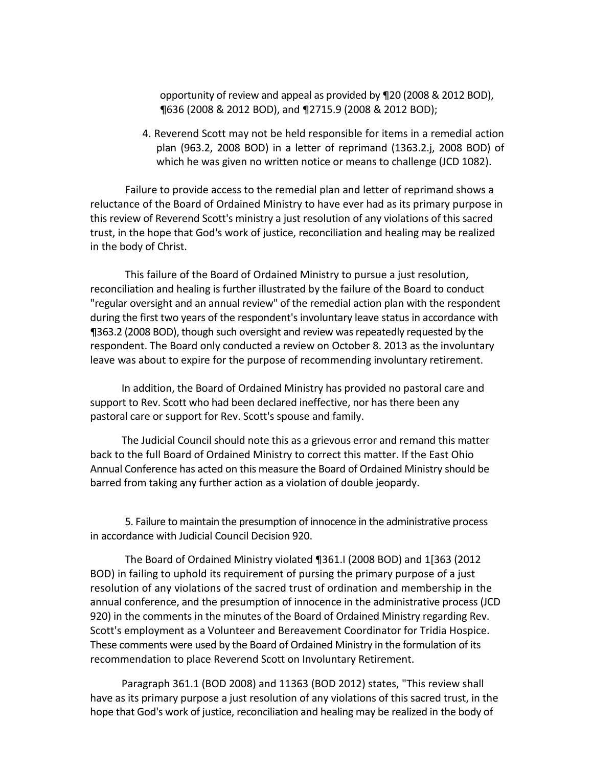opportunity of review and appeal as provided by ¶20 (2008 & 2012 BOD), ¶636 (2008 & 2012 BOD), and ¶2715.9 (2008 & 2012 BOD);

4. Reverend Scott may not be held responsible for items in a remedial action plan (963.2, 2008 BOD) in a letter of reprimand (1363.2.j, 2008 BOD) of which he was given no written notice or means to challenge (JCD 1082).

Failure to provide access to the remedial plan and letter of reprimand shows a reluctance of the Board of Ordained Ministry to have ever had as its primary purpose in this review of Reverend Scott's ministry a just resolution of any violations of this sacred trust, in the hope that God's work of justice, reconciliation and healing may be realized in the body of Christ.

This failure of the Board of Ordained Ministry to pursue a just resolution, reconciliation and healing is further illustrated by the failure of the Board to conduct "regular oversight and an annual review" of the remedial action plan with the respondent during the first two years of the respondent's involuntary leave status in accordance with ¶363.2 (2008 BOD), though such oversight and review was repeatedly requested by the respondent. The Board only conducted a review on October 8. 2013 as the involuntary leave was about to expire for the purpose of recommending involuntary retirement.

In addition, the Board of Ordained Ministry has provided no pastoral care and support to Rev. Scott who had been declared ineffective, nor has there been any pastoral care or support for Rev. Scott's spouse and family.

The Judicial Council should note this as a grievous error and remand this matter back to the full Board of Ordained Ministry to correct this matter. If the East Ohio Annual Conference has acted on this measure the Board of Ordained Ministry should be barred from taking any further action as a violation of double jeopardy.

5. Failure to maintain the presumption of innocence in the administrative process in accordance with Judicial Council Decision 920.

The Board of Ordained Ministry violated ¶361.I (2008 BOD) and 1[363 (2012 BOD) in failing to uphold its requirement of pursing the primary purpose of a just resolution of any violations of the sacred trust of ordination and membership in the annual conference, and the presumption of innocence in the administrative process (JCD 920) in the comments in the minutes of the Board of Ordained Ministry regarding Rev. Scott's employment as a Volunteer and Bereavement Coordinator for Tridia Hospice. These comments were used by the Board of Ordained Ministry in the formulation of its recommendation to place Reverend Scott on Involuntary Retirement.

Paragraph 361.1 (BOD 2008) and 11363 (BOD 2012) states, "This review shall have as its primary purpose a just resolution of any violations of this sacred trust, in the hope that God's work of justice, reconciliation and healing may be realized in the body of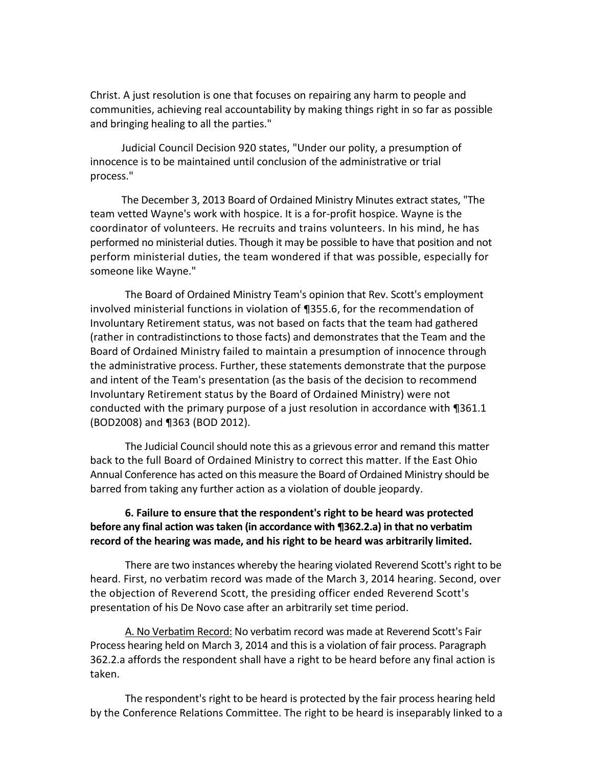Christ. A just resolution is one that focuses on repairing any harm to people and communities, achieving real accountability by making things right in so far as possible and bringing healing to all the parties."

Judicial Council Decision 920 states, "Under our polity, a presumption of innocence is to be maintained until conclusion of the administrative or trial process."

The December 3, 2013 Board of Ordained Ministry Minutes extract states, "The team vetted Wayne's work with hospice. It is a for-profit hospice. Wayne is the coordinator of volunteers. He recruits and trains volunteers. In his mind, he has performed no ministerial duties. Though it may be possible to have that position and not perform ministerial duties, the team wondered if that was possible, especially for someone like Wayne."

The Board of Ordained Ministry Team's opinion that Rev. Scott's employment involved ministerial functions in violation of ¶355.6, for the recommendation of Involuntary Retirement status, was not based on facts that the team had gathered (rather in contradistinctions to those facts) and demonstrates that the Team and the Board of Ordained Ministry failed to maintain a presumption of innocence through the administrative process. Further, these statements demonstrate that the purpose and intent of the Team's presentation (as the basis of the decision to recommend Involuntary Retirement status by the Board of Ordained Ministry) were not conducted with the primary purpose of a just resolution in accordance with ¶361.1 (BOD2008) and ¶363 (BOD 2012).

The Judicial Council should note this as a grievous error and remand this matter back to the full Board of Ordained Ministry to correct this matter. If the East Ohio Annual Conference has acted on this measure the Board of Ordained Ministry should be barred from taking any further action as a violation of double jeopardy.

## **6. Failure to ensure that the respondent's right to be heard was protected before any final action was taken (in accordance with ¶362.2.a) in that no verbatim record of the hearing was made, and his right to be heard was arbitrarily limited.**

There are two instances whereby the hearing violated Reverend Scott's right to be heard. First, no verbatim record was made of the March 3, 2014 hearing. Second, over the objection of Reverend Scott, the presiding officer ended Reverend Scott's presentation of his De Novo case after an arbitrarily set time period.

A. No Verbatim Record: No verbatim record was made at Reverend Scott's Fair Process hearing held on March 3, 2014 and this is a violation of fair process. Paragraph 362.2.a affords the respondent shall have a right to be heard before any final action is taken.

The respondent's right to be heard is protected by the fair process hearing held by the Conference Relations Committee. The right to be heard is inseparably linked to a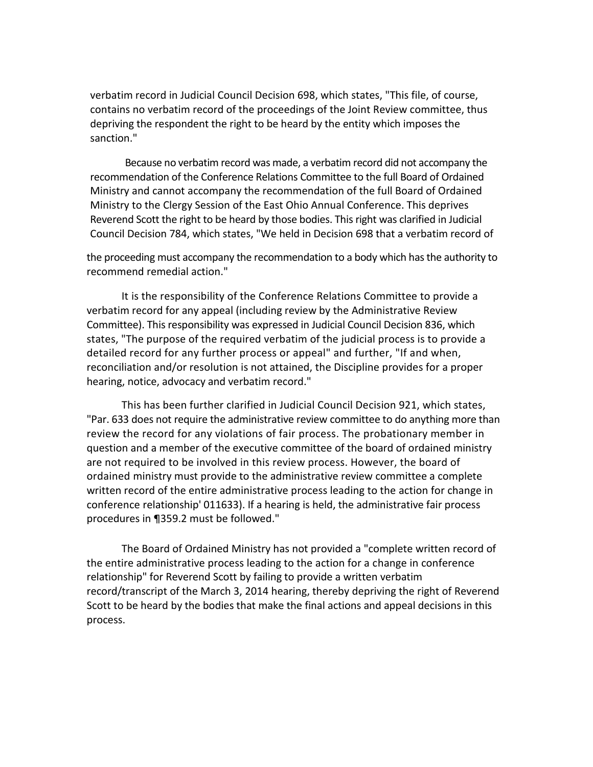verbatim record in Judicial Council Decision 698, which states, "This file, of course, contains no verbatim record of the proceedings of the Joint Review committee, thus depriving the respondent the right to be heard by the entity which imposes the sanction."

Because no verbatim record was made, a verbatim record did not accompany the recommendation of the Conference Relations Committee to the full Board of Ordained Ministry and cannot accompany the recommendation of the full Board of Ordained Ministry to the Clergy Session of the East Ohio Annual Conference. This deprives Reverend Scott the right to be heard by those bodies. This right was clarified in Judicial Council Decision 784, which states, "We held in Decision 698 that a verbatim record of

the proceeding must accompany the recommendation to a body which has the authority to recommend remedial action."

It is the responsibility of the Conference Relations Committee to provide a verbatim record for any appeal (including review by the Administrative Review Committee). This responsibility was expressed in Judicial Council Decision 836, which states, "The purpose of the required verbatim of the judicial process is to provide a detailed record for any further process or appeal" and further, "If and when, reconciliation and/or resolution is not attained, the Discipline provides for a proper hearing, notice, advocacy and verbatim record."

This has been further clarified in Judicial Council Decision 921, which states, "Par. 633 does not require the administrative review committee to do anything more than review the record for any violations of fair process. The probationary member in question and a member of the executive committee of the board of ordained ministry are not required to be involved in this review process. However, the board of ordained ministry must provide to the administrative review committee a complete written record of the entire administrative process leading to the action for change in conference relationship' 011633). If a hearing is held, the administrative fair process procedures in ¶359.2 must be followed."

The Board of Ordained Ministry has not provided a "complete written record of the entire administrative process leading to the action for a change in conference relationship" for Reverend Scott by failing to provide a written verbatim record/transcript of the March 3, 2014 hearing, thereby depriving the right of Reverend Scott to be heard by the bodies that make the final actions and appeal decisions in this process.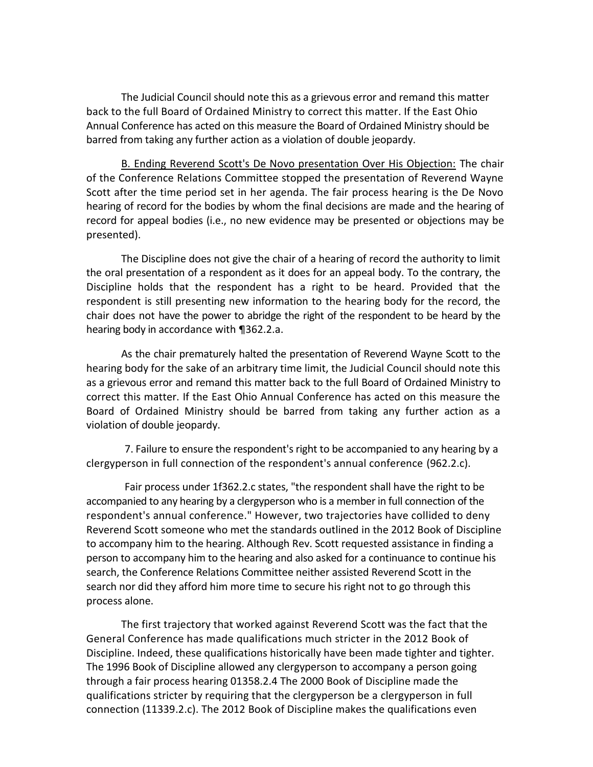The Judicial Council should note this as a grievous error and remand this matter back to the full Board of Ordained Ministry to correct this matter. If the East Ohio Annual Conference has acted on this measure the Board of Ordained Ministry should be barred from taking any further action as a violation of double jeopardy.

B. Ending Reverend Scott's De Novo presentation Over His Objection: The chair of the Conference Relations Committee stopped the presentation of Reverend Wayne Scott after the time period set in her agenda. The fair process hearing is the De Novo hearing of record for the bodies by whom the final decisions are made and the hearing of record for appeal bodies (i.e., no new evidence may be presented or objections may be presented).

The Discipline does not give the chair of a hearing of record the authority to limit the oral presentation of a respondent as it does for an appeal body. To the contrary, the Discipline holds that the respondent has a right to be heard. Provided that the respondent is still presenting new information to the hearing body for the record, the chair does not have the power to abridge the right of the respondent to be heard by the hearing body in accordance with ¶362.2.a.

As the chair prematurely halted the presentation of Reverend Wayne Scott to the hearing body for the sake of an arbitrary time limit, the Judicial Council should note this as a grievous error and remand this matter back to the full Board of Ordained Ministry to correct this matter. If the East Ohio Annual Conference has acted on this measure the Board of Ordained Ministry should be barred from taking any further action as a violation of double jeopardy.

7. Failure to ensure the respondent's right to be accompanied to any hearing by a clergyperson in full connection of the respondent's annual conference (962.2.c).

Fair process under 1f362.2.c states, "the respondent shall have the right to be accompanied to any hearing by a clergyperson who is a member in full connection of the respondent's annual conference." However, two trajectories have collided to deny Reverend Scott someone who met the standards outlined in the 2012 Book of Discipline to accompany him to the hearing. Although Rev. Scott requested assistance in finding a person to accompany him to the hearing and also asked for a continuance to continue his search, the Conference Relations Committee neither assisted Reverend Scott in the search nor did they afford him more time to secure his right not to go through this process alone.

The first trajectory that worked against Reverend Scott was the fact that the General Conference has made qualifications much stricter in the 2012 Book of Discipline. Indeed, these qualifications historically have been made tighter and tighter. The 1996 Book of Discipline allowed any clergyperson to accompany a person going through a fair process hearing 01358.2.4 The 2000 Book of Discipline made the qualifications stricter by requiring that the clergyperson be a clergyperson in full connection (11339.2.c). The 2012 Book of Discipline makes the qualifications even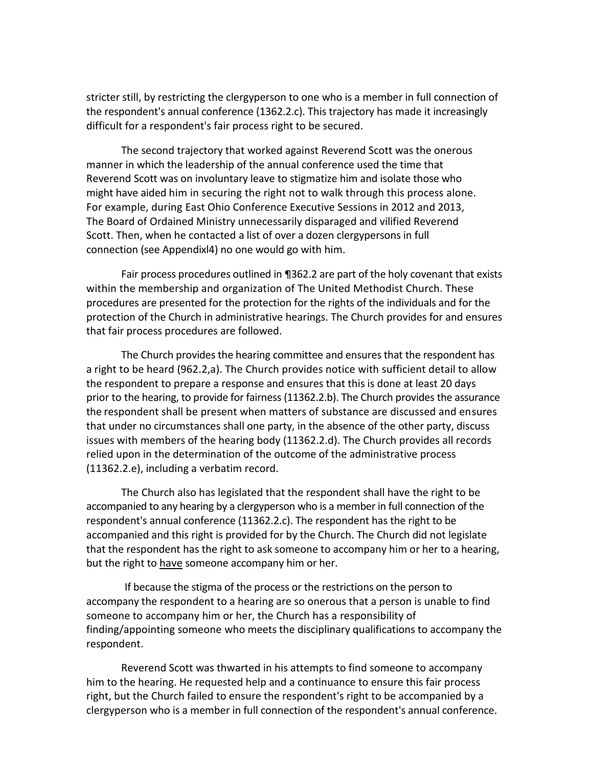stricter still, by restricting the clergyperson to one who is a member in full connection of the respondent's annual conference (1362.2.c). This trajectory has made it increasingly difficult for a respondent's fair process right to be secured.

The second trajectory that worked against Reverend Scott was the onerous manner in which the leadership of the annual conference used the time that Reverend Scott was on involuntary leave to stigmatize him and isolate those who might have aided him in securing the right not to walk through this process alone. For example, during East Ohio Conference Executive Sessions in 2012 and 2013, The Board of Ordained Ministry unnecessarily disparaged and vilified Reverend Scott. Then, when he contacted a list of over a dozen clergypersons in full connection (see Appendixl4) no one would go with him.

Fair process procedures outlined in ¶362.2 are part of the holy covenant that exists within the membership and organization of The United Methodist Church. These procedures are presented for the protection for the rights of the individuals and for the protection of the Church in administrative hearings. The Church provides for and ensures that fair process procedures are followed.

The Church provides the hearing committee and ensures that the respondent has a right to be heard (962.2,a). The Church provides notice with sufficient detail to allow the respondent to prepare a response and ensures that this is done at least 20 days prior to the hearing, to provide for fairness (11362.2.b). The Church provides the assurance the respondent shall be present when matters of substance are discussed and ensures that under no circumstances shall one party, in the absence of the other party, discuss issues with members of the hearing body (11362.2.d). The Church provides all records relied upon in the determination of the outcome of the administrative process (11362.2.e), including a verbatim record.

The Church also has legislated that the respondent shall have the right to be accompanied to any hearing by a clergyperson who is a member in full connection of the respondent's annual conference (11362.2.c). The respondent has the right to be accompanied and this right is provided for by the Church. The Church did not legislate that the respondent has the right to ask someone to accompany him or her to a hearing, but the right to have someone accompany him or her.

If because the stigma of the process or the restrictions on the person to accompany the respondent to a hearing are so onerous that a person is unable to find someone to accompany him or her, the Church has a responsibility of finding/appointing someone who meets the disciplinary qualifications to accompany the respondent.

Reverend Scott was thwarted in his attempts to find someone to accompany him to the hearing. He requested help and a continuance to ensure this fair process right, but the Church failed to ensure the respondent's right to be accompanied by a clergyperson who is a member in full connection of the respondent's annual conference.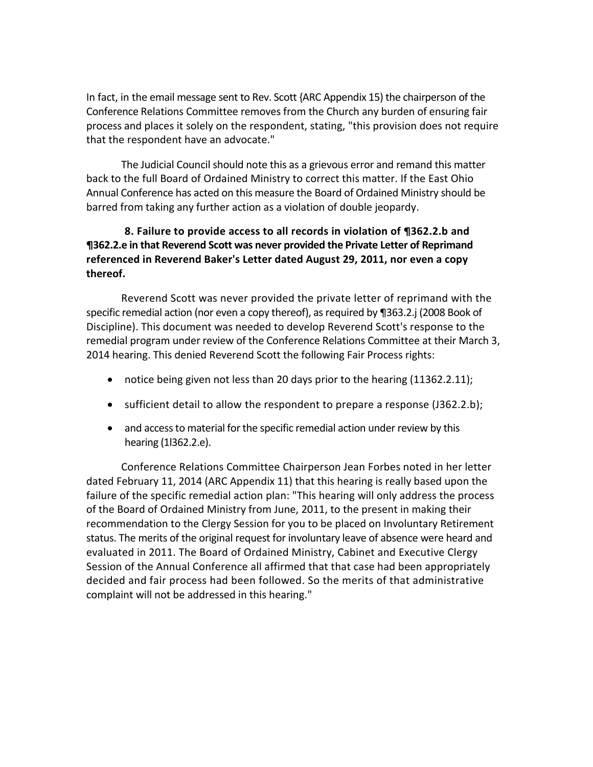In fact, in the email message sent to Rev. Scott {ARC Appendix 15) the chairperson of the Conference Relations Committee removes from the Church any burden of ensuring fair process and places it solely on the respondent, stating, "this provision does not require that the respondent have an advocate."

The Judicial Council should note this as a grievous error and remand this matter back to the full Board of Ordained Ministry to correct this matter. If the East Ohio Annual Conference has acted on this measure the Board of Ordained Ministry should be barred from taking any further action as a violation of double jeopardy.

## **8. Failure to provide access to all records in violation of ¶362.2.b and ¶362.2.e in that Reverend Scott was never provided the Private Letter of Reprimand referenced in Reverend Baker's Letter dated August 29, 2011, nor even a copy thereof.**

Reverend Scott was never provided the private letter of reprimand with the specific remedial action (nor even a copy thereof), as required by ¶363.2.j (2008 Book of Discipline). This document was needed to develop Reverend Scott's response to the remedial program under review of the Conference Relations Committee at their March 3, 2014 hearing. This denied Reverend Scott the following Fair Process rights:

- notice being given not less than 20 days prior to the hearing (11362.2.11);
- sufficient detail to allow the respondent to prepare a response (J362.2.b);
- and access to material for the specific remedial action under review by this hearing (1l362.2.e).

Conference Relations Committee Chairperson Jean Forbes noted in her letter dated February 11, 2014 (ARC Appendix 11) that this hearing is really based upon the failure of the specific remedial action plan: "This hearing will only address the process of the Board of Ordained Ministry from June, 2011, to the present in making their recommendation to the Clergy Session for you to be placed on Involuntary Retirement status. The merits of the original request for involuntary leave of absence were heard and evaluated in 2011. The Board of Ordained Ministry, Cabinet and Executive Clergy Session of the Annual Conference all affirmed that that case had been appropriately decided and fair process had been followed. So the merits of that administrative complaint will not be addressed in this hearing."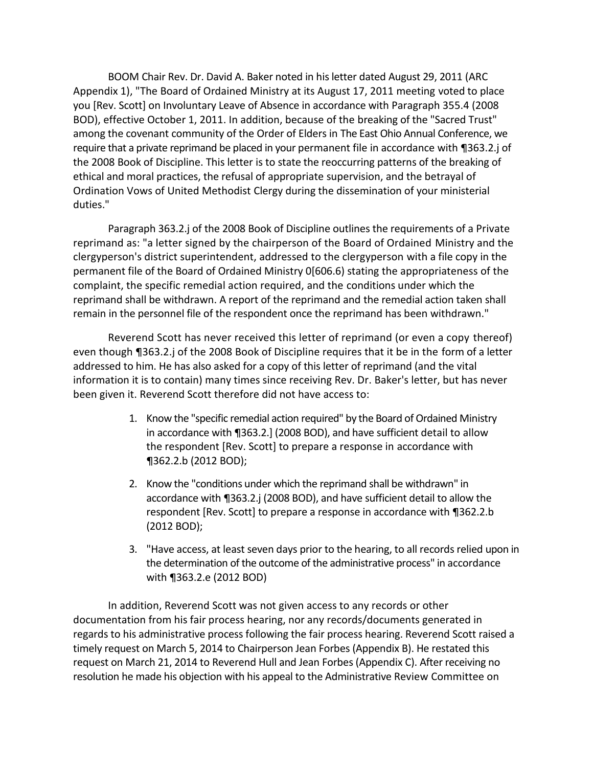BOOM Chair Rev. Dr. David A. Baker noted in his letter dated August 29, 2011 (ARC Appendix 1), "The Board of Ordained Ministry at its August 17, 2011 meeting voted to place you [Rev. Scott] on Involuntary Leave of Absence in accordance with Paragraph 355.4 (2008 BOD), effective October 1, 2011. In addition, because of the breaking of the "Sacred Trust" among the covenant community of the Order of Elders in The East Ohio Annual Conference, we require that a private reprimand be placed in your permanent file in accordance with ¶363.2.j of the 2008 Book of Discipline. This letter is to state the reoccurring patterns of the breaking of ethical and moral practices, the refusal of appropriate supervision, and the betrayal of Ordination Vows of United Methodist Clergy during the dissemination of your ministerial duties."

Paragraph 363.2.j of the 2008 Book of Discipline outlines the requirements of a Private reprimand as: "a letter signed by the chairperson of the Board of Ordained Ministry and the clergyperson's district superintendent, addressed to the clergyperson with a file copy in the permanent file of the Board of Ordained Ministry 0[606.6) stating the appropriateness of the complaint, the specific remedial action required, and the conditions under which the reprimand shall be withdrawn. A report of the reprimand and the remedial action taken shall remain in the personnel file of the respondent once the reprimand has been withdrawn."

Reverend Scott has never received this letter of reprimand (or even a copy thereof) even though ¶363.2.j of the 2008 Book of Discipline requires that it be in the form of a letter addressed to him. He has also asked for a copy of this letter of reprimand (and the vital information it is to contain) many times since receiving Rev. Dr. Baker's letter, but has never been given it. Reverend Scott therefore did not have access to:

- 1. Know the "specific remedial action required" by the Board of Ordained Ministry in accordance with ¶363.2.] (2008 BOD), and have sufficient detail to allow the respondent [Rev. Scott] to prepare a response in accordance with ¶362.2.b (2012 BOD);
- 2. Know the "conditions under which the reprimand shall be withdrawn" in accordance with ¶363.2.j (2008 BOD), and have sufficient detail to allow the respondent [Rev. Scott] to prepare a response in accordance with ¶362.2.b (2012 BOD);
- 3. "Have access, at least seven days prior to the hearing, to all records relied upon in the determination of the outcome of the administrative process" in accordance with ¶363.2.e (2012 BOD)

In addition, Reverend Scott was not given access to any records or other documentation from his fair process hearing, nor any records/documents generated in regards to his administrative process following the fair process hearing. Reverend Scott raised a timely request on March 5, 2014 to Chairperson Jean Forbes (Appendix B). He restated this request on March 21, 2014 to Reverend Hull and Jean Forbes (Appendix C). After receiving no resolution he made his objection with his appeal to the Administrative Review Committee on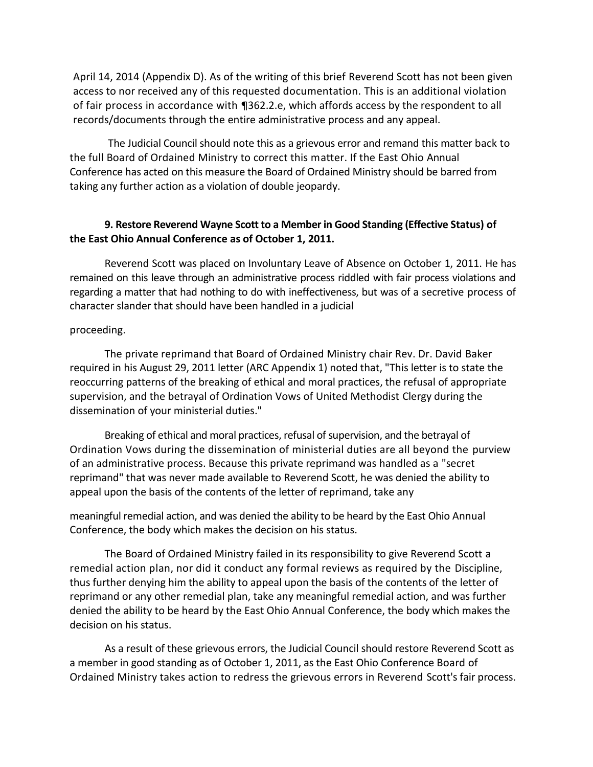April 14, 2014 (Appendix D). As of the writing of this brief Reverend Scott has not been given access to nor received any of this requested documentation. This is an additional violation of fair process in accordance with ¶362.2.e, which affords access by the respondent to all records/documents through the entire administrative process and any appeal.

The Judicial Council should note this as a grievous error and remand this matter back to the full Board of Ordained Ministry to correct this matter. If the East Ohio Annual Conference has acted on this measure the Board of Ordained Ministry should be barred from taking any further action as a violation of double jeopardy.

## **9. Restore Reverend Wayne Scott to a Member in Good Standing (Effective Status) of the East Ohio Annual Conference as of October 1, 2011.**

Reverend Scott was placed on Involuntary Leave of Absence on October 1, 2011. He has remained on this leave through an administrative process riddled with fair process violations and regarding a matter that had nothing to do with ineffectiveness, but was of a secretive process of character slander that should have been handled in a judicial

### proceeding.

The private reprimand that Board of Ordained Ministry chair Rev. Dr. David Baker required in his August 29, 2011 letter (ARC Appendix 1) noted that, "This letter is to state the reoccurring patterns of the breaking of ethical and moral practices, the refusal of appropriate supervision, and the betrayal of Ordination Vows of United Methodist Clergy during the dissemination of your ministerial duties."

Breaking of ethical and moral practices, refusal of supervision, and the betrayal of Ordination Vows during the dissemination of ministerial duties are all beyond the purview of an administrative process. Because this private reprimand was handled as a "secret reprimand" that was never made available to Reverend Scott, he was denied the ability to appeal upon the basis of the contents of the letter of reprimand, take any

meaningful remedial action, and was denied the ability to be heard by the East Ohio Annual Conference, the body which makes the decision on his status.

The Board of Ordained Ministry failed in its responsibility to give Reverend Scott a remedial action plan, nor did it conduct any formal reviews as required by the Discipline, thus further denying him the ability to appeal upon the basis of the contents of the letter of reprimand or any other remedial plan, take any meaningful remedial action, and was further denied the ability to be heard by the East Ohio Annual Conference, the body which makes the decision on his status.

As a result of these grievous errors, the Judicial Council should restore Reverend Scott as a member in good standing as of October 1, 2011, as the East Ohio Conference Board of Ordained Ministry takes action to redress the grievous errors in Reverend Scott's fair process.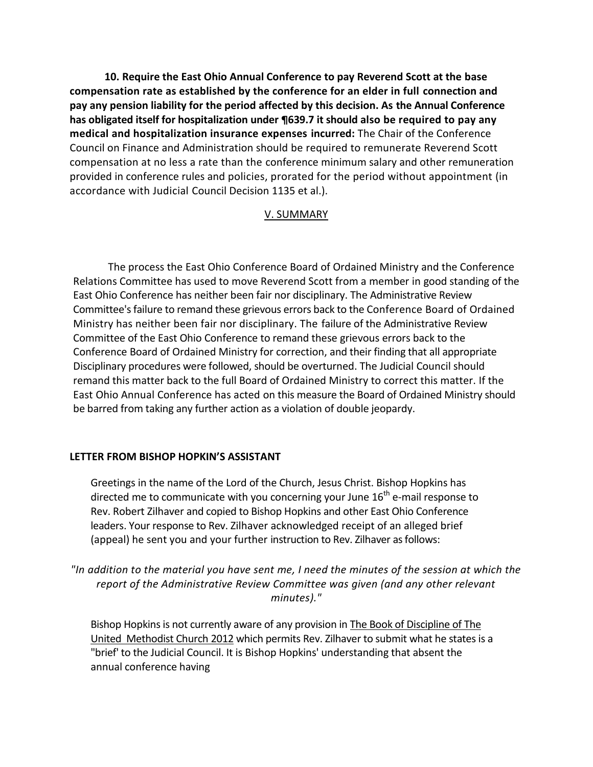**10. Require the East Ohio Annual Conference to pay Reverend Scott at the base compensation rate as established by the conference for an elder in full connection and pay any pension liability for the period affected by this decision. As the Annual Conference has obligated itself for hospitalization under ¶639.7 it should also be required to pay any medical and hospitalization insurance expenses incurred:** The Chair of the Conference Council on Finance and Administration should be required to remunerate Reverend Scott compensation at no less a rate than the conference minimum salary and other remuneration provided in conference rules and policies, prorated for the period without appointment (in accordance with Judicial Council Decision 1135 et al.).

### V. SUMMARY

The process the East Ohio Conference Board of Ordained Ministry and the Conference Relations Committee has used to move Reverend Scott from a member in good standing of the East Ohio Conference has neither been fair nor disciplinary. The Administrative Review Committee'sfailure to remand these grievous errors back to the Conference Board of Ordained Ministry has neither been fair nor disciplinary. The failure of the Administrative Review Committee of the East Ohio Conference to remand these grievous errors back to the Conference Board of Ordained Ministry for correction, and their finding that all appropriate Disciplinary procedures were followed, should be overturned. The Judicial Council should remand this matter back to the full Board of Ordained Ministry to correct this matter. If the East Ohio Annual Conference has acted on this measure the Board of Ordained Ministry should be barred from taking any further action as a violation of double jeopardy.

### **LETTER FROM BISHOP HOPKIN'S ASSISTANT**

Greetings in the name of the Lord of the Church, Jesus Christ. Bishop Hopkins has directed me to communicate with you concerning your June  $16<sup>th</sup>$  e-mail response to Rev. Robert Zilhaver and copied to Bishop Hopkins and other East Ohio Conference leaders. Your response to Rev. Zilhaver acknowledged receipt of an alleged brief (appeal) he sent you and your further instruction to Rev. Zilhaver as follows:

*"In addition to the material you have sent me, I need the minutes of the session at which the report of the Administrative Review Committee was given (and any other relevant minutes)."*

Bishop Hopkins is not currently aware of any provision in The Book of Discipline of The United Methodist Church 2012 which permits Rev. Zilhaver to submit what he states is a "brief' to the Judicial Council. It is Bishop Hopkins' understanding that absent the annual conference having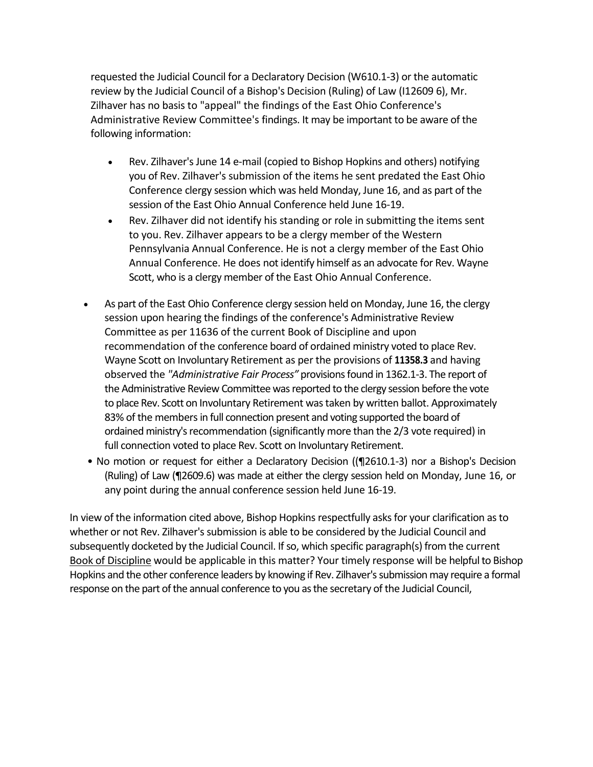requested the Judicial Council for a Declaratory Decision (W610.1-3) or the automatic review by the Judicial Council of a Bishop's Decision (Ruling) of Law (I12609 6), Mr. Zilhaver has no basis to "appeal" the findings of the East Ohio Conference's Administrative Review Committee's findings. It may be important to be aware of the following information:

- Rev. Zilhaver's June 14 e-mail (copied to Bishop Hopkins and others) notifying you of Rev. Zilhaver's submission of the items he sent predated the East Ohio Conference clergy session which was held Monday, June 16, and as part of the session of the East Ohio Annual Conference held June 16-19.
- Rev. Zilhaver did not identify his standing or role in submitting the items sent to you. Rev. Zilhaver appears to be a clergy member of the Western Pennsylvania Annual Conference. He is not a clergy member of the East Ohio Annual Conference. He does not identify himself as an advocate for Rev. Wayne Scott, who is a clergy member of the East Ohio Annual Conference.
- As part of the East Ohio Conference clergy session held on Monday, June 16, the clergy session upon hearing the findings of the conference's Administrative Review Committee as per 11636 of the current Book of Discipline and upon recommendation of the conference board of ordained ministry voted to place Rev. Wayne Scott on Involuntary Retirement as per the provisions of **11358.3** and having observed the *"Administrative Fair Process"* provisions found in 1362.1-3. The report of the Administrative Review Committee was reported to the clergy session before the vote to place Rev. Scott on Involuntary Retirement was taken by written ballot. Approximately 83% of the members in full connection present and voting supported the board of ordained ministry's recommendation (significantly more than the 2/3 vote required) in full connection voted to place Rev. Scott on Involuntary Retirement.
- No motion or request for either a Declaratory Decision ((¶2610.1-3) nor a Bishop's Decision (Ruling) of Law (¶2609.6) was made at either the clergy session held on Monday, June 16, or any point during the annual conference session held June 16-19.

In view of the information cited above, Bishop Hopkins respectfully asks for your clarification as to whether or not Rev. Zilhaver's submission is able to be considered by the Judicial Council and subsequently docketed by the Judicial Council. If so, which specific paragraph(s) from the current Book of Discipline would be applicable in this matter? Your timely response will be helpful to Bishop Hopkins and the other conference leaders by knowing if Rev. Zilhaver's submission may require a formal response on the part of the annual conference to you as the secretary of the Judicial Council,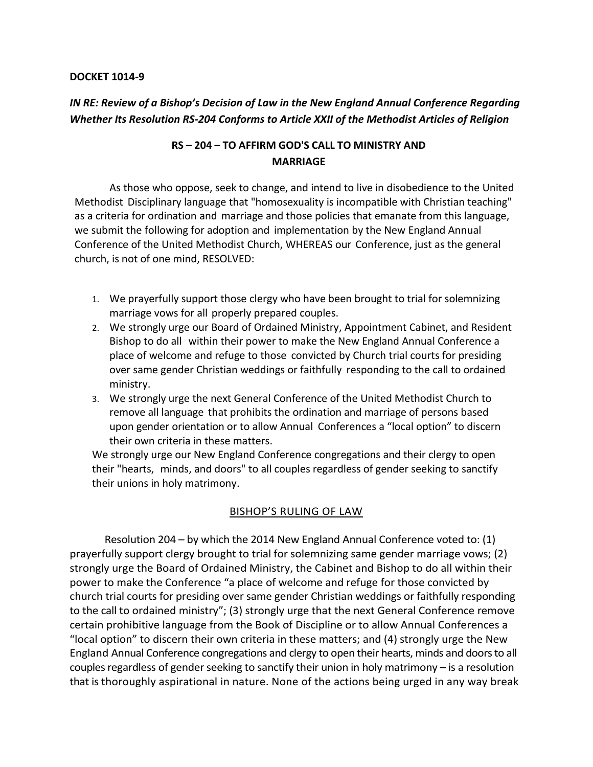#### **DOCKET 1014-9**

# *IN RE: Review of a Bishop's Decision of Law in the New England Annual Conference Regarding Whether Its Resolution RS-204 Conforms to Article XXII of the Methodist Articles of Religion*

## **RS – 204 – TO AFFIRM GOD'S CALL TO MINISTRY AND MARRIAGE**

As those who oppose, seek to change, and intend to live in disobedience to the United Methodist Disciplinary language that "homosexuality is incompatible with Christian teaching" as a criteria for ordination and marriage and those policies that emanate from this language, we submit the following for adoption and implementation by the New England Annual Conference of the United Methodist Church, WHEREAS our Conference, just as the general church, is not of one mind, RESOLVED:

- 1. We prayerfully support those clergy who have been brought to trial for solemnizing marriage vows for all properly prepared couples.
- 2. We strongly urge our Board of Ordained Ministry, Appointment Cabinet, and Resident Bishop to do all within their power to make the New England Annual Conference a place of welcome and refuge to those convicted by Church trial courts for presiding over same gender Christian weddings or faithfully responding to the call to ordained ministry.
- 3. We strongly urge the next General Conference of the United Methodist Church to remove all language that prohibits the ordination and marriage of persons based upon gender orientation or to allow Annual Conferences a "local option" to discern their own criteria in these matters.

We strongly urge our New England Conference congregations and their clergy to open their "hearts, minds, and doors" to all couples regardless of gender seeking to sanctify their unions in holy matrimony.

### BISHOP'S RULING OF LAW

Resolution 204 – by which the 2014 New England Annual Conference voted to: (1) prayerfully support clergy brought to trial for solemnizing same gender marriage vows; (2) strongly urge the Board of Ordained Ministry, the Cabinet and Bishop to do all within their power to make the Conference "a place of welcome and refuge for those convicted by church trial courts for presiding over same gender Christian weddings or faithfully responding to the call to ordained ministry"; (3) strongly urge that the next General Conference remove certain prohibitive language from the Book of Discipline or to allow Annual Conferences a "local option" to discern their own criteria in these matters; and (4) strongly urge the New England Annual Conference congregations and clergy to open their hearts, minds and doors to all couples regardless of gender seeking to sanctify their union in holy matrimony – is a resolution that is thoroughly aspirational in nature. None of the actions being urged in any way break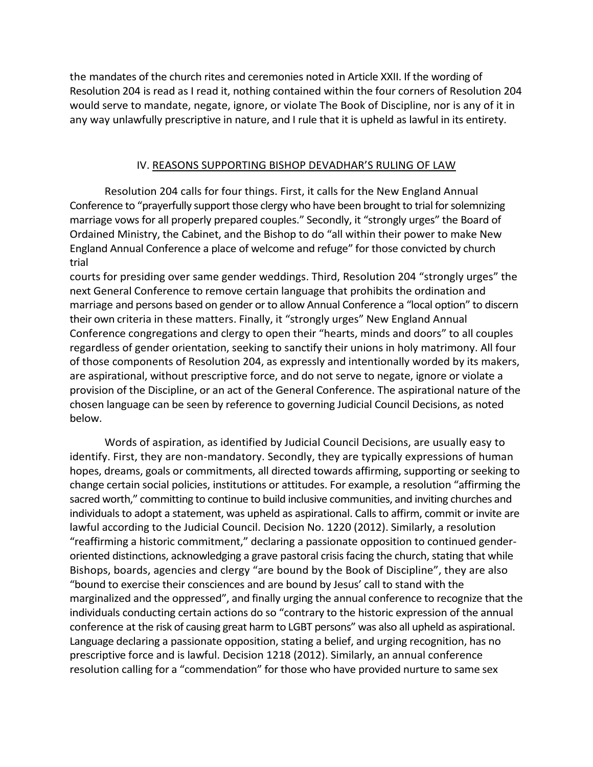the mandates of the church rites and ceremonies noted in Article XXII. If the wording of Resolution 204 is read as I read it, nothing contained within the four corners of Resolution 204 would serve to mandate, negate, ignore, or violate The Book of Discipline, nor is any of it in any way unlawfully prescriptive in nature, and I rule that it is upheld as lawful in its entirety.

#### IV. REASONS SUPPORTING BISHOP DEVADHAR'S RULING OF LAW

Resolution 204 calls for four things. First, it calls for the New England Annual Conference to "prayerfully support those clergy who have been brought to trial for solemnizing marriage vows for all properly prepared couples." Secondly, it "strongly urges" the Board of Ordained Ministry, the Cabinet, and the Bishop to do "all within their power to make New England Annual Conference a place of welcome and refuge" for those convicted by church trial

courts for presiding over same gender weddings. Third, Resolution 204 "strongly urges" the next General Conference to remove certain language that prohibits the ordination and marriage and persons based on gender or to allow Annual Conference a "local option" to discern their own criteria in these matters. Finally, it "strongly urges" New England Annual Conference congregations and clergy to open their "hearts, minds and doors" to all couples regardless of gender orientation, seeking to sanctify their unions in holy matrimony. All four of those components of Resolution 204, as expressly and intentionally worded by its makers, are aspirational, without prescriptive force, and do not serve to negate, ignore or violate a provision of the Discipline, or an act of the General Conference. The aspirational nature of the chosen language can be seen by reference to governing Judicial Council Decisions, as noted below.

Words of aspiration, as identified by Judicial Council Decisions, are usually easy to identify. First, they are non-mandatory. Secondly, they are typically expressions of human hopes, dreams, goals or commitments, all directed towards affirming, supporting or seeking to change certain social policies, institutions or attitudes. For example, a resolution "affirming the sacred worth," committing to continue to build inclusive communities, and inviting churches and individuals to adopt a statement, was upheld as aspirational. Calls to affirm, commit or invite are lawful according to the Judicial Council. Decision No. 1220 (2012). Similarly, a resolution "reaffirming a historic commitment," declaring a passionate opposition to continued genderoriented distinctions, acknowledging a grave pastoral crisis facing the church, stating that while Bishops, boards, agencies and clergy "are bound by the Book of Discipline", they are also "bound to exercise their consciences and are bound by Jesus' call to stand with the marginalized and the oppressed", and finally urging the annual conference to recognize that the individuals conducting certain actions do so "contrary to the historic expression of the annual conference at the risk of causing great harm to LGBT persons" was also all upheld as aspirational. Language declaring a passionate opposition, stating a belief, and urging recognition, has no prescriptive force and is lawful. Decision 1218 (2012). Similarly, an annual conference resolution calling for a "commendation" for those who have provided nurture to same sex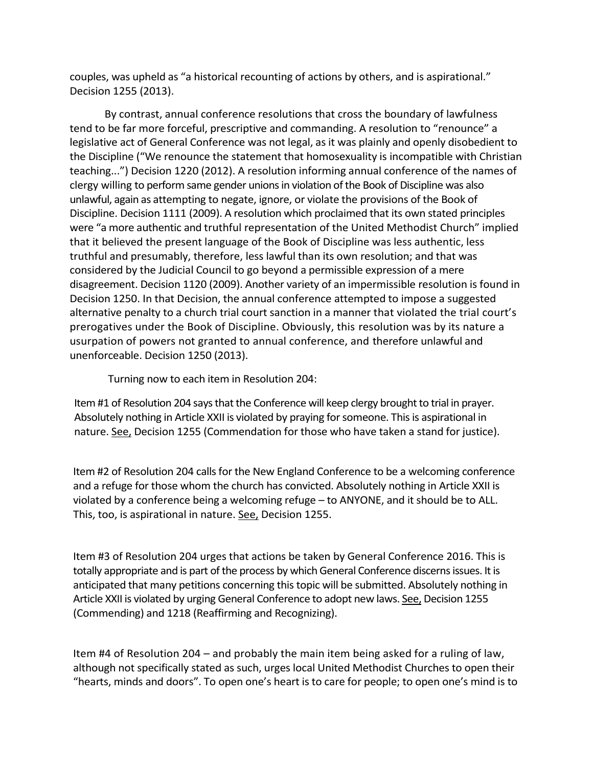couples, was upheld as "a historical recounting of actions by others, and is aspirational." Decision 1255 (2013).

By contrast, annual conference resolutions that cross the boundary of lawfulness tend to be far more forceful, prescriptive and commanding. A resolution to "renounce" a legislative act of General Conference was not legal, as it was plainly and openly disobedient to the Discipline ("We renounce the statement that homosexuality is incompatible with Christian teaching...") Decision 1220 (2012). A resolution informing annual conference of the names of clergy willing to perform same gender unions in violation of the Book of Discipline was also unlawful, again as attempting to negate, ignore, or violate the provisions of the Book of Discipline. Decision 1111 (2009). A resolution which proclaimed that its own stated principles were "a more authentic and truthful representation of the United Methodist Church" implied that it believed the present language of the Book of Discipline was less authentic, less truthful and presumably, therefore, less lawful than its own resolution; and that was considered by the Judicial Council to go beyond a permissible expression of a mere disagreement. Decision 1120 (2009). Another variety of an impermissible resolution is found in Decision 1250. In that Decision, the annual conference attempted to impose a suggested alternative penalty to a church trial court sanction in a manner that violated the trial court's prerogatives under the Book of Discipline. Obviously, this resolution was by its nature a usurpation of powers not granted to annual conference, and therefore unlawful and unenforceable. Decision 1250 (2013).

Turning now to each item in Resolution 204:

Item #1 of Resolution 204 says that the Conference will keep clergy brought to trial in prayer. Absolutely nothing in Article XXII is violated by praying for someone. This is aspirational in nature. See, Decision 1255 (Commendation for those who have taken a stand for justice).

Item #2 of Resolution 204 calls for the New England Conference to be a welcoming conference and a refuge for those whom the church has convicted. Absolutely nothing in Article XXII is violated by a conference being a welcoming refuge – to ANYONE, and it should be to ALL. This, too, is aspirational in nature. See, Decision 1255.

Item #3 of Resolution 204 urges that actions be taken by General Conference 2016. This is totally appropriate and is part of the process by which General Conference discerns issues. It is anticipated that many petitions concerning this topic will be submitted. Absolutely nothing in Article XXII is violated by urging General Conference to adopt new laws. See, Decision 1255 (Commending) and 1218 (Reaffirming and Recognizing).

Item #4 of Resolution 204 – and probably the main item being asked for a ruling of law, although not specifically stated as such, urges local United Methodist Churches to open their "hearts, minds and doors". To open one's heart is to care for people; to open one's mind is to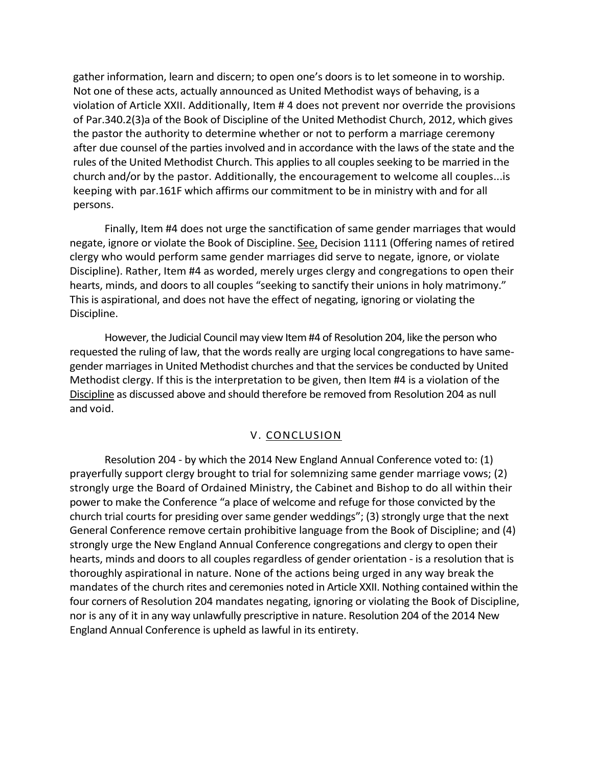gather information, learn and discern; to open one's doors is to let someone in to worship. Not one of these acts, actually announced as United Methodist ways of behaving, is a violation of Article XXII. Additionally, Item # 4 does not prevent nor override the provisions of Par.340.2(3)a of the Book of Discipline of the United Methodist Church, 2012, which gives the pastor the authority to determine whether or not to perform a marriage ceremony after due counsel of the parties involved and in accordance with the laws of the state and the rules of the United Methodist Church. This applies to all couples seeking to be married in the church and/or by the pastor. Additionally, the encouragement to welcome all couples...is keeping with par.161F which affirms our commitment to be in ministry with and for all persons.

Finally, Item #4 does not urge the sanctification of same gender marriages that would negate, ignore or violate the Book of Discipline. See, Decision 1111 (Offering names of retired clergy who would perform same gender marriages did serve to negate, ignore, or violate Discipline). Rather, Item #4 as worded, merely urges clergy and congregations to open their hearts, minds, and doors to all couples "seeking to sanctify their unions in holy matrimony." This is aspirational, and does not have the effect of negating, ignoring or violating the Discipline.

However, the Judicial Council may view Item #4 of Resolution 204, like the person who requested the ruling of law, that the words really are urging local congregations to have samegender marriages in United Methodist churches and that the services be conducted by United Methodist clergy. If this is the interpretation to be given, then Item #4 is a violation of the Discipline as discussed above and should therefore be removed from Resolution 204 as null and void.

#### V. CONCLUSION

Resolution 204 - by which the 2014 New England Annual Conference voted to: (1) prayerfully support clergy brought to trial for solemnizing same gender marriage vows; (2) strongly urge the Board of Ordained Ministry, the Cabinet and Bishop to do all within their power to make the Conference "a place of welcome and refuge for those convicted by the church trial courts for presiding over same gender weddings"; (3) strongly urge that the next General Conference remove certain prohibitive language from the Book of Discipline; and (4) strongly urge the New England Annual Conference congregations and clergy to open their hearts, minds and doors to all couples regardless of gender orientation - is a resolution that is thoroughly aspirational in nature. None of the actions being urged in any way break the mandates of the church rites and ceremonies noted in Article XXII. Nothing contained within the four corners of Resolution 204 mandates negating, ignoring or violating the Book of Discipline, nor is any of it in any way unlawfully prescriptive in nature. Resolution 204 of the 2014 New England Annual Conference is upheld as lawful in its entirety.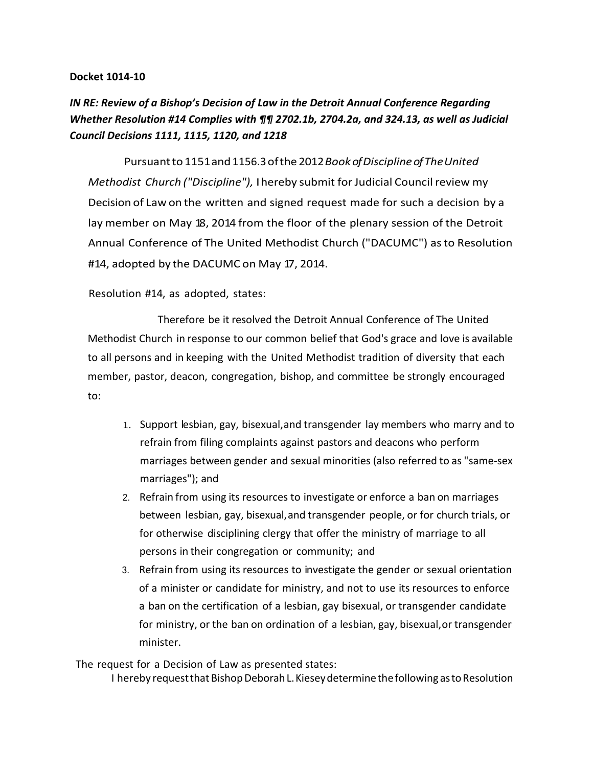#### **Docket 1014-10**

# *IN RE: Review of a Bishop's Decision of Law in the Detroit Annual Conference Regarding Whether Resolution #14 Complies with ¶¶ 2702.1b, 2704.2a, and 324.13, as well as Judicial Council Decisions 1111, 1115, 1120, and 1218*

Pursuantto1151and1156.3ofthe 2012*BookofDisciplineofTheUnited Methodist Church ("Discipline"),* I hereby submit for Judicial Council review my Decision of Law on the written and signed request made for such a decision by a lay member on May 18, 2014 from the floor of the plenary session of the Detroit Annual Conference of The United Methodist Church ("DACUMC") asto Resolution #14, adopted by the DACUMC on May 17, 2014.

#### Resolution #14, as adopted, states:

Therefore be it resolved the Detroit Annual Conference of The United Methodist Church in response to our common belief that God's grace and love is available to all persons and in keeping with the United Methodist tradition of diversity that each member, pastor, deacon, congregation, bishop, and committee be strongly encouraged to:

- 1. Support lesbian, gay, bisexual,and transgender lay members who marry and to refrain from filing complaints against pastors and deacons who perform marriages between gender and sexual minorities (also referred to as "same-sex marriages"); and
- 2. Refrain from using its resources to investigate or enforce a ban on marriages between lesbian, gay, bisexual,and transgender people, or for church trials, or for otherwise disciplining clergy that offer the ministry of marriage to all persons in their congregation or community; and
- 3. Refrain from using its resources to investigate the gender or sexual orientation of a minister or candidate for ministry, and not to use its resources to enforce a ban on the certification of a lesbian, gay bisexual, or transgender candidate for ministry, or the ban on ordination of a lesbian, gay, bisexual,or transgender minister.

The request for a Decision of Law as presented states:

I hereby request that Bishop Deborah L. Kiesey determine the following as to Resolution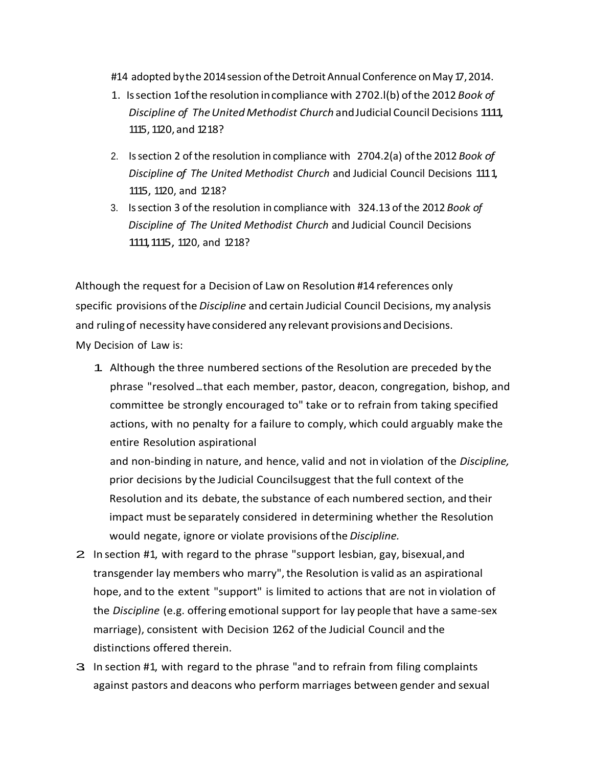#14 adopted by the 2014 session of the Detroit Annual Conference on May 17, 2014.

- 1. Issection 1ofthe resolution incompliance with 2702.l(b) ofthe 2012 *Book of Discipline of TheUnited Methodist Church* andJudicial Council Decisions 1111, 1115,1120,and 1218?
- 2. Issection 2 of the resolution in compliance with 2704.2(a) ofthe 2012 *Book of Discipline of The United Methodist Church* and Judicial Council Decisions 1111, 1115, 1120, and 1218?
- 3. Issection 3 of the resolution in compliance with 324.13 of the 2012 *Book of Discipline of The United Methodist Church* and Judicial Council Decisions 1111,1115, 1120, and 1218?

Although the request for a Decision of Law on Resolution #14 references only specific provisions ofthe *Discipline* and certain Judicial Council Decisions, my analysis and ruling of necessity have considered any relevant provisions and Decisions. My Decision of Law is:

1. Although the three numbered sections ofthe Resolution are preceded by the phrase "resolved...that each member, pastor, deacon, congregation, bishop, and committee be strongly encouraged to" take or to refrain from taking specified actions, with no penalty for a failure to comply, which could arguably make the entire Resolution aspirational

and non-binding in nature, and hence, valid and not in violation of the *Discipline,* prior decisions by the Judicial Councilsuggest that the full context of the Resolution and its debate, the substance of each numbered section, and their impact must be separately considered in determining whether the Resolution would negate, ignore or violate provisions ofthe *Discipline.*

- 2. In section #1, with regard to the phrase "support lesbian, gay, bisexual,and transgender lay members who marry",the Resolution is valid as an aspirational hope, and to the extent "support" is limited to actions that are not in violation of the *Discipline* (e.g. offering emotional support for lay people that have a same-sex marriage), consistent with Decision 1262 of the Judicial Council and the distinctions offered therein.
- 3. In section #1, with regard to the phrase "and to refrain from filing complaints against pastors and deacons who perform marriages between gender and sexual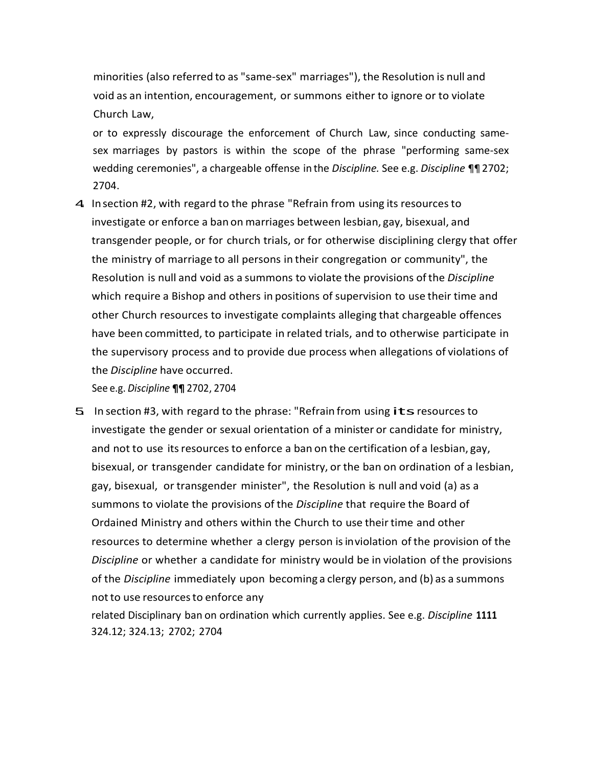minorities (also referred to as "same-sex" marriages"), the Resolution is null and void as an intention, encouragement, or summons either to ignore or to violate Church Law,

or to expressly discourage the enforcement of Church Law, since conducting samesex marriages by pastors is within the scope of the phrase "performing same-sex wedding ceremonies", a chargeable offense in the *Discipline.* See e.g. *Discipline* ¶¶ 2702; 2704.

4 Insection #2, with regard to the phrase "Refrain from using its resources to investigate or enforce a ban on marriages between lesbian, gay, bisexual, and transgender people, or for church trials, or for otherwise disciplining clergy that offer the ministry of marriage to all persons in their congregation or community", the Resolution is null and void as a summons to violate the provisions ofthe *Discipline* which require a Bishop and others in positions of supervision to use their time and other Church resources to investigate complaints alleging that chargeable offences have been committed, to participate in related trials, and to otherwise participate in the supervisory process and to provide due process when allegations of violations of the *Discipline* have occurred.

See e.g. *Discipline* **¶¶** 2702, 2704

5. In section #3, with regard to the phrase: "Refrain from using its resources to investigate the gender or sexual orientation of a minister or candidate for ministry, and not to use its resources to enforce a ban on the certification of a lesbian, gay, bisexual, or transgender candidate for ministry, or the ban on ordination of a lesbian, gay, bisexual, or transgender minister", the Resolution is null and void (a) as a summons to violate the provisions of the *Discipline* that require the Board of Ordained Ministry and others within the Church to use their time and other resources to determine whether a clergy person isinviolation of the provision of the *Discipline* or whether a candidate for ministry would be in violation of the provisions of the *Discipline* immediately upon becoming a clergy person, and (b) as a summons not to use resources to enforce any related Disciplinary ban on ordination which currently applies. See e.g. *Discipline* **1111**

324.12; 324.13; 2702; 2704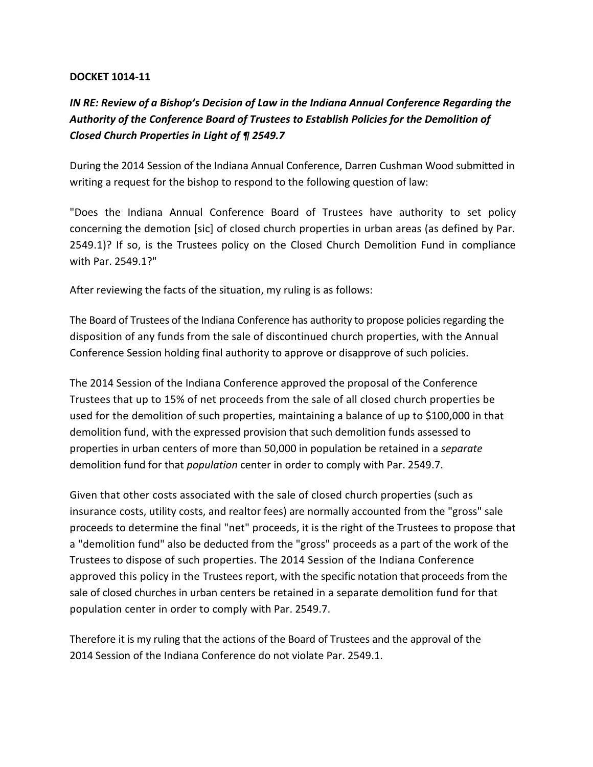### **DOCKET 1014-11**

# *IN RE: Review of a Bishop's Decision of Law in the Indiana Annual Conference Regarding the Authority of the Conference Board of Trustees to Establish Policies for the Demolition of Closed Church Properties in Light of ¶ 2549.7*

During the 2014 Session of the Indiana Annual Conference, Darren Cushman Wood submitted in writing a request for the bishop to respond to the following question of law:

"Does the Indiana Annual Conference Board of Trustees have authority to set policy concerning the demotion [sic] of closed church properties in urban areas (as defined by Par. 2549.1)? If so, is the Trustees policy on the Closed Church Demolition Fund in compliance with Par. 2549.1?"

After reviewing the facts of the situation, my ruling is as follows:

The Board of Trustees of the Indiana Conference has authority to propose policies regarding the disposition of any funds from the sale of discontinued church properties, with the Annual Conference Session holding final authority to approve or disapprove of such policies.

The 2014 Session of the Indiana Conference approved the proposal of the Conference Trustees that up to 15% of net proceeds from the sale of all closed church properties be used for the demolition of such properties, maintaining a balance of up to \$100,000 in that demolition fund, with the expressed provision that such demolition funds assessed to properties in urban centers of more than 50,000 in population be retained in a *separate*  demolition fund for that *population* center in order to comply with Par. 2549.7.

Given that other costs associated with the sale of closed church properties (such as insurance costs, utility costs, and realtor fees) are normally accounted from the "gross" sale proceeds to determine the final "net" proceeds, it is the right of the Trustees to propose that a "demolition fund" also be deducted from the "gross" proceeds as a part of the work of the Trustees to dispose of such properties. The 2014 Session of the Indiana Conference approved this policy in the Trustees report, with the specific notation that proceeds from the sale of closed churches in urban centers be retained in a separate demolition fund for that population center in order to comply with Par. 2549.7.

Therefore it is my ruling that the actions of the Board of Trustees and the approval of the 2014 Session of the Indiana Conference do not violate Par. 2549.1.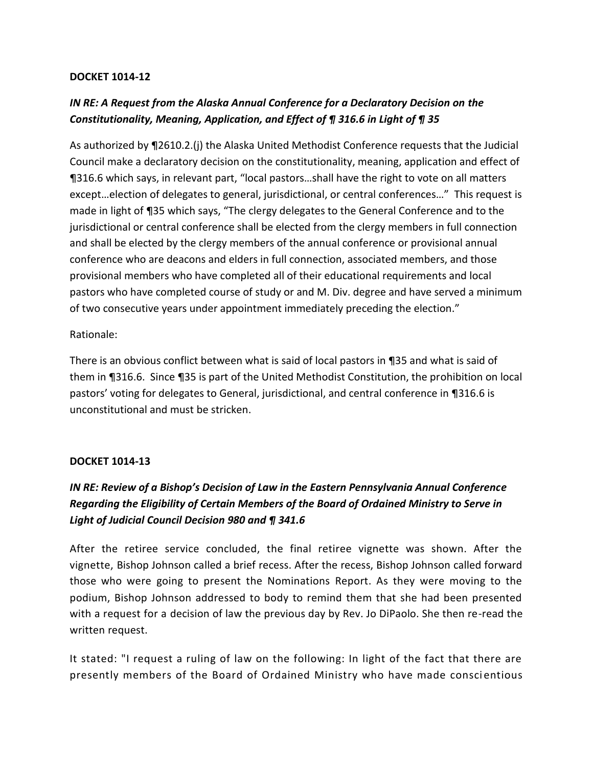### **DOCKET 1014-12**

# *IN RE: A Request from the Alaska Annual Conference for a Declaratory Decision on the Constitutionality, Meaning, Application, and Effect of ¶ 316.6 in Light of ¶ 35*

As authorized by ¶2610.2.(j) the Alaska United Methodist Conference requests that the Judicial Council make a declaratory decision on the constitutionality, meaning, application and effect of ¶316.6 which says, in relevant part, "local pastors…shall have the right to vote on all matters except…election of delegates to general, jurisdictional, or central conferences…" This request is made in light of ¶35 which says, "The clergy delegates to the General Conference and to the jurisdictional or central conference shall be elected from the clergy members in full connection and shall be elected by the clergy members of the annual conference or provisional annual conference who are deacons and elders in full connection, associated members, and those provisional members who have completed all of their educational requirements and local pastors who have completed course of study or and M. Div. degree and have served a minimum of two consecutive years under appointment immediately preceding the election."

### Rationale:

There is an obvious conflict between what is said of local pastors in ¶35 and what is said of them in ¶316.6. Since ¶35 is part of the United Methodist Constitution, the prohibition on local pastors' voting for delegates to General, jurisdictional, and central conference in ¶316.6 is unconstitutional and must be stricken.

### **DOCKET 1014-13**

# *IN RE: Review of a Bishop's Decision of Law in the Eastern Pennsylvania Annual Conference Regarding the Eligibility of Certain Members of the Board of Ordained Ministry to Serve in Light of Judicial Council Decision 980 and ¶ 341.6*

After the retiree service concluded, the final retiree vignette was shown. After the vignette, Bishop Johnson called a brief recess. After the recess, Bishop Johnson called forward those who were going to present the Nominations Report. As they were moving to the podium, Bishop Johnson addressed to body to remind them that she had been presented with a request for a decision of law the previous day by Rev. Jo DiPaolo. She then re-read the written request.

It stated: "I request a ruling of law on the following: In light of the fact that there are presently members of the Board of Ordained Ministry who have made consci entious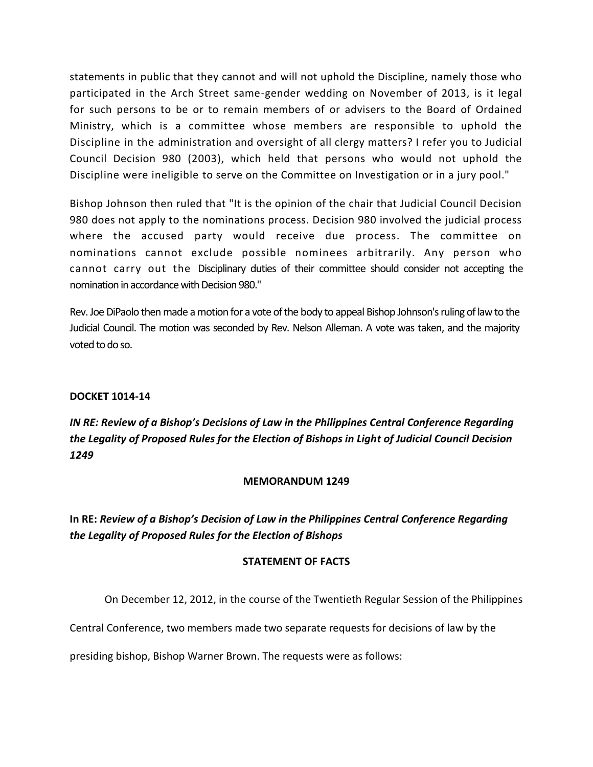statements in public that they cannot and will not uphold the Discipline, namely those who participated in the Arch Street same-gender wedding on November of 2013, is it legal for such persons to be or to remain members of or advisers to the Board of Ordained Ministry, which is a committee whose members are responsible to uphold the Discipline in the administration and oversight of all clergy matters? I refer you to Judicial Council Decision 980 (2003), which held that persons who would not uphold the Discipline were ineligible to serve on the Committee on Investigation or in a jury pool."

Bishop Johnson then ruled that "It is the opinion of the chair that Judicial Council Decision 980 does not apply to the nominations process. Decision 980 involved the judicial process where the accused party would receive due process. The committee on nominations cannot exclude possible nominees arbitrarily. Any person who cannot carry out the Disciplinary duties of their committee should consider not accepting the nomination in accordance with Decision 980."

Rev. Joe DiPaolo then made a motion for a vote of the body to appeal Bishop Johnson's ruling of law to the Judicial Council. The motion was seconded by Rev. Nelson Alleman. A vote was taken, and the majority voted to do so.

### **DOCKET 1014-14**

# *IN RE: Review of a Bishop's Decisions of Law in the Philippines Central Conference Regarding the Legality of Proposed Rules for the Election of Bishops in Light of Judicial Council Decision 1249*

#### **MEMORANDUM 1249**

**In RE:** *Review of a Bishop's Decision of Law in the Philippines Central Conference Regarding the Legality of Proposed Rules for the Election of Bishops*

### **STATEMENT OF FACTS**

On December 12, 2012, in the course of the Twentieth Regular Session of the Philippines

Central Conference, two members made two separate requests for decisions of law by the

presiding bishop, Bishop Warner Brown. The requests were as follows: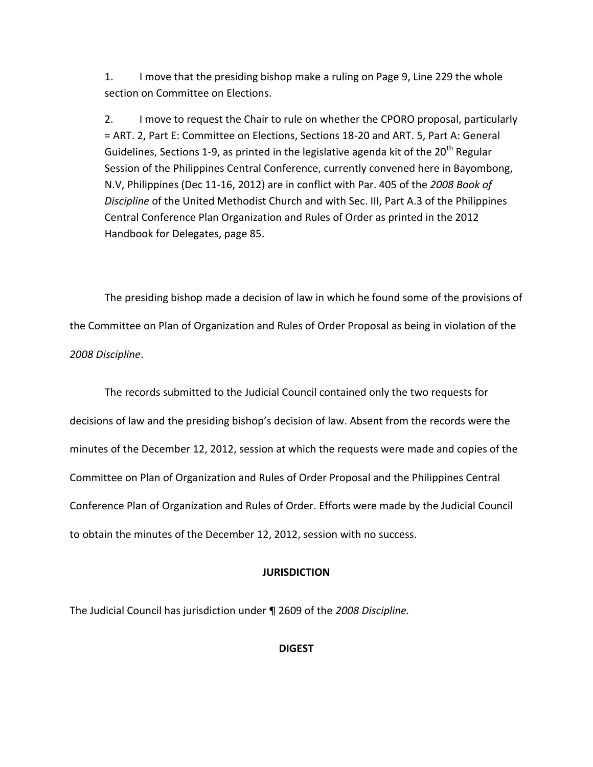1. I move that the presiding bishop make a ruling on Page 9, Line 229 the whole section on Committee on Elections.

2. I move to request the Chair to rule on whether the CPORO proposal, particularly = ART. 2, Part E: Committee on Elections, Sections 18-20 and ART. 5, Part A: General Guidelines, Sections 1-9, as printed in the legislative agenda kit of the  $20<sup>th</sup>$  Regular Session of the Philippines Central Conference, currently convened here in Bayombong, N.V, Philippines (Dec 11-16, 2012) are in conflict with Par. 405 of the *2008 Book of Discipline* of the United Methodist Church and with Sec. III, Part A.3 of the Philippines Central Conference Plan Organization and Rules of Order as printed in the 2012 Handbook for Delegates, page 85.

The presiding bishop made a decision of law in which he found some of the provisions of the Committee on Plan of Organization and Rules of Order Proposal as being in violation of the *2008 Discipline*.

The records submitted to the Judicial Council contained only the two requests for decisions of law and the presiding bishop's decision of law. Absent from the records were the minutes of the December 12, 2012, session at which the requests were made and copies of the Committee on Plan of Organization and Rules of Order Proposal and the Philippines Central Conference Plan of Organization and Rules of Order. Efforts were made by the Judicial Council to obtain the minutes of the December 12, 2012, session with no success.

### **JURISDICTION**

The Judicial Council has jurisdiction under ¶ 2609 of the *2008 Discipline.* 

**DIGEST**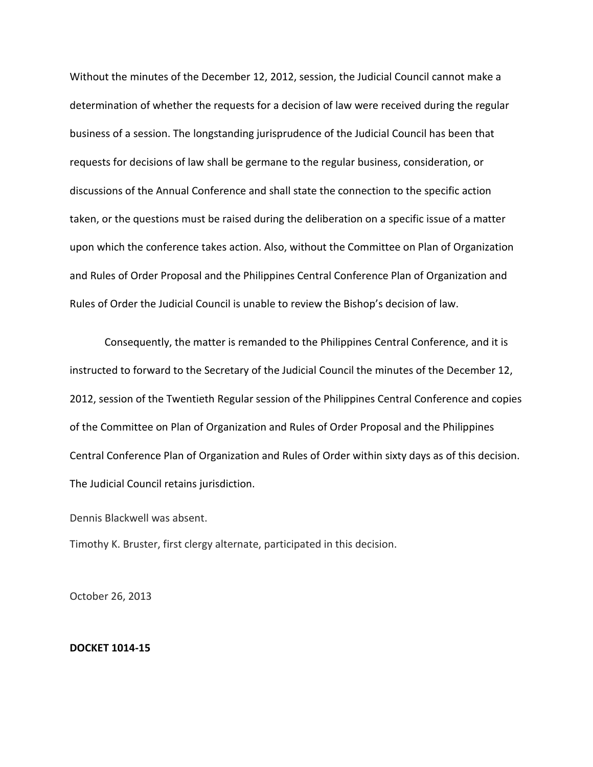Without the minutes of the December 12, 2012, session, the Judicial Council cannot make a determination of whether the requests for a decision of law were received during the regular business of a session. The longstanding jurisprudence of the Judicial Council has been that requests for decisions of law shall be germane to the regular business, consideration, or discussions of the Annual Conference and shall state the connection to the specific action taken, or the questions must be raised during the deliberation on a specific issue of a matter upon which the conference takes action. Also, without the Committee on Plan of Organization and Rules of Order Proposal and the Philippines Central Conference Plan of Organization and Rules of Order the Judicial Council is unable to review the Bishop's decision of law.

Consequently, the matter is remanded to the Philippines Central Conference, and it is instructed to forward to the Secretary of the Judicial Council the minutes of the December 12, 2012, session of the Twentieth Regular session of the Philippines Central Conference and copies of the Committee on Plan of Organization and Rules of Order Proposal and the Philippines Central Conference Plan of Organization and Rules of Order within sixty days as of this decision. The Judicial Council retains jurisdiction.

Dennis Blackwell was absent.

Timothy K. Bruster, first clergy alternate, participated in this decision.

October 26, 2013

#### **DOCKET 1014-15**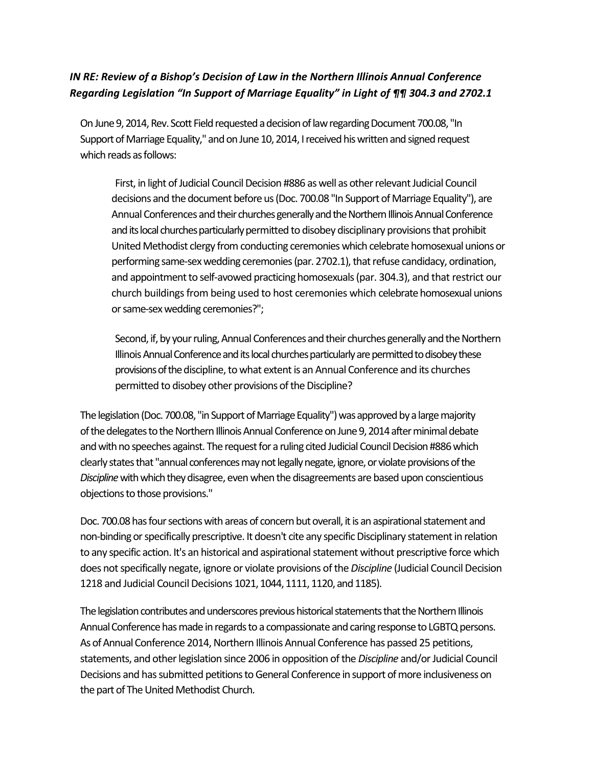# *IN RE: Review of a Bishop's Decision of Law in the Northern Illinois Annual Conference Regarding Legislation "In Support of Marriage Equality" in Light of ¶¶ 304.3 and 2702.1*

On June 9, 2014, Rev. Scott Field requested a decision of law regarding Document 700.08, "In Support of Marriage Equality," and on June 10, 2014, I received his written and signed request which reads as follows:

First, in light of Judicial Council Decision #886 as well as other relevant Judicial Council decisions and the document before us (Doc. 700.08 "In Support of Marriage Equality"), are Annual Conferences and their churches generally and the Northern Illinois Annual Conference and its local churches particularly permitted to disobey disciplinary provisions that prohibit United Methodist clergy from conducting ceremonies which celebrate homosexual unions or performing same-sex wedding ceremonies (par. 2702.1), that refuse candidacy, ordination, and appointment to self-avowed practicing homosexuals (par. 304.3), and that restrict our church buildings from being used to host ceremonies which celebrate homosexual unions or same-sex wedding ceremonies?";

Second, if, by your ruling, Annual Conferences and their churches generally and the Northern Illinois Annual Conference and its local churches particularly are permitted to disobey these provisions of the discipline, to what extent is an Annual Conference and its churches permitted to disobey other provisions of the Discipline?

The legislation (Doc. 700.08, "in Support of Marriage Equality") was approved by a large majority of the delegates to the Northern Illinois Annual Conference on June 9, 2014 after minimal debate and with no speeches against. The request for a ruling cited Judicial Council Decision #886 which clearly states that "annual conferences may not legally negate, ignore, or violate provisions of the *Discipline* with which they disagree, even when the disagreements are based upon conscientious objections to those provisions."

Doc. 700.08 has four sections with areas of concern but overall, it is an aspirational statement and non-binding or specifically prescriptive. It doesn't cite any specific Disciplinary statement in relation to any specific action. It's an historical and aspirational statement without prescriptive force which does not specifically negate, ignore or violate provisions of the *Discipline* (Judicial Council Decision 1218 and Judicial Council Decisions 1021, 1044, 1111, 1120, and 1185).

The legislation contributes and underscores previous historical statements that the Northern Illinois Annual Conference has made in regards to a compassionate and caring response to LGBTQ persons. As of Annual Conference 2014, Northern Illinois Annual Conference has passed 25 petitions, statements, and other legislation since 2006 in opposition of the *Discipline* and/or Judicial Council Decisions and has submitted petitions to General Conference in support of more inclusiveness on the part of The United Methodist Church.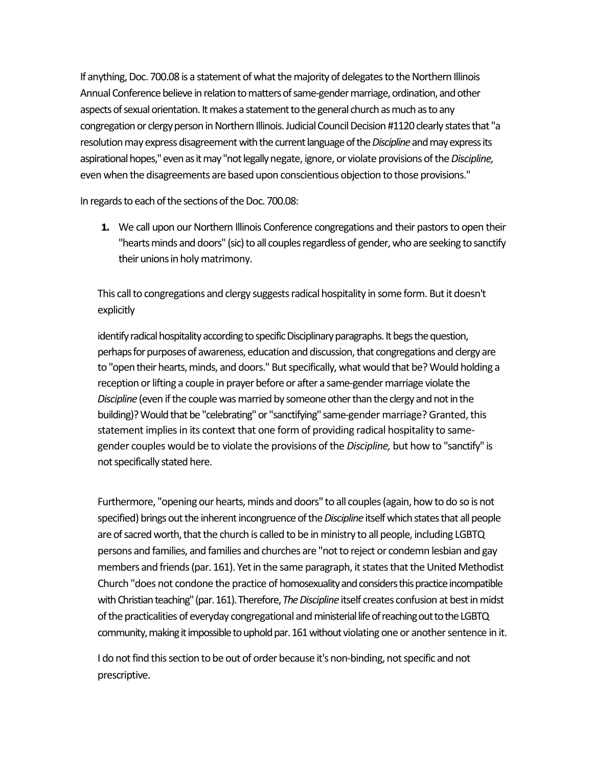If anything, Doc. 700.08 is a statement of what the majority of delegates to the Northern Illinois Annual Conference believe in relation to matters of same-gender marriage, ordination, and other aspects of sexual orientation. It makes a statement to the general church as much as to any congregation or clergy person in Northern Illinois. Judicial Council Decision #1120 clearly states that "a resolution may express disagreement with the current language of the *Discipline* and may express its aspirational hopes," even as it may "not legally negate, ignore, or violate provisions of the *Discipline,*  even when the disagreements are based upon conscientious objection to those provisions."

In regards to each of the sections of the Doc. 700.08:

**1.** We call upon our Northern Illinois Conference congregations and their pastors to open their "hearts minds and doors" (sic) to all couples regardless of gender, who are seeking to sanctify their unions in holy matrimony.

This call to congregations and clergy suggests radical hospitality in some form. But it doesn't explicitly

identify radical hospitality according to specific Disciplinary paragraphs. It begs the question, perhaps for purposes of awareness, education and discussion, that congregations and clergy are to "open their hearts, minds, and doors." But specifically, what would that be? Would holding a reception or lifting a couple in prayer before or after a same-gender marriage violate the *Discipline* (even if the couple was married by someone other than the clergy and not in the building)? Would that be "celebrating" or "sanctifying" same-gender marriage? Granted, this statement implies in its context that one form of providing radical hospitality to samegender couples would be to violate the provisions of the *Discipline,* but how to "sanctify" is not specifically stated here.

Furthermore, "opening our hearts, minds and doors" to all couples (again, how to do so is not specified) brings out the inherent incongruence of the *Discipline* itself which states that all people are of sacred worth, that the church is called to be in ministry to all people, including LGBTQ persons and families, and families and churches are "not to reject or condemn lesbian and gay members and friends (par. 161). Yet in the same paragraph, it states that the United Methodist Church "does not condone the practice of homosexuality and considers this practice incompatible with Christian teaching" (par. 161). Therefore, *The Discipline* itself creates confusion at best in midst of the practicalities of everyday congregational and ministerial life of reaching out to the LGBTQ community, making it impossible to uphold par. 161 without violating one or another sentence in it.

I do not find this section to be out of order because it's non-binding, not specific and not prescriptive.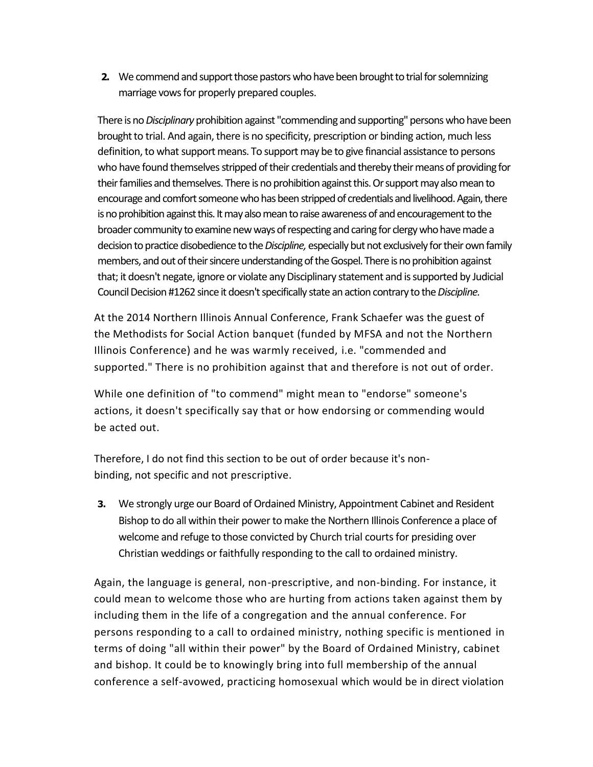**2.** We commend and support those pastors who have been brought to trial for solemnizing marriage vows for properly prepared couples.

There is no *Disciplinary* prohibition against "commending and supporting" persons who have been brought to trial. And again, there is no specificity, prescription or binding action, much less definition, to what support means. To support may be to give financial assistance to persons who have found themselves stripped of their credentials and thereby their means of providing for their families and themselves. There is no prohibition against this. Or support may also mean to encourage and comfort someone who has been stripped of credentials and livelihood. Again, there is no prohibition against this. It may also mean to raise awareness of and encouragement to the broader community to examine new ways of respecting and caring for clergy who have made a decision to practice disobedience to the *Discipline*, especially but not exclusively for their own family members, and out of their sincere understanding of the Gospel. There is no prohibition against that; it doesn't negate, ignore or violate any Disciplinary statement and is supported by Judicial Council Decision #1262 since it doesn't specifically state an action contrary to the *Discipline.*

At the 2014 Northern Illinois Annual Conference, Frank Schaefer was the guest of the Methodists for Social Action banquet (funded by MFSA and not the Northern Illinois Conference) and he was warmly received, i.e. "commended and supported." There is no prohibition against that and therefore is not out of order.

While one definition of "to commend" might mean to "endorse" someone's actions, it doesn't specifically say that or how endorsing or commending would be acted out.

Therefore, I do not find this section to be out of order because it's nonbinding, not specific and not prescriptive.

**3.** We strongly urge our Board of Ordained Ministry, Appointment Cabinet and Resident Bishop to do all within their power to make the Northern Illinois Conference a place of welcome and refuge to those convicted by Church trial courts for presiding over Christian weddings or faithfully responding to the call to ordained ministry.

Again, the language is general, non-prescriptive, and non-binding. For instance, it could mean to welcome those who are hurting from actions taken against them by including them in the life of a congregation and the annual conference. For persons responding to a call to ordained ministry, nothing specific is mentioned in terms of doing "all within their power" by the Board of Ordained Ministry, cabinet and bishop. It could be to knowingly bring into full membership of the annual conference a self-avowed, practicing homosexual which would be in direct violation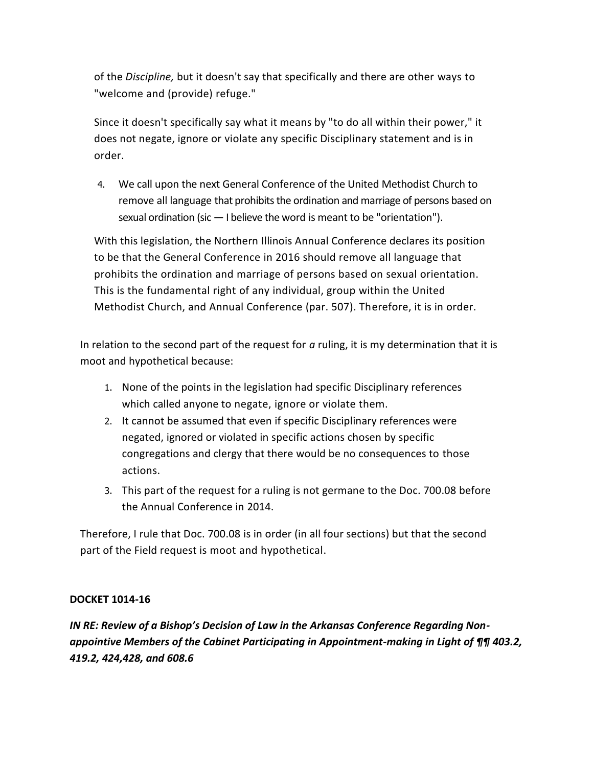of the *Discipline,* but it doesn't say that specifically and there are other ways to "welcome and (provide) refuge."

Since it doesn't specifically say what it means by "to do all within their power," it does not negate, ignore or violate any specific Disciplinary statement and is in order.

4. We call upon the next General Conference of the United Methodist Church to remove all language that prohibits the ordination and marriage of persons based on sexual ordination (sic — I believe the word is meant to be "orientation").

With this legislation, the Northern Illinois Annual Conference declares its position to be that the General Conference in 2016 should remove all language that prohibits the ordination and marriage of persons based on sexual orientation. This is the fundamental right of any individual, group within the United Methodist Church, and Annual Conference (par. 507). Therefore, it is in order.

In relation to the second part of the request for *a* ruling, it is my determination that it is moot and hypothetical because:

- 1. None of the points in the legislation had specific Disciplinary references which called anyone to negate, ignore or violate them.
- 2. It cannot be assumed that even if specific Disciplinary references were negated, ignored or violated in specific actions chosen by specific congregations and clergy that there would be no consequences to those actions.
- 3. This part of the request for a ruling is not germane to the Doc. 700.08 before the Annual Conference in 2014.

Therefore, I rule that Doc. 700.08 is in order (in all four sections) but that the second part of the Field request is moot and hypothetical.

## **DOCKET 1014-16**

*IN RE: Review of a Bishop's Decision of Law in the Arkansas Conference Regarding Nonappointive Members of the Cabinet Participating in Appointment-making in Light of ¶¶ 403.2, 419.2, 424,428, and 608.6*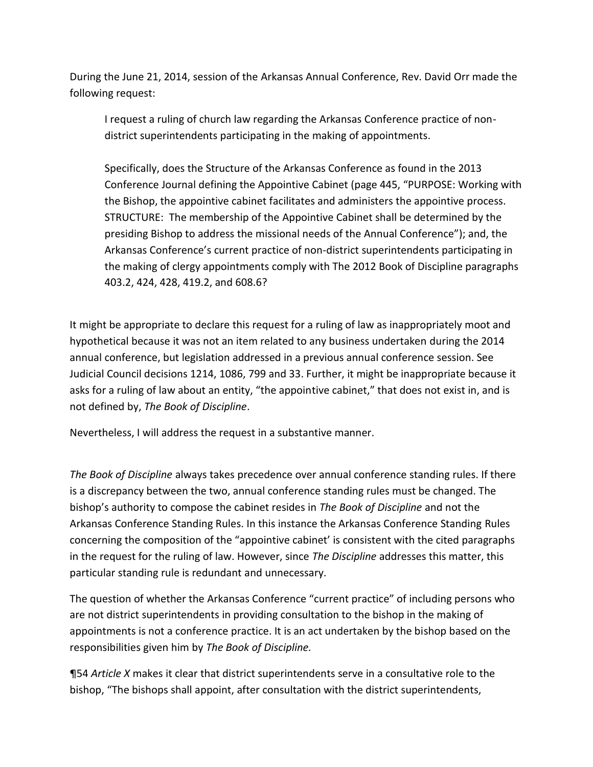During the June 21, 2014, session of the Arkansas Annual Conference, Rev. David Orr made the following request:

I request a ruling of church law regarding the Arkansas Conference practice of nondistrict superintendents participating in the making of appointments.

Specifically, does the Structure of the Arkansas Conference as found in the 2013 Conference Journal defining the Appointive Cabinet (page 445, "PURPOSE: Working with the Bishop, the appointive cabinet facilitates and administers the appointive process. STRUCTURE: The membership of the Appointive Cabinet shall be determined by the presiding Bishop to address the missional needs of the Annual Conference"); and, the Arkansas Conference's current practice of non-district superintendents participating in the making of clergy appointments comply with The 2012 Book of Discipline paragraphs 403.2, 424, 428, 419.2, and 608.6?

It might be appropriate to declare this request for a ruling of law as inappropriately moot and hypothetical because it was not an item related to any business undertaken during the 2014 annual conference, but legislation addressed in a previous annual conference session. See Judicial Council decisions 1214, 1086, 799 and 33. Further, it might be inappropriate because it asks for a ruling of law about an entity, "the appointive cabinet," that does not exist in, and is not defined by, *The Book of Discipline*.

Nevertheless, I will address the request in a substantive manner.

*The Book of Discipline* always takes precedence over annual conference standing rules. If there is a discrepancy between the two, annual conference standing rules must be changed. The bishop's authority to compose the cabinet resides in *The Book of Discipline* and not the Arkansas Conference Standing Rules. In this instance the Arkansas Conference Standing Rules concerning the composition of the "appointive cabinet' is consistent with the cited paragraphs in the request for the ruling of law. However, since *The Discipline* addresses this matter, this particular standing rule is redundant and unnecessary.

The question of whether the Arkansas Conference "current practice" of including persons who are not district superintendents in providing consultation to the bishop in the making of appointments is not a conference practice. It is an act undertaken by the bishop based on the responsibilities given him by *The Book of Discipline.*

¶54 *Article X* makes it clear that district superintendents serve in a consultative role to the bishop, "The bishops shall appoint, after consultation with the district superintendents,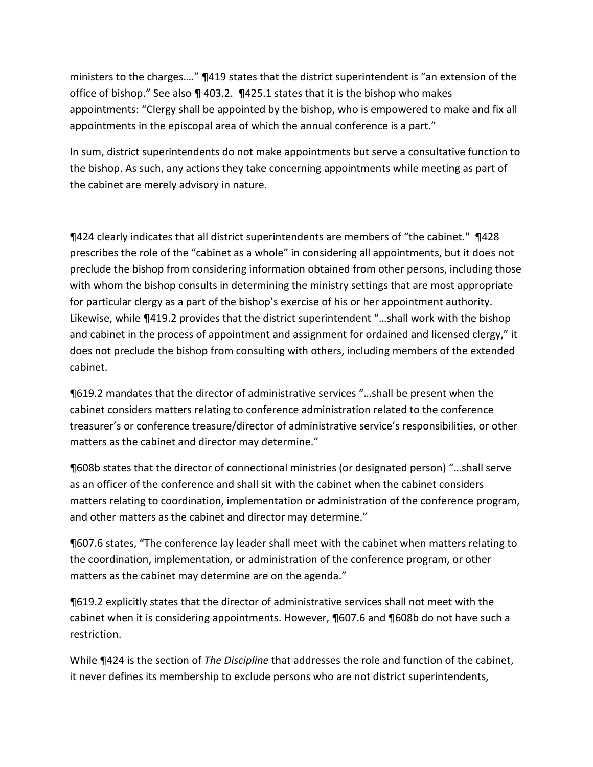ministers to the charges…." ¶419 states that the district superintendent is "an extension of the office of bishop." See also ¶ 403.2. ¶425.1 states that it is the bishop who makes appointments: "Clergy shall be appointed by the bishop, who is empowered to make and fix all appointments in the episcopal area of which the annual conference is a part."

In sum, district superintendents do not make appointments but serve a consultative function to the bishop. As such, any actions they take concerning appointments while meeting as part of the cabinet are merely advisory in nature.

¶424 clearly indicates that all district superintendents are members of "the cabinet." ¶428 prescribes the role of the "cabinet as a whole" in considering all appointments, but it does not preclude the bishop from considering information obtained from other persons, including those with whom the bishop consults in determining the ministry settings that are most appropriate for particular clergy as a part of the bishop's exercise of his or her appointment authority. Likewise, while ¶419.2 provides that the district superintendent "…shall work with the bishop and cabinet in the process of appointment and assignment for ordained and licensed clergy," it does not preclude the bishop from consulting with others, including members of the extended cabinet.

¶619.2 mandates that the director of administrative services "…shall be present when the cabinet considers matters relating to conference administration related to the conference treasurer's or conference treasure/director of administrative service's responsibilities, or other matters as the cabinet and director may determine."

¶608b states that the director of connectional ministries (or designated person) "…shall serve as an officer of the conference and shall sit with the cabinet when the cabinet considers matters relating to coordination, implementation or administration of the conference program, and other matters as the cabinet and director may determine."

¶607.6 states, "The conference lay leader shall meet with the cabinet when matters relating to the coordination, implementation, or administration of the conference program, or other matters as the cabinet may determine are on the agenda."

¶619.2 explicitly states that the director of administrative services shall not meet with the cabinet when it is considering appointments. However, ¶607.6 and ¶608b do not have such a restriction.

While ¶424 is the section of *The Discipline* that addresses the role and function of the cabinet, it never defines its membership to exclude persons who are not district superintendents,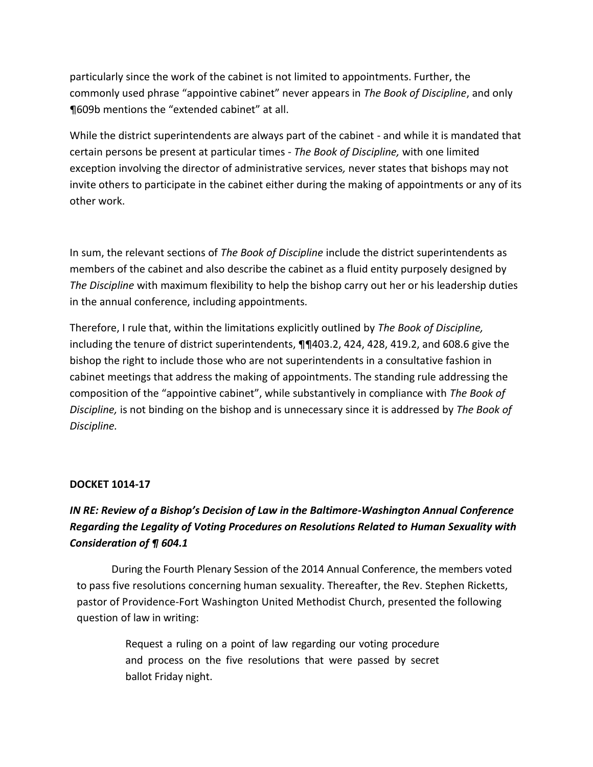particularly since the work of the cabinet is not limited to appointments. Further, the commonly used phrase "appointive cabinet" never appears in *The Book of Discipline*, and only ¶609b mentions the "extended cabinet" at all.

While the district superintendents are always part of the cabinet - and while it is mandated that certain persons be present at particular times - *The Book of Discipline,* with one limited exception involving the director of administrative services*,* never states that bishops may not invite others to participate in the cabinet either during the making of appointments or any of its other work.

In sum, the relevant sections of *The Book of Discipline* include the district superintendents as members of the cabinet and also describe the cabinet as a fluid entity purposely designed by *The Discipline* with maximum flexibility to help the bishop carry out her or his leadership duties in the annual conference, including appointments.

Therefore, I rule that, within the limitations explicitly outlined by *The Book of Discipline,*  including the tenure of district superintendents, ¶¶403.2, 424, 428, 419.2, and 608.6 give the bishop the right to include those who are not superintendents in a consultative fashion in cabinet meetings that address the making of appointments. The standing rule addressing the composition of the "appointive cabinet", while substantively in compliance with *The Book of Discipline,* is not binding on the bishop and is unnecessary since it is addressed by *The Book of Discipline.*

### **DOCKET 1014-17**

# *IN RE: Review of a Bishop's Decision of Law in the Baltimore-Washington Annual Conference Regarding the Legality of Voting Procedures on Resolutions Related to Human Sexuality with Consideration of ¶ 604.1*

During the Fourth Plenary Session of the 2014 Annual Conference, the members voted to pass five resolutions concerning human sexuality. Thereafter, the Rev. Stephen Ricketts, pastor of Providence-Fort Washington United Methodist Church, presented the following question of law in writing:

> Request a ruling on a point of law regarding our voting procedure and process on the five resolutions that were passed by secret ballot Friday night.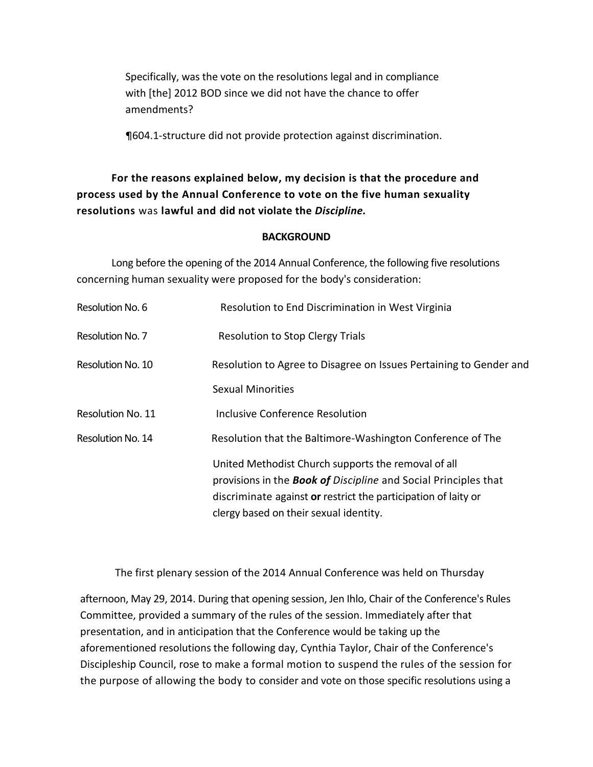Specifically, was the vote on the resolutions legal and in compliance with [the] 2012 BOD since we did not have the chance to offer amendments?

¶604.1-structure did not provide protection against discrimination.

# **For the reasons explained below, my decision is that the procedure and process used by the Annual Conference to vote on the five human sexuality resolutions** was **lawful and did not violate the** *Discipline.*

### **BACKGROUND**

Long before the opening of the 2014 Annual Conference, the following five resolutions concerning human sexuality were proposed for the body's consideration:

| Resolution to End Discrimination in West Virginia                                                                                                                                                                                         |
|-------------------------------------------------------------------------------------------------------------------------------------------------------------------------------------------------------------------------------------------|
| Resolution to Stop Clergy Trials                                                                                                                                                                                                          |
| Resolution to Agree to Disagree on Issues Pertaining to Gender and                                                                                                                                                                        |
| <b>Sexual Minorities</b>                                                                                                                                                                                                                  |
| Inclusive Conference Resolution                                                                                                                                                                                                           |
| Resolution that the Baltimore-Washington Conference of The                                                                                                                                                                                |
| United Methodist Church supports the removal of all<br>provisions in the <b>Book of</b> Discipline and Social Principles that<br>discriminate against or restrict the participation of laity or<br>clergy based on their sexual identity. |
|                                                                                                                                                                                                                                           |

The first plenary session of the 2014 Annual Conference was held on Thursday

afternoon, May 29, 2014. During that opening session, Jen Ihlo, Chair of the Conference's Rules Committee, provided a summary of the rules of the session. Immediately after that presentation, and in anticipation that the Conference would be taking up the aforementioned resolutions the following day, Cynthia Taylor, Chair of the Conference's Discipleship Council, rose to make a formal motion to suspend the rules of the session for the purpose of allowing the body to consider and vote on those specific resolutions using a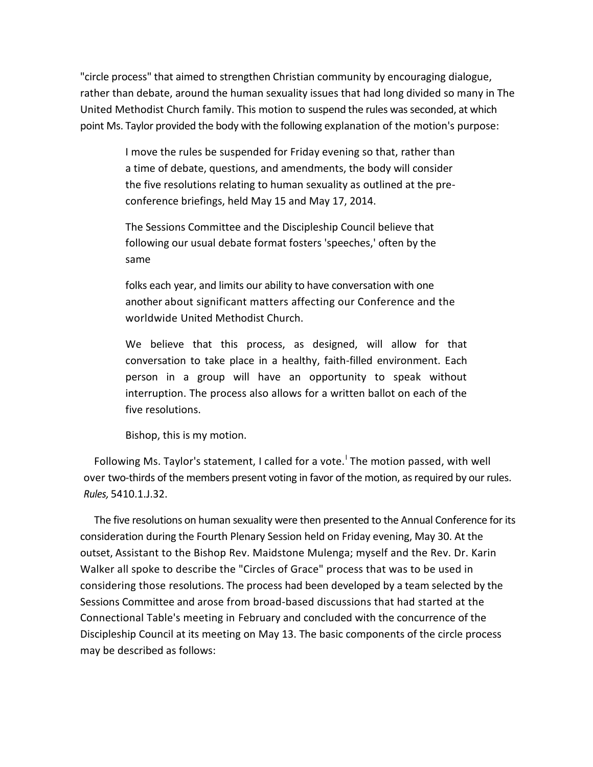"circle process" that aimed to strengthen Christian community by encouraging dialogue, rather than debate, around the human sexuality issues that had long divided so many in The United Methodist Church family. This motion to suspend the rules was seconded, at which point Ms. Taylor provided the body with the following explanation of the motion's purpose:

> I move the rules be suspended for Friday evening so that, rather than a time of debate, questions, and amendments, the body will consider the five resolutions relating to human sexuality as outlined at the preconference briefings, held May 15 and May 17, 2014.

The Sessions Committee and the Discipleship Council believe that following our usual debate format fosters 'speeches,' often by the same

folks each year, and limits our ability to have conversation with one another about significant matters affecting our Conference and the worldwide United Methodist Church.

We believe that this process, as designed, will allow for that conversation to take place in a healthy, faith-filled environment. Each person in a group will have an opportunity to speak without interruption. The process also allows for a written ballot on each of the five resolutions.

Bishop, this is my motion.

Following Ms. Taylor's statement, I called for a vote.<sup>I</sup> The motion passed, with well over two-thirds of the members present voting in favor of the motion, as required by our rules. *Rules,* 5410.1.J.32.

The five resolutions on human sexuality were then presented to the Annual Conference for its consideration during the Fourth Plenary Session held on Friday evening, May 30. At the outset, Assistant to the Bishop Rev. Maidstone Mulenga; myself and the Rev. Dr. Karin Walker all spoke to describe the "Circles of Grace" process that was to be used in considering those resolutions. The process had been developed by a team selected by the Sessions Committee and arose from broad-based discussions that had started at the Connectional Table's meeting in February and concluded with the concurrence of the Discipleship Council at its meeting on May 13. The basic components of the circle process may be described as follows: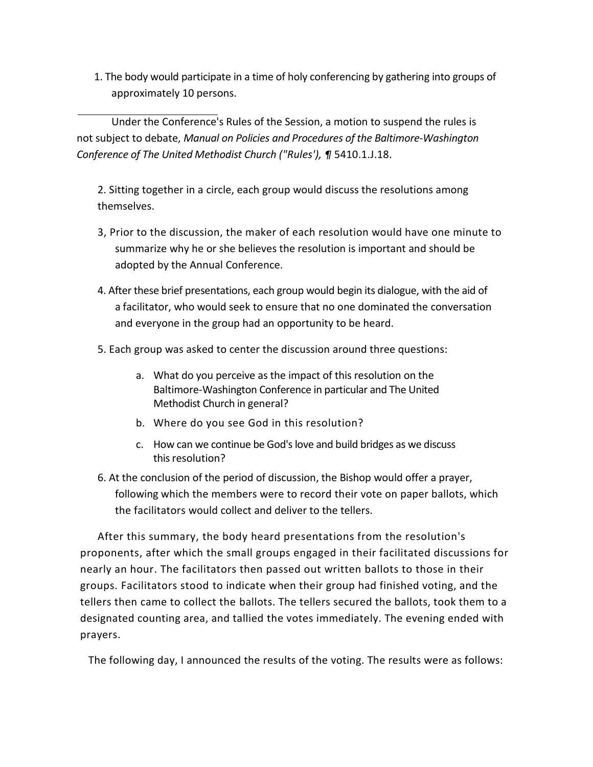1. The body would participate in a time of holy conferencing by gathering into groups of approximately 10 persons.

Under the Conference's Rules of the Session, a motion to suspend the rules is not subject to debate, *Manual on Policies and Procedures of the Baltimore-Washington Conference of The United Methodist Church ("Rules'), ¶* 5410.1.J.18.

2. Sitting together in a circle, each group would discuss the resolutions among themselves.

- 3, Prior to the discussion, the maker of each resolution would have one minute to summarize why he or she believes the resolution is important and should be adopted by the Annual Conference.
- 4. After these brief presentations, each group would begin its dialogue, with the aid of a facilitator, who would seek to ensure that no one dominated the conversation and everyone in the group had an opportunity to be heard.
- 5. Each group was asked to center the discussion around three questions:
	- a. What do you perceive as the impact of this resolution on the Baltimore-Washington Conference in particular and The United Methodist Church in general?
	- b. Where do you see God in this resolution?
	- c. How can we continue be God's love and build bridges as we discuss this resolution?
- 6. At the conclusion of the period of discussion, the Bishop would offer a prayer, following which the members were to record their vote on paper ballots, which the facilitators would collect and deliver to the tellers.

After this summary, the body heard presentations from the resolution's proponents, after which the small groups engaged in their facilitated discussions for nearly an hour. The facilitators then passed out written ballots to those in their groups. Facilitators stood to indicate when their group had finished voting, and the tellers then came to collect the ballots. The tellers secured the ballots, took them to a designated counting area, and tallied the votes immediately. The evening ended with prayers.

The following day, I announced the results of the voting. The results were as follows: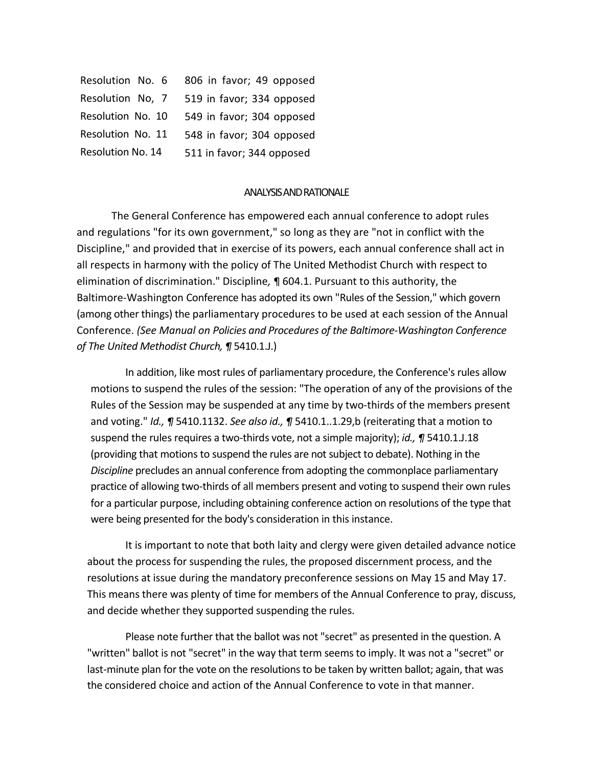| Resolution No. 6         | 806 in favor; 49 opposed  |
|--------------------------|---------------------------|
| Resolution No, 7         | 519 in favor; 334 opposed |
| Resolution No. 10        | 549 in favor; 304 opposed |
| Resolution No. 11        | 548 in favor; 304 opposed |
| <b>Resolution No. 14</b> | 511 in favor; 344 opposed |

#### ANALYSIS AND RATIONALE

The General Conference has empowered each annual conference to adopt rules and regulations "for its own government," so long as they are "not in conflict with the Discipline," and provided that in exercise of its powers, each annual conference shall act in all respects in harmony with the policy of The United Methodist Church with respect to elimination of discrimination." Discipline*,* ¶ 604.1. Pursuant to this authority, the Baltimore-Washington Conference has adopted its own "Rules of the Session," which govern (among other things) the parliamentary procedures to be used at each session of the Annual Conference. *(See Manual on Policies and Procedures of the Baltimore-Washington Conference of The United Methodist Church, ¶* 5410.1.J.)

In addition, like most rules of parliamentary procedure, the Conference's rules allow motions to suspend the rules of the session: "The operation of any of the provisions of the Rules of the Session may be suspended at any time by two-thirds of the members present and voting." *Id., ¶* 5410.1132. *See also id., ¶* 5410.1..1.29,b (reiterating that a motion to suspend the rules requires a two-thirds vote, not a simple majority); *id., ¶* 5410.1.J.18 (providing that motions to suspend the rules are not subject to debate). Nothing in the *Discipline* precludes an annual conference from adopting the commonplace parliamentary practice of allowing two-thirds of all members present and voting to suspend their own rules for a particular purpose, including obtaining conference action on resolutions of the type that were being presented for the body's consideration in this instance.

It is important to note that both laity and clergy were given detailed advance notice about the process for suspending the rules, the proposed discernment process, and the resolutions at issue during the mandatory preconference sessions on May 15 and May 17. This means there was plenty of time for members of the Annual Conference to pray, discuss, and decide whether they supported suspending the rules.

Please note further that the ballot was not "secret" as presented in the question. A "written" ballot is not "secret" in the way that term seems to imply. It was not a "secret" or last-minute plan for the vote on the resolutions to be taken by written ballot; again, that was the considered choice and action of the Annual Conference to vote in that manner.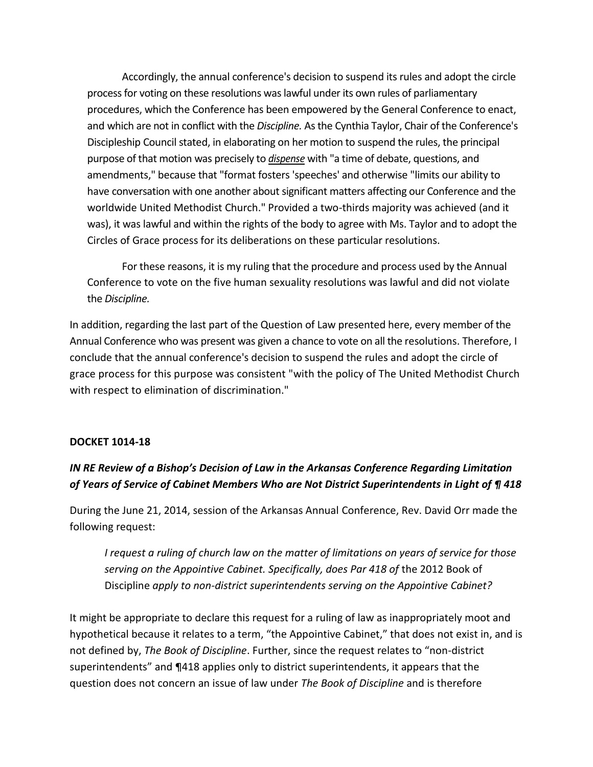Accordingly, the annual conference's decision to suspend its rules and adopt the circle process for voting on these resolutions was lawful under its own rules of parliamentary procedures, which the Conference has been empowered by the General Conference to enact, and which are not in conflict with the *Discipline.* As the Cynthia Taylor, Chair of the Conference's Discipleship Council stated, in elaborating on her motion to suspend the rules, the principal purpose of that motion was precisely to *dispense* with "a time of debate, questions, and amendments," because that "format fosters 'speeches' and otherwise "limits our ability to have conversation with one another about significant matters affecting our Conference and the worldwide United Methodist Church." Provided a two-thirds majority was achieved (and it was), it was lawful and within the rights of the body to agree with Ms. Taylor and to adopt the Circles of Grace process for its deliberations on these particular resolutions.

For these reasons, it is my ruling that the procedure and process used by the Annual Conference to vote on the five human sexuality resolutions was lawful and did not violate the *Discipline.*

In addition, regarding the last part of the Question of Law presented here, every member of the Annual Conference who was present was given a chance to vote on all the resolutions. Therefore, I conclude that the annual conference's decision to suspend the rules and adopt the circle of grace process for this purpose was consistent "with the policy of The United Methodist Church with respect to elimination of discrimination."

### **DOCKET 1014-18**

## *IN RE Review of a Bishop's Decision of Law in the Arkansas Conference Regarding Limitation of Years of Service of Cabinet Members Who are Not District Superintendents in Light of ¶ 418*

During the June 21, 2014, session of the Arkansas Annual Conference, Rev. David Orr made the following request:

*I request a ruling of church law on the matter of limitations on years of service for those*  serving on the Appointive Cabinet. Specifically, does Par 418 of the 2012 Book of Discipline *apply to non-district superintendents serving on the Appointive Cabinet?*

It might be appropriate to declare this request for a ruling of law as inappropriately moot and hypothetical because it relates to a term, "the Appointive Cabinet," that does not exist in, and is not defined by, *The Book of Discipline*. Further, since the request relates to "non-district superintendents" and ¶418 applies only to district superintendents, it appears that the question does not concern an issue of law under *The Book of Discipline* and is therefore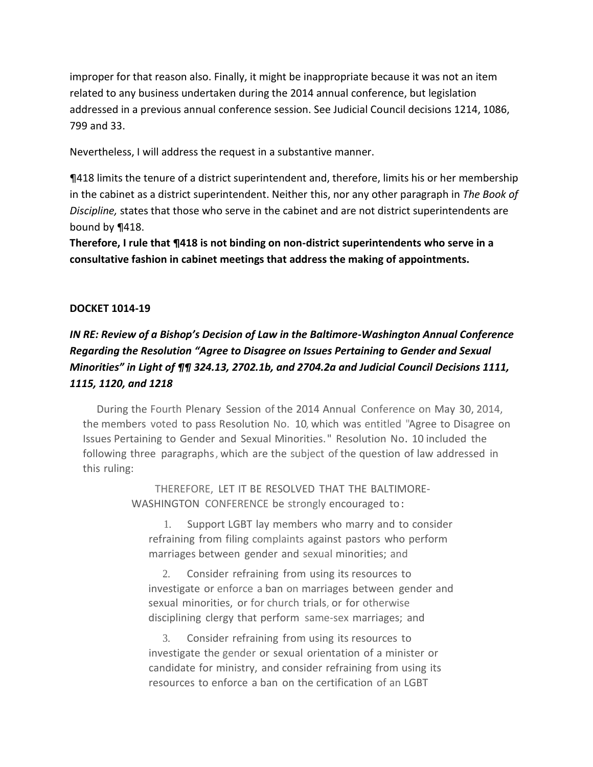improper for that reason also. Finally, it might be inappropriate because it was not an item related to any business undertaken during the 2014 annual conference, but legislation addressed in a previous annual conference session. See Judicial Council decisions 1214, 1086, 799 and 33.

Nevertheless, I will address the request in a substantive manner.

¶418 limits the tenure of a district superintendent and, therefore, limits his or her membership in the cabinet as a district superintendent. Neither this, nor any other paragraph in *The Book of Discipline,* states that those who serve in the cabinet and are not district superintendents are bound by ¶418.

**Therefore, I rule that ¶418 is not binding on non-district superintendents who serve in a consultative fashion in cabinet meetings that address the making of appointments.**

### **DOCKET 1014-19**

# *IN RE: Review of a Bishop's Decision of Law in the Baltimore-Washington Annual Conference Regarding the Resolution "Agree to Disagree on Issues Pertaining to Gender and Sexual Minorities" in Light of ¶¶ 324.13, 2702.1b, and 2704.2a and Judicial Council Decisions 1111, 1115, 1120, and 1218*

During the Fourth Plenary Session of the 2014 Annual Conference on May 30, 2014, the members voted to pass Resolution No. 10, which was entitled "Agree to Disagree on Issues Pertaining to Gender and Sexual Minorities." Resolution No. 10 included the following three paragraphs, which are the subject of the question of law addressed in this ruling:

> THEREFORE, LET IT BE RESOLVED THAT THE BALTIMORE-WASHINGTON CONFERENCE be strongly encouraged to:

1. Support LGBT lay members who marry and to consider refraining from filing complaints against pastors who perform marriages between gender and sexual minorities; and

2. Consider refraining from using its resources to investigate or enforce a ban on marriages between gender and sexual minorities, or for church trials, or for otherwise disciplining clergy that perform same-sex marriages; and

3. Consider refraining from using its resources to investigate the gender or sexual orientation of a minister or candidate for ministry, and consider refraining from using its resources to enforce a ban on the certification of an LGBT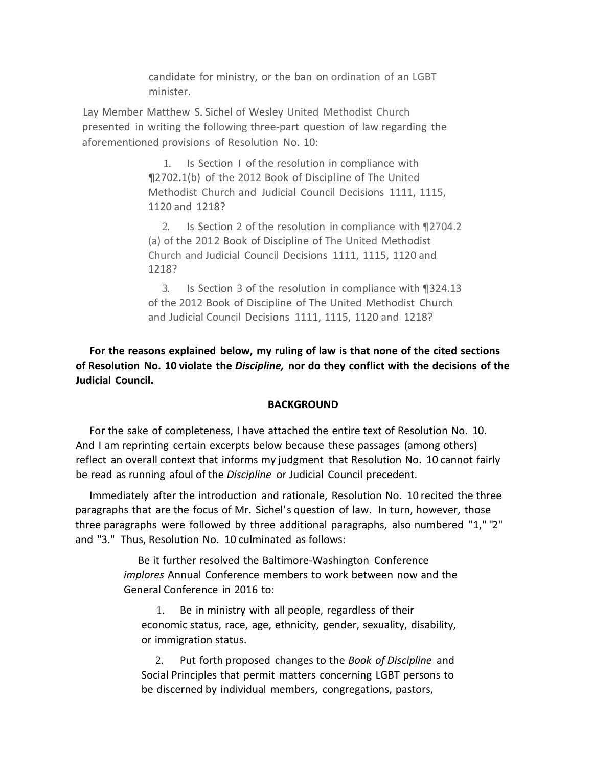candidate for ministry, or the ban on ordination of an LGBT minister.

Lay Member Matthew S. Sichel of Wesley United Methodist Church presented in writing the following three-part question of law regarding the aforementioned provisions of Resolution No. 10:

> 1. Is Section I of the resolution in compliance with ¶2702.1(b) of the 2012 Book of Discipline of The United Methodist Church and Judicial Council Decisions 1111, 1115, 1120 and 1218?

2. Is Section 2 of the resolution in compliance with ¶2704.2 (a) of the 2012 Book of Discipline of The United Methodist Church and Judicial Council Decisions 1111, 1115, 1120 and 1218?

3. Is Section 3 of the resolution in compliance with ¶324.13 of the 2012 Book of Discipline of The United Methodist Church and Judicial Council Decisions 1111, 1115, 1120 and 1218?

**For the reasons explained below, my ruling of law is that none of the cited sections of Resolution No. 10 violate the** *Discipline,* **nor do they conflict with the decisions of the Judicial Council.**

#### **BACKGROUND**

For the sake of completeness, I have attached the entire text of Resolution No. 10. And I am reprinting certain excerpts below because these passages (among others) reflect an overall context that informs my judgment that Resolution No. 10 cannot fairly be read as running afoul of the *Discipline* or Judicial Council precedent.

Immediately after the introduction and rationale, Resolution No. 10 recited the three paragraphs that are the focus of Mr. Sichel's question of law. In turn, however, those three paragraphs were followed by three additional paragraphs, also numbered "1," "2" and "3." Thus, Resolution No. 10 culminated as follows:

> Be it further resolved the Baltimore-Washington Conference *implores* Annual Conference members to work between now and the General Conference in 2016 to:

1. Be in ministry with all people, regardless of their economic status, race, age, ethnicity, gender, sexuality, disability, or immigration status.

2. Put forth proposed changes to the *Book of Discipline* and Social Principles that permit matters concerning LGBT persons to be discerned by individual members, congregations, pastors,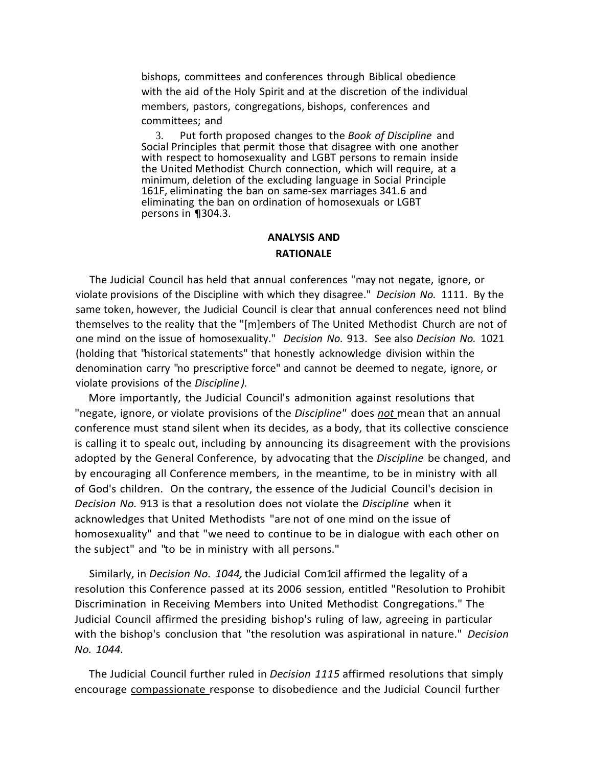bishops, committees and conferences through Biblical obedience with the aid of the Holy Spirit and at the discretion of the individual members, pastors, congregations, bishops, conferences and committees; and

3. Put forth proposed changes to the *Book of Discipline* and Social Principles that permit those that disagree with one another with respect to homosexuality and LGBT persons to remain inside the United Methodist Church connection, which will require, at a minimum, deletion of the excluding language in Social Principle 161F, eliminating the ban on same-sex marriages 341.6 and eliminating the ban on ordination of homosexuals or LGBT persons in ¶304.3.

### **ANALYSIS AND RATIONALE**

The Judicial Council has held that annual conferences "may not negate, ignore, or violate provisions of the Discipline with which they disagree." *Decision No.* 1111. By the same token, however, the Judicial Council is clear that annual conferences need not blind themselves to the reality that the "[m]embers of The United Methodist Church are not of one mind on the issue of homosexuality." *Decision No.* 913. See also *Decision No.* 1021 (holding that "historical statements" that honestly acknowledge division within the denomination carry "no prescriptive force" and cannot be deemed to negate, ignore, or violate provisions of the *Discipline ).*

More importantly, the Judicial Council's admonition against resolutions that "negate, ignore, or violate provisions of the *Discipline"* does *not* mean that an annual conference must stand silent when its decides, as a body, that its collective conscience is calling it to spealc out, including by announcing its disagreement with the provisions adopted by the General Conference, by advocating that the *Discipline* be changed, and by encouraging all Conference members, in the meantime, to be in ministry with all of God's children. On the contrary, the essence of the Judicial Council's decision in *Decision No.* 913 is that a resolution does not violate the *Discipline* when it acknowledges that United Methodists "are not of one mind on the issue of homosexuality" and that "we need to continue to be in dialogue with each other on the subject" and "to be in ministry with all persons."

Similarly, in *Decision No. 1044,*the Judicial Com1cil affirmed the legality of a resolution this Conference passed at its 2006 session, entitled "Resolution to Prohibit Discrimination in Receiving Members into United Methodist Congregations." The Judicial Council affirmed the presiding bishop's ruling of law, agreeing in particular with the bishop's conclusion that "the resolution was aspirational in nature." *Decision No. 1044.*

The Judicial Council further ruled in *Decision 1115* affirmed resolutions that simply encourage compassionate response to disobedience and the Judicial Council further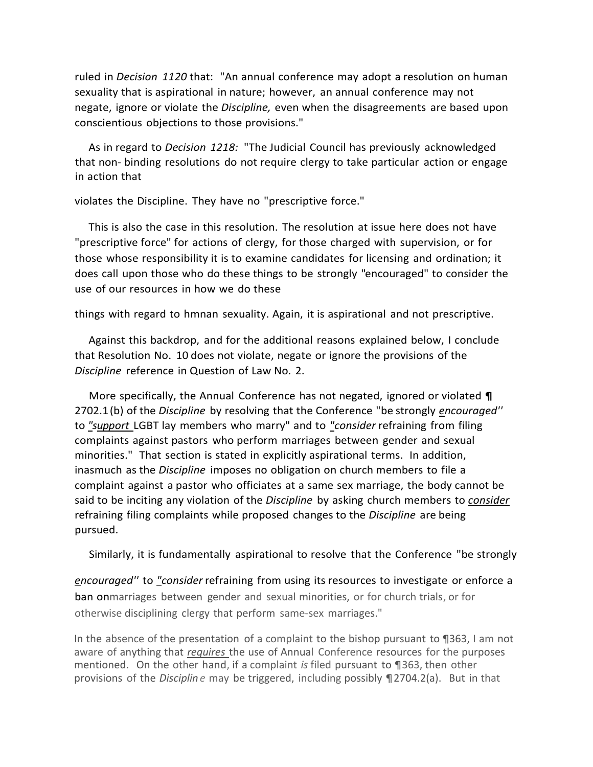ruled in *Decision 1120* that: "An annual conference may adopt a resolution on human sexuality that is aspirational in nature; however, an annual conference may not negate, ignore or violate the *Discipline,* even when the disagreements are based upon conscientious objections to those provisions."

As in regard to *Decision 1218:* "The Judicial Council has previously acknowledged that non- binding resolutions do not require clergy to take particular action or engage in action that

violates the Discipline. They have no "prescriptive force."

This is also the case in this resolution. The resolution at issue here does not have "prescriptive force" for actions of clergy, for those charged with supervision, or for those whose responsibility it is to examine candidates for licensing and ordination; it does call upon those who do these things to be strongly "encouraged" to consider the use of our resources in how we do these

things with regard to hmnan sexuality. Again, it is aspirational and not prescriptive.

Against this backdrop, and for the additional reasons explained below, I conclude that Resolution No. 10 does not violate, negate or ignore the provisions of the *Discipline* reference in Question of Law No. 2.

More specifically, the Annual Conference has not negated, ignored or violated **¶** 2702.1(b) of the *Discipline* by resolving that the Conference "be strongly *encouraged''* to *"support* LGBT lay members who marry" and to *"consider* refraining from filing complaints against pastors who perform marriages between gender and sexual minorities." That section is stated in explicitly aspirational terms. In addition, inasmuch as the *Discipline* imposes no obligation on church members to file a complaint against a pastor who officiates at a same sex marriage, the body cannot be said to be inciting any violation of the *Discipline* by asking church members to *consider* refraining filing complaints while proposed changes to the *Discipline* are being pursued.

Similarly, it is fundamentally aspirational to resolve that the Conference "be strongly

*encouraged''* to *"consider* refraining from using its resources to investigate or enforce a ban onmarriages between gender and sexual minorities, or for church trials, or for otherwise disciplining clergy that perform same-sex marriages."

In the absence of the presentation of a complaint to the bishop pursuant to ¶363, I am not aware of anything that *requires* the use of Annual Conference resources for the purposes mentioned. On the other hand, if a complaint *is* filed pursuant to ¶363, then other provisions of the *Disciplin e* may be triggered, including possibly ¶2704.2(a). But in that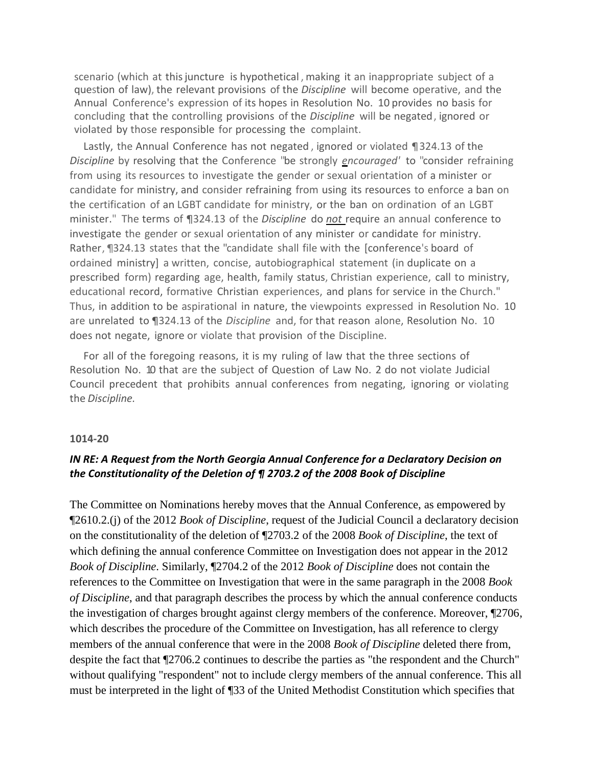scenario (which at this juncture is hypothetical, making it an inappropriate subject of a question of law), the relevant provisions of the *Discipline* will become operative, and the Annual Conference's expression of its hopes in Resolution No. 10 provides no basis for concluding that the controlling provisions of the *Discipline* will be negated, ignored or violated by those responsible for processing the complaint.

Lastly, the Annual Conference has not negated , ignored or violated ¶324.13 of the *Discipline* by resolving that the Conference "be strongly *encouraged'* to "consider refraining from using its resources to investigate the gender or sexual orientation of a minister or candidate for ministry, and consider refraining from using its resources to enforce a ban on the certification of an LGBT candidate for ministry, or the ban on ordination of an LGBT minister." The terms of ¶324.13 of the *Discipline* do *not* require an annual conference to investigate the gender or sexual orientation of any minister or candidate for ministry. Rather, ¶324.13 states that the "candidate shall file with the [conference's board of ordained ministry] a written, concise, autobiographical statement (in duplicate on a prescribed form) regarding age, health, family status, Christian experience, call to ministry, educational record, formative Christian experiences, and plans for service in the Church." Thus, in addition to be aspirational in nature, the viewpoints expressed in Resolution No. 10 are unrelated to ¶324.13 of the *Discipline* and, for that reason alone, Resolution No. 10 does not negate, ignore or violate that provision of the Discipline.

For all of the foregoing reasons, it is my ruling of law that the three sections of Resolution No. 10 that are the subject of Question of Law No. 2 do not violate Judicial Council precedent that prohibits annual conferences from negating, ignoring or violating the *Discipline.*

#### **1014-20**

## *IN RE: A Request from the North Georgia Annual Conference for a Declaratory Decision on the Constitutionality of the Deletion of ¶ 2703.2 of the 2008 Book of Discipline*

The Committee on Nominations hereby moves that the Annual Conference, as empowered by ¶2610.2.(j) of the 2012 *Book of Discipline*, request of the Judicial Council a declaratory decision on the constitutionality of the deletion of ¶2703.2 of the 2008 *Book of Discipline*, the text of which defining the annual conference Committee on Investigation does not appear in the 2012 *Book of Discipline*. Similarly, ¶2704.2 of the 2012 *Book of Discipline* does not contain the references to the Committee on Investigation that were in the same paragraph in the 2008 *Book of Discipline*, and that paragraph describes the process by which the annual conference conducts the investigation of charges brought against clergy members of the conference. Moreover, ¶2706, which describes the procedure of the Committee on Investigation, has all reference to clergy members of the annual conference that were in the 2008 *Book of Discipline* deleted there from, despite the fact that ¶2706.2 continues to describe the parties as "the respondent and the Church" without qualifying "respondent" not to include clergy members of the annual conference. This all must be interpreted in the light of ¶33 of the United Methodist Constitution which specifies that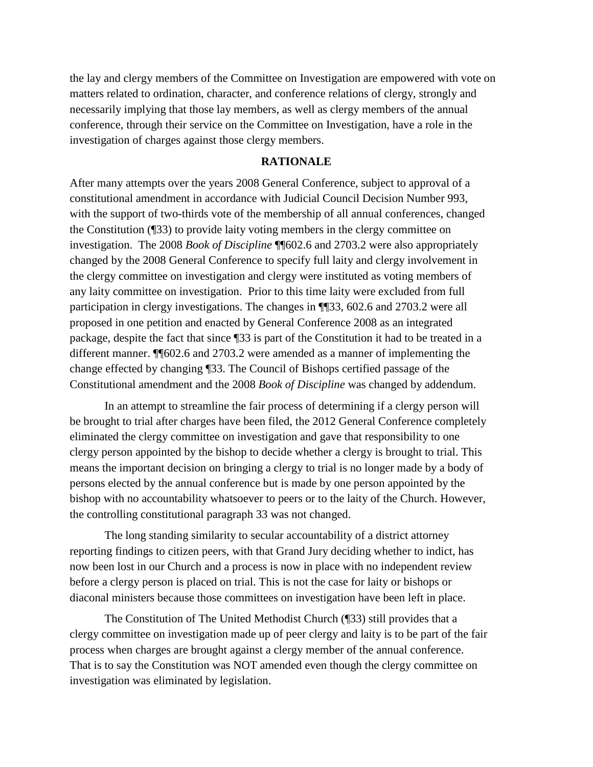the lay and clergy members of the Committee on Investigation are empowered with vote on matters related to ordination, character, and conference relations of clergy, strongly and necessarily implying that those lay members, as well as clergy members of the annual conference, through their service on the Committee on Investigation, have a role in the investigation of charges against those clergy members.

### **RATIONALE**

After many attempts over the years 2008 General Conference, subject to approval of a constitutional amendment in accordance with Judicial Council Decision Number 993, with the support of two-thirds vote of the membership of all annual conferences, changed the Constitution (¶33) to provide laity voting members in the clergy committee on investigation. The 2008 *Book of Discipline* ¶¶602.6 and 2703.2 were also appropriately changed by the 2008 General Conference to specify full laity and clergy involvement in the clergy committee on investigation and clergy were instituted as voting members of any laity committee on investigation. Prior to this time laity were excluded from full participation in clergy investigations. The changes in ¶¶33, 602.6 and 2703.2 were all proposed in one petition and enacted by General Conference 2008 as an integrated package, despite the fact that since ¶33 is part of the Constitution it had to be treated in a different manner. ¶¶602.6 and 2703.2 were amended as a manner of implementing the change effected by changing ¶33. The Council of Bishops certified passage of the Constitutional amendment and the 2008 *Book of Discipline* was changed by addendum.

In an attempt to streamline the fair process of determining if a clergy person will be brought to trial after charges have been filed, the 2012 General Conference completely eliminated the clergy committee on investigation and gave that responsibility to one clergy person appointed by the bishop to decide whether a clergy is brought to trial. This means the important decision on bringing a clergy to trial is no longer made by a body of persons elected by the annual conference but is made by one person appointed by the bishop with no accountability whatsoever to peers or to the laity of the Church. However, the controlling constitutional paragraph 33 was not changed.

The long standing similarity to secular accountability of a district attorney reporting findings to citizen peers, with that Grand Jury deciding whether to indict, has now been lost in our Church and a process is now in place with no independent review before a clergy person is placed on trial. This is not the case for laity or bishops or diaconal ministers because those committees on investigation have been left in place.

The Constitution of The United Methodist Church (¶33) still provides that a clergy committee on investigation made up of peer clergy and laity is to be part of the fair process when charges are brought against a clergy member of the annual conference. That is to say the Constitution was NOT amended even though the clergy committee on investigation was eliminated by legislation.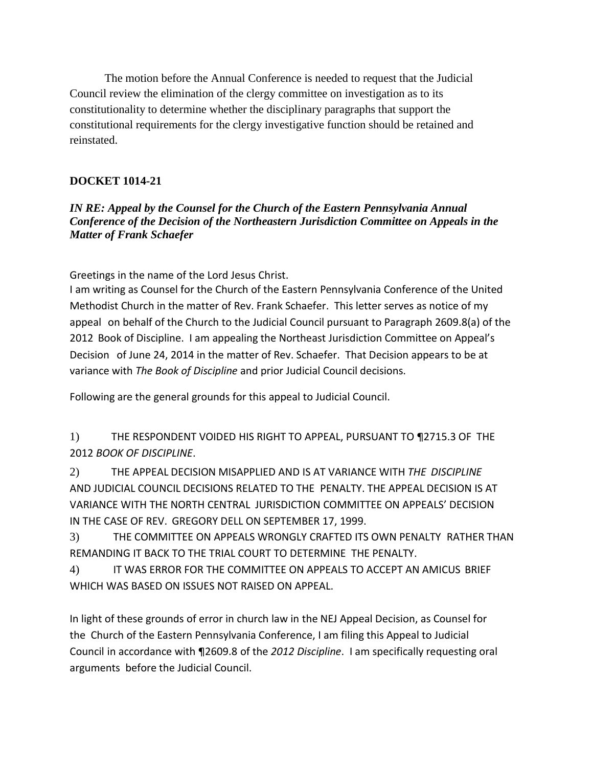The motion before the Annual Conference is needed to request that the Judicial Council review the elimination of the clergy committee on investigation as to its constitutionality to determine whether the disciplinary paragraphs that support the constitutional requirements for the clergy investigative function should be retained and reinstated.

## **DOCKET 1014-21**

## *IN RE: Appeal by the Counsel for the Church of the Eastern Pennsylvania Annual Conference of the Decision of the Northeastern Jurisdiction Committee on Appeals in the Matter of Frank Schaefer*

Greetings in the name of the Lord Jesus Christ.

I am writing as Counsel for the Church of the Eastern Pennsylvania Conference of the United Methodist Church in the matter of Rev. Frank Schaefer. This letter serves as notice of my appeal on behalf of the Church to the Judicial Council pursuant to Paragraph 2609.8(a) of the 2012 Book of Discipline. I am appealing the Northeast Jurisdiction Committee on Appeal's Decision of June 24, 2014 in the matter of Rev. Schaefer. That Decision appears to be at variance with *The Book of Discipline* and prior Judicial Council decisions.

Following are the general grounds for this appeal to Judicial Council.

1) THE RESPONDENT VOIDED HIS RIGHT TO APPEAL, PURSUANT TO ¶2715.3 OF THE 2012 *BOOK OF DISCIPLINE*.

2) THE APPEAL DECISION MISAPPLIED AND IS AT VARIANCE WITH *THE DISCIPLINE* AND JUDICIAL COUNCIL DECISIONS RELATED TO THE PENALTY. THE APPEAL DECISION IS AT VARIANCE WITH THE NORTH CENTRAL JURISDICTION COMMITTEE ON APPEALS' DECISION IN THE CASE OF REV. GREGORY DELL ON SEPTEMBER 17, 1999.

3) THE COMMITTEE ON APPEALS WRONGLY CRAFTED ITS OWN PENALTY RATHER THAN REMANDING IT BACK TO THE TRIAL COURT TO DETERMINE THE PENALTY.

4) IT WAS ERROR FOR THE COMMITTEE ON APPEALS TO ACCEPT AN AMICUS BRIEF WHICH WAS BASED ON ISSUES NOT RAISED ON APPEAL.

In light of these grounds of error in church law in the NEJ Appeal Decision, as Counsel for the Church of the Eastern Pennsylvania Conference, I am filing this Appeal to Judicial Council in accordance with ¶2609.8 of the *2012 Discipline*. I am specifically requesting oral arguments before the Judicial Council.